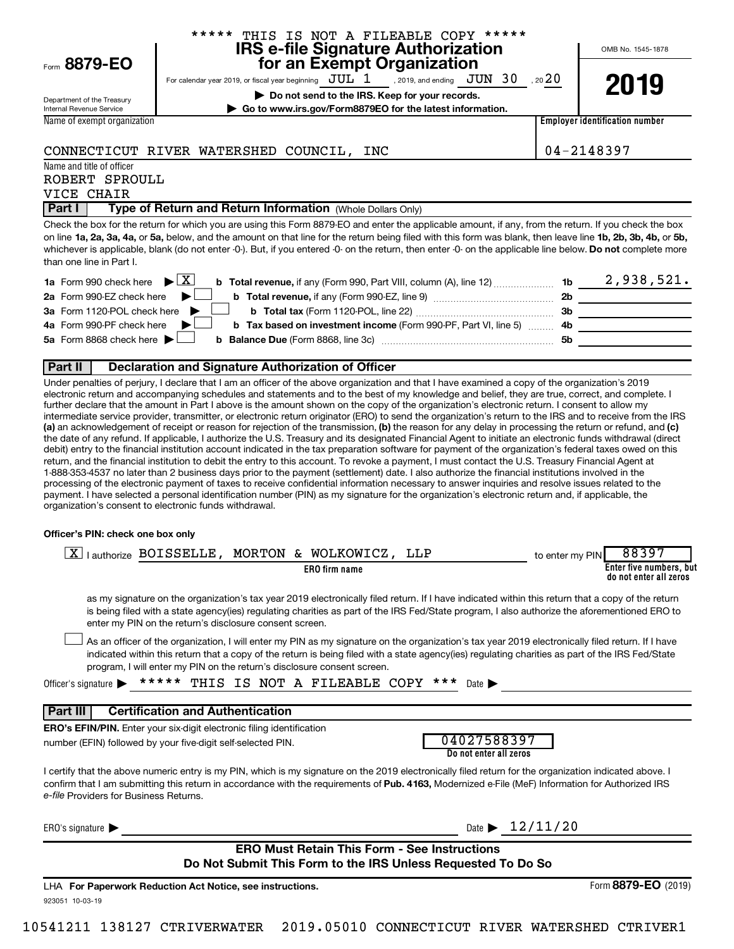|                                               | ***** THIS IS NOT A FILEABLE COPY *****<br><b>IRS e-file Signature Authorization</b>                                                                                                                                                                                                                                                                                                                                                                                                                                                                                                                                                                                                                                                                                                                                                                                                                                                                                                                                                                                                                                                                           |                                       | OMB No. 1545-1878                                          |
|-----------------------------------------------|----------------------------------------------------------------------------------------------------------------------------------------------------------------------------------------------------------------------------------------------------------------------------------------------------------------------------------------------------------------------------------------------------------------------------------------------------------------------------------------------------------------------------------------------------------------------------------------------------------------------------------------------------------------------------------------------------------------------------------------------------------------------------------------------------------------------------------------------------------------------------------------------------------------------------------------------------------------------------------------------------------------------------------------------------------------------------------------------------------------------------------------------------------------|---------------------------------------|------------------------------------------------------------|
| Form 8879-EO                                  | for an Exempt Organization                                                                                                                                                                                                                                                                                                                                                                                                                                                                                                                                                                                                                                                                                                                                                                                                                                                                                                                                                                                                                                                                                                                                     |                                       |                                                            |
|                                               | For calendar year 2019, or fiscal year beginning $JUL$ $1$ , 2019, and ending $JUN$ $30$ , 20 $20$                                                                                                                                                                                                                                                                                                                                                                                                                                                                                                                                                                                                                                                                                                                                                                                                                                                                                                                                                                                                                                                             |                                       | 2019                                                       |
| Department of the Treasury                    | Do not send to the IRS. Keep for your records.                                                                                                                                                                                                                                                                                                                                                                                                                                                                                                                                                                                                                                                                                                                                                                                                                                                                                                                                                                                                                                                                                                                 |                                       |                                                            |
| Internal Revenue Service                      | Go to www.irs.gov/Form8879EO for the latest information.                                                                                                                                                                                                                                                                                                                                                                                                                                                                                                                                                                                                                                                                                                                                                                                                                                                                                                                                                                                                                                                                                                       |                                       |                                                            |
| Name of exempt organization                   |                                                                                                                                                                                                                                                                                                                                                                                                                                                                                                                                                                                                                                                                                                                                                                                                                                                                                                                                                                                                                                                                                                                                                                |                                       | <b>Employer identification number</b>                      |
|                                               | CONNECTICUT RIVER WATERSHED COUNCIL, INC                                                                                                                                                                                                                                                                                                                                                                                                                                                                                                                                                                                                                                                                                                                                                                                                                                                                                                                                                                                                                                                                                                                       |                                       | 04-2148397                                                 |
| Name and title of officer                     |                                                                                                                                                                                                                                                                                                                                                                                                                                                                                                                                                                                                                                                                                                                                                                                                                                                                                                                                                                                                                                                                                                                                                                |                                       |                                                            |
| ROBERT SPROULL<br>VICE CHAIR                  |                                                                                                                                                                                                                                                                                                                                                                                                                                                                                                                                                                                                                                                                                                                                                                                                                                                                                                                                                                                                                                                                                                                                                                |                                       |                                                            |
| Part I                                        | Type of Return and Return Information (Whole Dollars Only)                                                                                                                                                                                                                                                                                                                                                                                                                                                                                                                                                                                                                                                                                                                                                                                                                                                                                                                                                                                                                                                                                                     |                                       |                                                            |
| than one line in Part I.                      | Check the box for the return for which you are using this Form 8879-EO and enter the applicable amount, if any, from the return. If you check the box<br>on line 1a, 2a, 3a, 4a, or 5a, below, and the amount on that line for the return being filed with this form was blank, then leave line 1b, 2b, 3b, 4b, or 5b,<br>whichever is applicable, blank (do not enter -0-). But, if you entered -0- on the return, then enter -0- on the applicable line below. Do not complete more                                                                                                                                                                                                                                                                                                                                                                                                                                                                                                                                                                                                                                                                          |                                       |                                                            |
| 1a Form 990 check here                        | $ \bullet $ X                                                                                                                                                                                                                                                                                                                                                                                                                                                                                                                                                                                                                                                                                                                                                                                                                                                                                                                                                                                                                                                                                                                                                  |                                       |                                                            |
| 2a Form 990-EZ check here                     |                                                                                                                                                                                                                                                                                                                                                                                                                                                                                                                                                                                                                                                                                                                                                                                                                                                                                                                                                                                                                                                                                                                                                                |                                       |                                                            |
| 3a Form 1120-POL check here                   |                                                                                                                                                                                                                                                                                                                                                                                                                                                                                                                                                                                                                                                                                                                                                                                                                                                                                                                                                                                                                                                                                                                                                                |                                       | 3b                                                         |
| 4a Form 990-PF check here                     | b Tax based on investment income (Form 990-PF, Part VI, line 5)  4b                                                                                                                                                                                                                                                                                                                                                                                                                                                                                                                                                                                                                                                                                                                                                                                                                                                                                                                                                                                                                                                                                            |                                       | <u> 1990 - Johann Barbara, martin a</u>                    |
| 5a Form 8868 check here $\blacktriangleright$ |                                                                                                                                                                                                                                                                                                                                                                                                                                                                                                                                                                                                                                                                                                                                                                                                                                                                                                                                                                                                                                                                                                                                                                | 5b                                    |                                                            |
|                                               |                                                                                                                                                                                                                                                                                                                                                                                                                                                                                                                                                                                                                                                                                                                                                                                                                                                                                                                                                                                                                                                                                                                                                                |                                       |                                                            |
| Part II                                       | <b>Declaration and Signature Authorization of Officer</b>                                                                                                                                                                                                                                                                                                                                                                                                                                                                                                                                                                                                                                                                                                                                                                                                                                                                                                                                                                                                                                                                                                      |                                       |                                                            |
|                                               | (a) an acknowledgement of receipt or reason for rejection of the transmission, (b) the reason for any delay in processing the return or refund, and (c)<br>the date of any refund. If applicable, I authorize the U.S. Treasury and its designated Financial Agent to initiate an electronic funds withdrawal (direct<br>debit) entry to the financial institution account indicated in the tax preparation software for payment of the organization's federal taxes owed on this<br>return, and the financial institution to debit the entry to this account. To revoke a payment, I must contact the U.S. Treasury Financial Agent at<br>1-888-353-4537 no later than 2 business days prior to the payment (settlement) date. I also authorize the financial institutions involved in the<br>processing of the electronic payment of taxes to receive confidential information necessary to answer inquiries and resolve issues related to the<br>payment. I have selected a personal identification number (PIN) as my signature for the organization's electronic return and, if applicable, the<br>organization's consent to electronic funds withdrawal. |                                       |                                                            |
| Officer's PIN: check one box only             |                                                                                                                                                                                                                                                                                                                                                                                                                                                                                                                                                                                                                                                                                                                                                                                                                                                                                                                                                                                                                                                                                                                                                                |                                       |                                                            |
|                                               | $\boxed{\text{X}}$   authorize BOISSELLE, MORTON & WOLKOWICZ, LLP<br><b>ERO</b> firm name                                                                                                                                                                                                                                                                                                                                                                                                                                                                                                                                                                                                                                                                                                                                                                                                                                                                                                                                                                                                                                                                      | to enter my PIN                       | 88397<br>Enter five numbers, but<br>do not enter all zeros |
|                                               | as my signature on the organization's tax year 2019 electronically filed return. If I have indicated within this return that a copy of the return<br>is being filed with a state agency(ies) regulating charities as part of the IRS Fed/State program, I also authorize the aforementioned ERO to<br>enter my PIN on the return's disclosure consent screen.                                                                                                                                                                                                                                                                                                                                                                                                                                                                                                                                                                                                                                                                                                                                                                                                  |                                       |                                                            |
|                                               | As an officer of the organization, I will enter my PIN as my signature on the organization's tax year 2019 electronically filed return. If I have<br>indicated within this return that a copy of the return is being filed with a state agency(ies) regulating charities as part of the IRS Fed/State<br>program, I will enter my PIN on the return's disclosure consent screen.                                                                                                                                                                                                                                                                                                                                                                                                                                                                                                                                                                                                                                                                                                                                                                               |                                       |                                                            |
| Officer's signature $\blacktriangleright$     | ***** THIS IS NOT A FILEABLE COPY ***                                                                                                                                                                                                                                                                                                                                                                                                                                                                                                                                                                                                                                                                                                                                                                                                                                                                                                                                                                                                                                                                                                                          | Date $\blacktriangleright$            |                                                            |
| Part III                                      | <b>Certification and Authentication</b>                                                                                                                                                                                                                                                                                                                                                                                                                                                                                                                                                                                                                                                                                                                                                                                                                                                                                                                                                                                                                                                                                                                        |                                       |                                                            |
|                                               | <b>ERO's EFIN/PIN.</b> Enter your six-digit electronic filing identification                                                                                                                                                                                                                                                                                                                                                                                                                                                                                                                                                                                                                                                                                                                                                                                                                                                                                                                                                                                                                                                                                   |                                       |                                                            |
|                                               | number (EFIN) followed by your five-digit self-selected PIN.                                                                                                                                                                                                                                                                                                                                                                                                                                                                                                                                                                                                                                                                                                                                                                                                                                                                                                                                                                                                                                                                                                   | 04027588397<br>Do not enter all zeros |                                                            |
| e-file Providers for Business Returns.        | I certify that the above numeric entry is my PIN, which is my signature on the 2019 electronically filed return for the organization indicated above. I<br>confirm that I am submitting this return in accordance with the requirements of Pub. 4163, Modernized e-File (MeF) Information for Authorized IRS                                                                                                                                                                                                                                                                                                                                                                                                                                                                                                                                                                                                                                                                                                                                                                                                                                                   |                                       |                                                            |
| ERO's signature $\blacktriangleright$         |                                                                                                                                                                                                                                                                                                                                                                                                                                                                                                                                                                                                                                                                                                                                                                                                                                                                                                                                                                                                                                                                                                                                                                | Date $\blacktriangleright$ 12/11/20   |                                                            |
|                                               | <b>ERO Must Retain This Form - See Instructions</b>                                                                                                                                                                                                                                                                                                                                                                                                                                                                                                                                                                                                                                                                                                                                                                                                                                                                                                                                                                                                                                                                                                            |                                       |                                                            |

# **Do Not Submit This Form to the IRS Unless Requested To Do So**

923051 10-03-19 **For Paperwork Reduction Act Notice, see instructions.** LHA Form (2019) **8879-EO**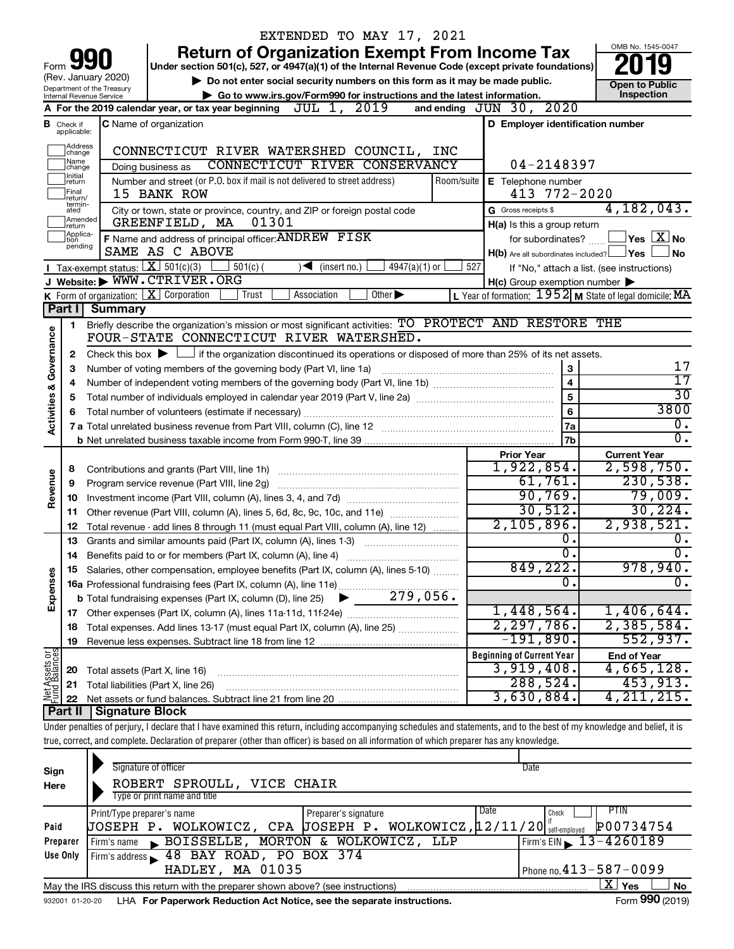|                         |                              |                                               | EXTENDED TO MAY 17, 2021                                                                                                                                                                                       |                             |            |                                                     |                                                           |
|-------------------------|------------------------------|-----------------------------------------------|----------------------------------------------------------------------------------------------------------------------------------------------------------------------------------------------------------------|-----------------------------|------------|-----------------------------------------------------|-----------------------------------------------------------|
|                         |                              |                                               | <b>Return of Organization Exempt From Income Tax</b>                                                                                                                                                           |                             |            |                                                     | OMB No. 1545-0047                                         |
| Form                    |                              | (Rev. January 2020)                           | Under section 501(c), 527, or 4947(a)(1) of the Internal Revenue Code (except private foundations)                                                                                                             |                             |            |                                                     |                                                           |
|                         |                              | Department of the Treasury                    | Do not enter social security numbers on this form as it may be made public.                                                                                                                                    |                             |            |                                                     | <b>Open to Public</b>                                     |
|                         |                              | Internal Revenue Service                      | Go to www.irs.gov/Form990 for instructions and the latest information.                                                                                                                                         |                             |            |                                                     | Inspection                                                |
|                         |                              |                                               | A For the 2019 calendar year, or tax year beginning $JUL$ $1, 2019$                                                                                                                                            |                             |            | and ending JUN 30, 2020                             |                                                           |
| в                       | Check if<br>applicable:      |                                               | C Name of organization                                                                                                                                                                                         |                             |            | D Employer identification number                    |                                                           |
|                         | Address<br> change           |                                               | CONNECTICUT RIVER WATERSHED COUNCIL,                                                                                                                                                                           |                             | INC        |                                                     |                                                           |
|                         | Name<br>change               |                                               | CONNECTICUT RIVER CONSERVANCY<br>Doing business as                                                                                                                                                             |                             |            | 04-2148397                                          |                                                           |
|                         | Initial<br>return            |                                               | Number and street (or P.O. box if mail is not delivered to street address)                                                                                                                                     |                             | Room/suite | E Telephone number                                  |                                                           |
|                         | Final<br>return/             |                                               | 15 BANK ROW                                                                                                                                                                                                    |                             |            | 413 772-2020                                        |                                                           |
|                         | termin-<br>ated              |                                               | City or town, state or province, country, and ZIP or foreign postal code                                                                                                                                       |                             |            | G Gross receipts \$                                 | 4,182,043.                                                |
|                         | Amended<br>Ireturn           |                                               | 01301<br>GREENFIELD, MA                                                                                                                                                                                        |                             |            | H(a) Is this a group return                         |                                                           |
|                         | Applica-<br>Ition<br>pending |                                               | F Name and address of principal officer: ANDREW FISK                                                                                                                                                           |                             |            | for subordinates?                                   | $\,$ Yes $\,$ $\,$ $\rm X$ $\,$ No $\,$                   |
|                         |                              |                                               | SAME AS C ABOVE                                                                                                                                                                                                |                             |            | $H(b)$ Are all subordinates included? $\Box$ Yes    | No                                                        |
|                         |                              | Tax exempt status: $X \overline{3}$ 501(c)(3) | $501(c)$ (<br>$\sqrt{\frac{1}{1}}$ (insert no.)                                                                                                                                                                | $4947(a)(1)$ or             | 527        |                                                     | If "No," attach a list. (see instructions)                |
|                         |                              |                                               | J Website: WWW.CTRIVER.ORG                                                                                                                                                                                     |                             |            | $H(c)$ Group exemption number $\blacktriangleright$ |                                                           |
|                         |                              |                                               | K Form of organization: $X$ Corporation<br>Trust<br>Association                                                                                                                                                | Other $\blacktriangleright$ |            |                                                     | L Year of formation: $1952$ M State of legal domicile: MA |
|                         | Part I                       | <b>Summary</b>                                |                                                                                                                                                                                                                |                             |            |                                                     |                                                           |
|                         | 1                            |                                               | Briefly describe the organization's mission or most significant activities: TO PROTECT AND RESTORE THE<br>FOUR-STATE CONNECTICUT RIVER WATERSHED.                                                              |                             |            |                                                     |                                                           |
|                         |                              |                                               |                                                                                                                                                                                                                |                             |            |                                                     |                                                           |
| Governance              | 2<br>З                       |                                               | Check this box $\blacktriangleright \Box$ if the organization discontinued its operations or disposed of more than 25% of its net assets.<br>Number of voting members of the governing body (Part VI, line 1a) |                             |            | 3                                                   | 17                                                        |
|                         | 4                            |                                               |                                                                                                                                                                                                                |                             |            | $\overline{\mathbf{4}}$                             | $\overline{17}$                                           |
|                         | 5                            |                                               |                                                                                                                                                                                                                |                             |            | 5                                                   | $\overline{30}$                                           |
|                         | 6                            |                                               |                                                                                                                                                                                                                |                             |            | 6                                                   | 3800                                                      |
| <b>Activities &amp;</b> |                              |                                               |                                                                                                                                                                                                                |                             |            | 7a                                                  | о.                                                        |
|                         |                              |                                               |                                                                                                                                                                                                                |                             |            | 7 <sub>b</sub>                                      | σ.                                                        |
|                         |                              |                                               |                                                                                                                                                                                                                |                             |            | <b>Prior Year</b>                                   | <b>Current Year</b>                                       |
|                         | 8                            |                                               | Contributions and grants (Part VIII, line 1h)                                                                                                                                                                  |                             |            | 1,922,854.                                          | 2,598,750.                                                |
| Revenue                 | 9                            |                                               | Program service revenue (Part VIII, line 2g)                                                                                                                                                                   |                             |            | 61,761.                                             | 230,538.                                                  |
|                         | 10                           |                                               |                                                                                                                                                                                                                |                             |            | 90,769.                                             | 79,009.                                                   |
|                         | 11                           |                                               |                                                                                                                                                                                                                |                             |            | 30,512.                                             | 30, 224.                                                  |
|                         | 12                           |                                               | Total revenue - add lines 8 through 11 (must equal Part VIII, column (A), line 12)                                                                                                                             |                             |            | 2,105,896.                                          | 2,938,521.                                                |
|                         | 13                           |                                               | Grants and similar amounts paid (Part IX, column (A), lines 1-3) <i></i>                                                                                                                                       |                             |            | 0.                                                  | υ.                                                        |
|                         | 14                           |                                               |                                                                                                                                                                                                                |                             |            | σ.                                                  | σ.                                                        |
|                         |                              |                                               | Salaries, other compensation, employee benefits (Part IX, column (A), lines 5-10)                                                                                                                              |                             |            | 849,222.                                            | 978,940.                                                  |
| Expenses                |                              |                                               |                                                                                                                                                                                                                |                             |            | О.                                                  | $\overline{0}$ .                                          |
|                         |                              |                                               |                                                                                                                                                                                                                |                             |            |                                                     |                                                           |
|                         | 17                           |                                               |                                                                                                                                                                                                                |                             |            | 1,448,564.                                          | 1,406,644.                                                |
|                         | 18                           |                                               | Total expenses. Add lines 13-17 (must equal Part IX, column (A), line 25)                                                                                                                                      |                             |            | 2,297,786.                                          | 2,385,584.                                                |
|                         | 19                           |                                               |                                                                                                                                                                                                                |                             |            | $-191,890$ .                                        | 552,937.                                                  |
| Net Assets or           |                              |                                               |                                                                                                                                                                                                                |                             |            | <b>Beginning of Current Year</b><br>3,919,408.      | <b>End of Year</b>                                        |
|                         | 20                           | Total assets (Part X, line 16)                |                                                                                                                                                                                                                |                             |            | 288,524.                                            | 4,665,128.<br>453,913.                                    |
|                         | 21                           |                                               | Total liabilities (Part X, line 26)                                                                                                                                                                            |                             |            | 3,630,884.                                          | 4, 211, 215.                                              |
|                         | 22<br><b>Part II</b>         | <b>Signature Block</b>                        |                                                                                                                                                                                                                |                             |            |                                                     |                                                           |
|                         |                              |                                               | Under penalties of perjury, I declare that I have examined this return, including accompanying schedules and statements, and to the best of my knowledge and belief, it is                                     |                             |            |                                                     |                                                           |
|                         |                              |                                               | true, correct, and complete. Declaration of preparer (other than officer) is based on all information of which preparer has any knowledge.                                                                     |                             |            |                                                     |                                                           |
|                         |                              |                                               |                                                                                                                                                                                                                |                             |            |                                                     |                                                           |
|                         |                              | Cignoture of office                           |                                                                                                                                                                                                                |                             |            |                                                     |                                                           |

| Sign<br>Here | Signature of officer<br>ROBERT SPROULL, VICE CHAIR<br>Type or print name and title | Date                         |
|--------------|------------------------------------------------------------------------------------|------------------------------|
|              | Date<br>Preparer's signature<br>Print/Type preparer's name                         | <b>PTIN</b><br>Check         |
| Paid         | JOSEPH P. WOLKOWICZ, CPA JOSEPH P. WOLKOWICZ, 12/11/20 selfemployed                | P00734754                    |
| Preparer     | Firm's name BOISSELLE, MORTON & WOLKOWICZ, LLP                                     | Firm's EIN $\, 13 - 4260189$ |
| Use Only     | Firm's address 48 BAY ROAD, PO BOX 374                                             |                              |
|              | HADLEY, MA 01035                                                                   | Phone no. $413 - 587 - 0099$ |
|              | May the IRS discuss this return with the preparer shown above? (see instructions)  | $\mathbf{X}$ Yes<br>No       |
|              |                                                                                    | $\mathbf{A}$                 |

932001 01-20-20 **For Paperwork Reduction Act Notice, see the separate instructions.** LHA Form (2019)

Form **990** (2019)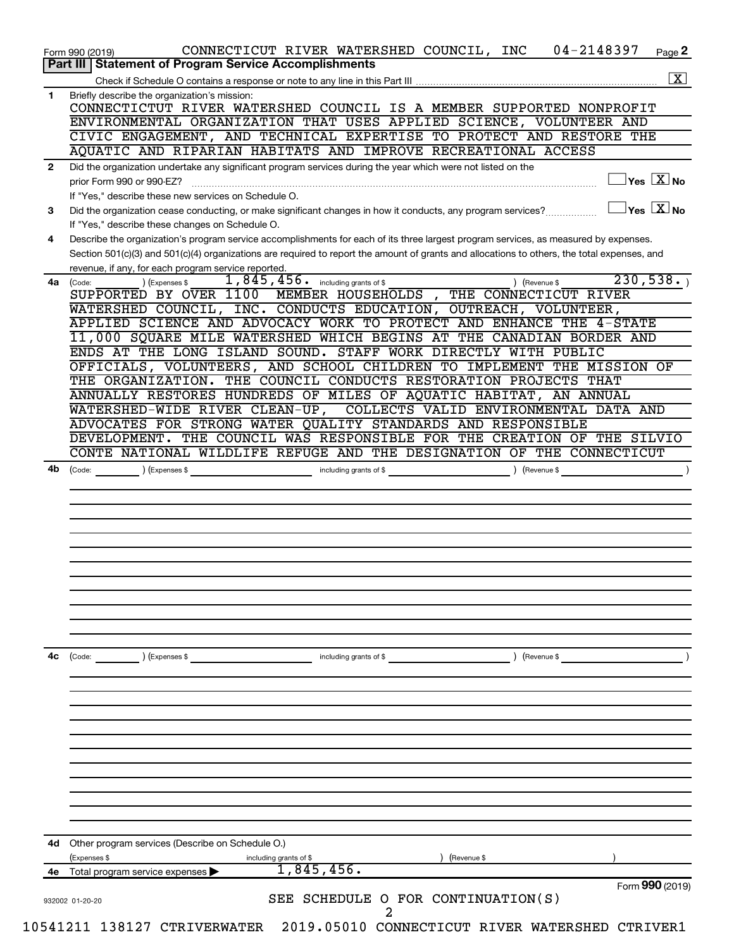| $\mathbf{1}$<br>$\mathbf{2}$<br>prior Form 990 or 990-EZ?<br>3<br>4<br>4a<br>(Code:<br>4b<br>(Code:<br>4с<br>(Code:<br>4d<br>(Expenses \$ | Briefly describe the organization's mission:                                                                                                                                                                                          |
|-------------------------------------------------------------------------------------------------------------------------------------------|---------------------------------------------------------------------------------------------------------------------------------------------------------------------------------------------------------------------------------------|
|                                                                                                                                           |                                                                                                                                                                                                                                       |
|                                                                                                                                           | CONNECTICTUT RIVER WATERSHED COUNCIL IS A MEMBER SUPPORTED NONPROFIT                                                                                                                                                                  |
|                                                                                                                                           | ENVIRONMENTAL ORGANIZATION THAT USES APPLIED SCIENCE, VOLUNTEER AND                                                                                                                                                                   |
|                                                                                                                                           | CIVIC ENGAGEMENT, AND TECHNICAL EXPERTISE TO PROTECT AND RESTORE THE                                                                                                                                                                  |
|                                                                                                                                           | AQUATIC AND RIPARIAN HABITATS AND IMPROVE RECREATIONAL ACCESS                                                                                                                                                                         |
|                                                                                                                                           | Did the organization undertake any significant program services during the year which were not listed on the<br>$\sqrt{\mathsf{Yes}\ \mathbf{X}}$ No                                                                                  |
|                                                                                                                                           | If "Yes," describe these new services on Schedule O.                                                                                                                                                                                  |
|                                                                                                                                           | $\sqrt{\mathsf{Yes}\mathord{\;\mathbb{X}}\mathord{\;\mathsf{No}}}$<br>Did the organization cease conducting, or make significant changes in how it conducts, any program services?<br>If "Yes," describe these changes on Schedule O. |
|                                                                                                                                           | Describe the organization's program service accomplishments for each of its three largest program services, as measured by expenses.                                                                                                  |
|                                                                                                                                           | Section 501(c)(3) and 501(c)(4) organizations are required to report the amount of grants and allocations to others, the total expenses, and<br>revenue, if any, for each program service reported.                                   |
|                                                                                                                                           | 230,538.<br>$1,845,456$ $\cdot$ including grants of \$<br>) (Expenses \$<br>) (Revenue \$                                                                                                                                             |
|                                                                                                                                           | MEMBER HOUSEHOLDS, THE CONNECTICUT RIVER<br>SUPPORTED BY OVER 1100                                                                                                                                                                    |
|                                                                                                                                           | WATERSHED COUNCIL, INC. CONDUCTS EDUCATION, OUTREACH, VOLUNTEER,                                                                                                                                                                      |
|                                                                                                                                           | APPLIED SCIENCE AND ADVOCACY WORK TO PROTECT AND ENHANCE THE 4-STATE                                                                                                                                                                  |
|                                                                                                                                           | 11,000 SQUARE MILE WATERSHED WHICH BEGINS AT THE CANADIAN BORDER AND<br>ENDS AT THE LONG ISLAND SOUND. STAFF WORK DIRECTLY WITH PUBLIC                                                                                                |
|                                                                                                                                           | OFFICIALS, VOLUNTEERS, AND SCHOOL CHILDREN TO IMPLEMENT THE MISSION OF                                                                                                                                                                |
|                                                                                                                                           | THE ORGANIZATION. THE COUNCIL CONDUCTS RESTORATION PROJECTS THAT                                                                                                                                                                      |
|                                                                                                                                           | ANNUALLY RESTORES HUNDREDS OF MILES OF AQUATIC HABITAT, AN ANNUAL                                                                                                                                                                     |
|                                                                                                                                           | WATERSHED-WIDE RIVER CLEAN-UP, COLLECTS VALID ENVIRONMENTAL DATA AND                                                                                                                                                                  |
|                                                                                                                                           | ADVOCATES FOR STRONG WATER QUALITY STANDARDS AND RESPONSIBLE                                                                                                                                                                          |
|                                                                                                                                           | DEVELOPMENT. THE COUNCIL WAS RESPONSIBLE FOR THE CREATION OF THE SILVIO                                                                                                                                                               |
|                                                                                                                                           | CONTE NATIONAL WILDLIFE REFUGE AND THE DESIGNATION OF THE CONNECTICUT                                                                                                                                                                 |
|                                                                                                                                           |                                                                                                                                                                                                                                       |
|                                                                                                                                           |                                                                                                                                                                                                                                       |
|                                                                                                                                           |                                                                                                                                                                                                                                       |
|                                                                                                                                           |                                                                                                                                                                                                                                       |
|                                                                                                                                           |                                                                                                                                                                                                                                       |
|                                                                                                                                           |                                                                                                                                                                                                                                       |
|                                                                                                                                           | ) (Expenses \$<br>including grants of \$<br>) (Revenue \$                                                                                                                                                                             |
|                                                                                                                                           |                                                                                                                                                                                                                                       |
|                                                                                                                                           |                                                                                                                                                                                                                                       |
|                                                                                                                                           |                                                                                                                                                                                                                                       |
|                                                                                                                                           |                                                                                                                                                                                                                                       |
|                                                                                                                                           |                                                                                                                                                                                                                                       |
|                                                                                                                                           | Other program services (Describe on Schedule O.)                                                                                                                                                                                      |
|                                                                                                                                           | including grants of \$<br>(Revenue \$                                                                                                                                                                                                 |
| 4е                                                                                                                                        | 1,845,456.<br>Total program service expenses                                                                                                                                                                                          |
|                                                                                                                                           | Form 990 (2019)<br>SEE SCHEDULE O FOR CONTINUATION(S)                                                                                                                                                                                 |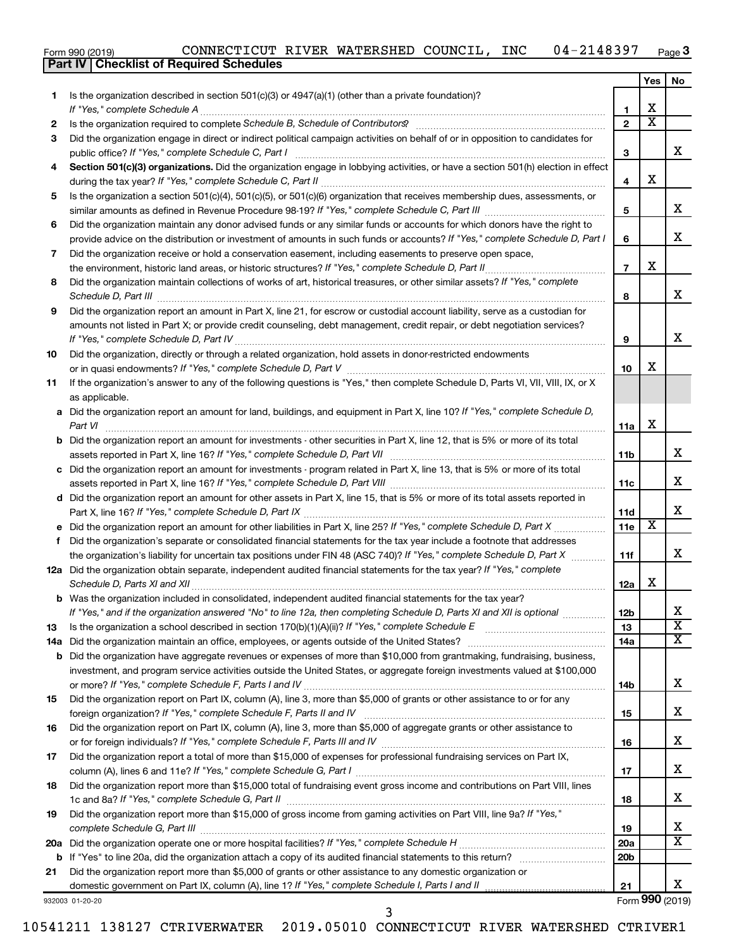| Form 990 (2019) | CONNECTICUT RIVER WATERSHED COUNCIL, |  |  |  | <b>INC</b> | 04-2148397 | Page $3$ |
|-----------------|--------------------------------------|--|--|--|------------|------------|----------|
|-----------------|--------------------------------------|--|--|--|------------|------------|----------|

|     | <b>Part IV   Checklist of Required Schedules</b>                                                                                                                                                                                     |                 |                         |                         |
|-----|--------------------------------------------------------------------------------------------------------------------------------------------------------------------------------------------------------------------------------------|-----------------|-------------------------|-------------------------|
|     |                                                                                                                                                                                                                                      |                 | Yes                     | No                      |
| 1.  | Is the organization described in section 501(c)(3) or 4947(a)(1) (other than a private foundation)?                                                                                                                                  |                 |                         |                         |
|     |                                                                                                                                                                                                                                      | 1               | х                       |                         |
| 2   |                                                                                                                                                                                                                                      | $\overline{2}$  | $\overline{\textbf{x}}$ |                         |
| 3   | Did the organization engage in direct or indirect political campaign activities on behalf of or in opposition to candidates for                                                                                                      |                 |                         |                         |
|     |                                                                                                                                                                                                                                      | 3               |                         | x                       |
|     |                                                                                                                                                                                                                                      |                 |                         |                         |
| 4   | Section 501(c)(3) organizations. Did the organization engage in lobbying activities, or have a section 501(h) election in effect                                                                                                     |                 | X                       |                         |
|     |                                                                                                                                                                                                                                      | 4               |                         |                         |
| 5   | Is the organization a section 501(c)(4), 501(c)(5), or 501(c)(6) organization that receives membership dues, assessments, or                                                                                                         |                 |                         | х                       |
|     |                                                                                                                                                                                                                                      | 5               |                         |                         |
| 6   | Did the organization maintain any donor advised funds or any similar funds or accounts for which donors have the right to                                                                                                            |                 |                         |                         |
|     | provide advice on the distribution or investment of amounts in such funds or accounts? If "Yes," complete Schedule D, Part I                                                                                                         | 6               |                         | x                       |
| 7   | Did the organization receive or hold a conservation easement, including easements to preserve open space,                                                                                                                            |                 |                         |                         |
|     | the environment, historic land areas, or historic structures? If "Yes," complete Schedule D, Part II                                                                                                                                 | $\overline{7}$  | X                       |                         |
| 8   | Did the organization maintain collections of works of art, historical treasures, or other similar assets? If "Yes," complete                                                                                                         |                 |                         |                         |
|     | Schedule D, Part III <b>Marting Community Contract Contract Contract Contract Contract Contract Contract Contract Contract Contract Contract Contract Contract Contract Contract Contract Contract Contract Contract Contract Co</b> | 8               |                         | х                       |
| 9   | Did the organization report an amount in Part X, line 21, for escrow or custodial account liability, serve as a custodian for                                                                                                        |                 |                         |                         |
|     | amounts not listed in Part X; or provide credit counseling, debt management, credit repair, or debt negotiation services?                                                                                                            |                 |                         |                         |
|     |                                                                                                                                                                                                                                      | 9               |                         | х                       |
| 10  | Did the organization, directly or through a related organization, hold assets in donor-restricted endowments                                                                                                                         |                 |                         |                         |
|     |                                                                                                                                                                                                                                      | 10              | х                       |                         |
| 11  | If the organization's answer to any of the following questions is "Yes," then complete Schedule D, Parts VI, VII, VIII, IX, or X                                                                                                     |                 |                         |                         |
|     | as applicable.                                                                                                                                                                                                                       |                 |                         |                         |
| а   | Did the organization report an amount for land, buildings, and equipment in Part X, line 10? If "Yes," complete Schedule D,                                                                                                          |                 |                         |                         |
|     | Part VI                                                                                                                                                                                                                              | 11a             | X                       |                         |
| b   | Did the organization report an amount for investments - other securities in Part X, line 12, that is 5% or more of its total                                                                                                         |                 |                         |                         |
|     |                                                                                                                                                                                                                                      | 11b             |                         | х                       |
| с   | Did the organization report an amount for investments - program related in Part X, line 13, that is 5% or more of its total                                                                                                          |                 |                         |                         |
|     |                                                                                                                                                                                                                                      | 11c             |                         | x                       |
|     | d Did the organization report an amount for other assets in Part X, line 15, that is 5% or more of its total assets reported in                                                                                                      |                 |                         |                         |
|     |                                                                                                                                                                                                                                      | 11d             |                         | х                       |
|     | Did the organization report an amount for other liabilities in Part X, line 25? If "Yes," complete Schedule D, Part X                                                                                                                | 11e             | $\overline{\textbf{x}}$ |                         |
| f   | Did the organization's separate or consolidated financial statements for the tax year include a footnote that addresses                                                                                                              |                 |                         |                         |
|     | the organization's liability for uncertain tax positions under FIN 48 (ASC 740)? If "Yes," complete Schedule D, Part X                                                                                                               | 11f             |                         | х                       |
|     | 12a Did the organization obtain separate, independent audited financial statements for the tax year? If "Yes," complete                                                                                                              |                 |                         |                         |
|     |                                                                                                                                                                                                                                      | 12a             | х                       |                         |
|     | Was the organization included in consolidated, independent audited financial statements for the tax year?                                                                                                                            |                 |                         |                         |
|     | If "Yes," and if the organization answered "No" to line 12a, then completing Schedule D, Parts XI and XII is optional                                                                                                                | 12b             |                         | х                       |
| 13  |                                                                                                                                                                                                                                      | 13              |                         | $\overline{\textbf{X}}$ |
| 14a | Did the organization maintain an office, employees, or agents outside of the United States?                                                                                                                                          | 14a             |                         | х                       |
| b   | Did the organization have aggregate revenues or expenses of more than \$10,000 from grantmaking, fundraising, business,                                                                                                              |                 |                         |                         |
|     | investment, and program service activities outside the United States, or aggregate foreign investments valued at \$100,000                                                                                                           |                 |                         |                         |
|     |                                                                                                                                                                                                                                      | 14b             |                         | х                       |
| 15  | Did the organization report on Part IX, column (A), line 3, more than \$5,000 of grants or other assistance to or for any                                                                                                            |                 |                         |                         |
|     | foreign organization? If "Yes," complete Schedule F, Parts II and IV                                                                                                                                                                 | 15              |                         | х                       |
| 16  | Did the organization report on Part IX, column (A), line 3, more than \$5,000 of aggregate grants or other assistance to                                                                                                             |                 |                         |                         |
|     |                                                                                                                                                                                                                                      | 16              |                         | х                       |
| 17  | Did the organization report a total of more than \$15,000 of expenses for professional fundraising services on Part IX,                                                                                                              |                 |                         |                         |
|     |                                                                                                                                                                                                                                      | 17              |                         | х                       |
| 18  | Did the organization report more than \$15,000 total of fundraising event gross income and contributions on Part VIII, lines                                                                                                         |                 |                         |                         |
|     |                                                                                                                                                                                                                                      | 18              |                         | х                       |
| 19  | Did the organization report more than \$15,000 of gross income from gaming activities on Part VIII, line 9a? If "Yes,"                                                                                                               |                 |                         |                         |
|     |                                                                                                                                                                                                                                      | 19              |                         | х                       |
|     |                                                                                                                                                                                                                                      | <b>20a</b>      |                         | X                       |
|     |                                                                                                                                                                                                                                      | 20 <sub>b</sub> |                         |                         |
| 21  | Did the organization report more than \$5,000 of grants or other assistance to any domestic organization or                                                                                                                          |                 |                         |                         |
|     | domestic government on Part IX, column (A), line 1? If "Yes," complete Schedule I, Parts I and II                                                                                                                                    | 21              |                         | x                       |
|     | 932003 01-20-20                                                                                                                                                                                                                      |                 |                         | Form 990 (2019)         |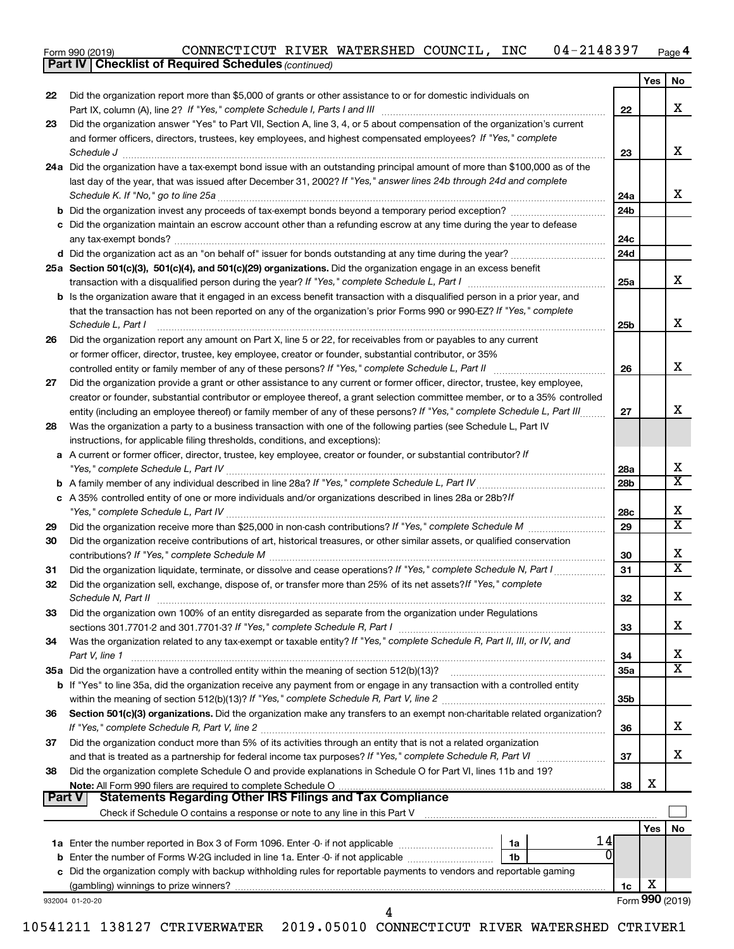| Form 990 (2019) | CONNECTICUT RIVER WATERSHED COUNCIL, |  |  |  | <b>INC</b> | $-2148397$<br>$04 -$ | Page 4 |
|-----------------|--------------------------------------|--|--|--|------------|----------------------|--------|
|-----------------|--------------------------------------|--|--|--|------------|----------------------|--------|

| 22 | Did the organization report more than \$5,000 of grants or other assistance to or for domestic individuals on                                                                                                                                                                                                                                                                |                 | Yes             | No |
|----|------------------------------------------------------------------------------------------------------------------------------------------------------------------------------------------------------------------------------------------------------------------------------------------------------------------------------------------------------------------------------|-----------------|-----------------|----|
|    |                                                                                                                                                                                                                                                                                                                                                                              | 22              |                 |    |
| 23 | Did the organization answer "Yes" to Part VII, Section A, line 3, 4, or 5 about compensation of the organization's current<br>and former officers, directors, trustees, key employees, and highest compensated employees? If "Yes," complete<br>Schedule J <b>Martin Communication Communication</b> Contract of the Communication Communication Communication Communication | 23              |                 |    |
|    | 24a Did the organization have a tax-exempt bond issue with an outstanding principal amount of more than \$100,000 as of the<br>last day of the year, that was issued after December 31, 2002? If "Yes," answer lines 24b through 24d and complete                                                                                                                            |                 |                 |    |
|    |                                                                                                                                                                                                                                                                                                                                                                              | 24a             |                 |    |
|    |                                                                                                                                                                                                                                                                                                                                                                              | 24 <sub>b</sub> |                 |    |
|    | c Did the organization maintain an escrow account other than a refunding escrow at any time during the year to defease                                                                                                                                                                                                                                                       | 24c             |                 |    |
|    |                                                                                                                                                                                                                                                                                                                                                                              | 24d             |                 |    |
|    | 25a Section 501(c)(3), 501(c)(4), and 501(c)(29) organizations. Did the organization engage in an excess benefit                                                                                                                                                                                                                                                             | 25a             |                 |    |
|    | <b>b</b> Is the organization aware that it engaged in an excess benefit transaction with a disqualified person in a prior year, and<br>that the transaction has not been reported on any of the organization's prior Forms 990 or 990-EZ? If "Yes," complete<br>Schedule L, Part I                                                                                           | 25 <sub>b</sub> |                 |    |
| 26 | Did the organization report any amount on Part X, line 5 or 22, for receivables from or payables to any current                                                                                                                                                                                                                                                              |                 |                 |    |
|    | or former officer, director, trustee, key employee, creator or founder, substantial contributor, or 35%                                                                                                                                                                                                                                                                      |                 |                 |    |
|    |                                                                                                                                                                                                                                                                                                                                                                              | 26              |                 |    |
| 27 | Did the organization provide a grant or other assistance to any current or former officer, director, trustee, key employee,                                                                                                                                                                                                                                                  |                 |                 |    |
|    | creator or founder, substantial contributor or employee thereof, a grant selection committee member, or to a 35% controlled                                                                                                                                                                                                                                                  |                 |                 |    |
|    | entity (including an employee thereof) or family member of any of these persons? If "Yes," complete Schedule L, Part III                                                                                                                                                                                                                                                     | 27              |                 |    |
| 28 | Was the organization a party to a business transaction with one of the following parties (see Schedule L, Part IV                                                                                                                                                                                                                                                            |                 |                 |    |
|    | instructions, for applicable filing thresholds, conditions, and exceptions):                                                                                                                                                                                                                                                                                                 |                 |                 |    |
|    | a A current or former officer, director, trustee, key employee, creator or founder, or substantial contributor? If                                                                                                                                                                                                                                                           |                 |                 |    |
|    |                                                                                                                                                                                                                                                                                                                                                                              | 28a             |                 |    |
|    |                                                                                                                                                                                                                                                                                                                                                                              | 28 <sub>b</sub> |                 |    |
|    | c A 35% controlled entity of one or more individuals and/or organizations described in lines 28a or 28b?If                                                                                                                                                                                                                                                                   |                 |                 |    |
|    |                                                                                                                                                                                                                                                                                                                                                                              | 28c             |                 |    |
| 29 |                                                                                                                                                                                                                                                                                                                                                                              | 29              |                 |    |
| 30 | Did the organization receive contributions of art, historical treasures, or other similar assets, or qualified conservation                                                                                                                                                                                                                                                  | 30              |                 |    |
| 31 | Did the organization liquidate, terminate, or dissolve and cease operations? If "Yes," complete Schedule N, Part I                                                                                                                                                                                                                                                           | 31              |                 |    |
| 32 | Did the organization sell, exchange, dispose of, or transfer more than 25% of its net assets? If "Yes," complete                                                                                                                                                                                                                                                             | 32              |                 |    |
| 33 | Did the organization own 100% of an entity disregarded as separate from the organization under Regulations<br>sections 301.7701-2 and 301.7701-3? If "Yes," complete Schedule R, Part I [1] [1] [1] [1] [1] [1] sections 301.7701-2 and 301.7701-3? If "Yes," complete Schedule R, Part I                                                                                    | 33              |                 |    |
| 34 | Was the organization related to any tax-exempt or taxable entity? If "Yes," complete Schedule R, Part II, III, or IV, and                                                                                                                                                                                                                                                    |                 |                 |    |
|    | Part V, line 1                                                                                                                                                                                                                                                                                                                                                               | 34              |                 |    |
|    |                                                                                                                                                                                                                                                                                                                                                                              | 35a             |                 |    |
|    | b If "Yes" to line 35a, did the organization receive any payment from or engage in any transaction with a controlled entity                                                                                                                                                                                                                                                  |                 |                 |    |
|    |                                                                                                                                                                                                                                                                                                                                                                              | 35b             |                 |    |
| 36 | Section 501(c)(3) organizations. Did the organization make any transfers to an exempt non-charitable related organization?                                                                                                                                                                                                                                                   | 36              |                 |    |
| 37 | Did the organization conduct more than 5% of its activities through an entity that is not a related organization                                                                                                                                                                                                                                                             |                 |                 |    |
|    | Did the organization complete Schedule O and provide explanations in Schedule O for Part VI, lines 11b and 19?                                                                                                                                                                                                                                                               | 37              |                 |    |
| 38 |                                                                                                                                                                                                                                                                                                                                                                              | 38              | X               |    |
|    | <b>Statements Regarding Other IRS Filings and Tax Compliance</b><br>  Part V                                                                                                                                                                                                                                                                                                 |                 |                 |    |
|    | Check if Schedule O contains a response or note to any line in this Part V [11] [12] contains according to contains a response or note to any line in this Part V [11] [12] [12] contains according to contain a response or n                                                                                                                                               |                 |                 |    |
|    |                                                                                                                                                                                                                                                                                                                                                                              |                 | Yes             |    |
|    | 14<br>1a                                                                                                                                                                                                                                                                                                                                                                     |                 |                 |    |
|    |                                                                                                                                                                                                                                                                                                                                                                              |                 |                 |    |
|    | c Did the organization comply with backup withholding rules for reportable payments to vendors and reportable gaming                                                                                                                                                                                                                                                         |                 |                 |    |
|    |                                                                                                                                                                                                                                                                                                                                                                              |                 | х               |    |
|    |                                                                                                                                                                                                                                                                                                                                                                              | 1с.             | Form 990 (2019) |    |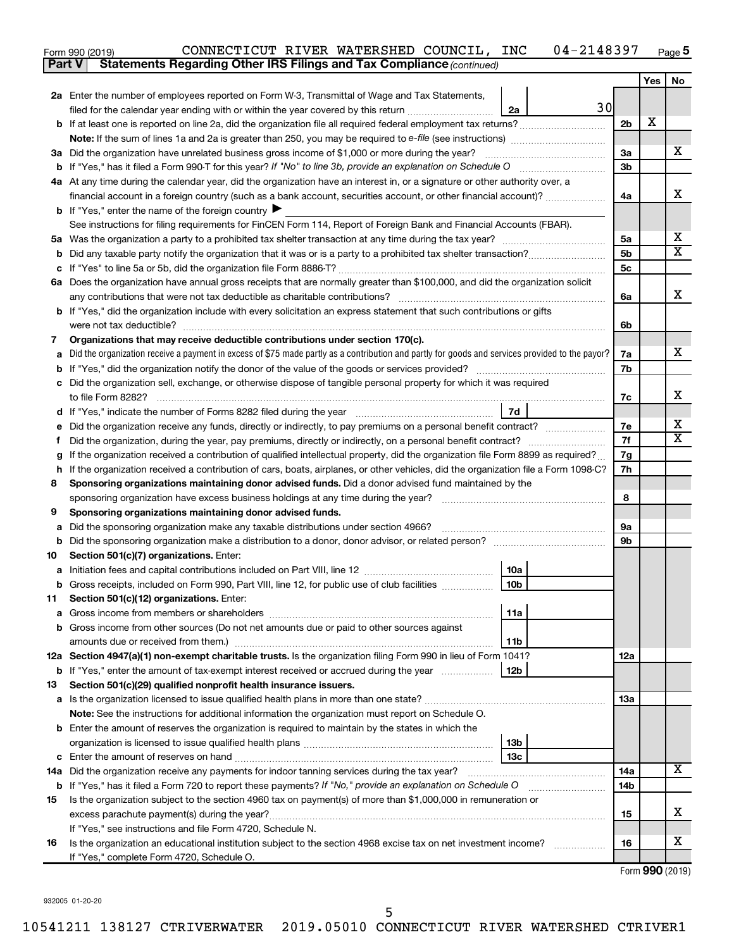| Form 990 (2019) | CONNECTICUT | RIVER | WATERSHED | COUNCIL | INC | .48397<br><u>га</u><br>$04 -$<br>ി 4 പ<br>$\overline{\phantom{a}}$ | Page |
|-----------------|-------------|-------|-----------|---------|-----|--------------------------------------------------------------------|------|
|                 |             |       |           |         |     |                                                                    |      |

| Yes<br>No<br>2a Enter the number of employees reported on Form W-3, Transmittal of Wage and Tax Statements,<br>30<br>filed for the calendar year ending with or within the year covered by this return<br>2a<br>X<br>b If at least one is reported on line 2a, did the organization file all required federal employment tax returns?<br>2 <sub>b</sub><br>х<br>3a Did the organization have unrelated business gross income of \$1,000 or more during the year?<br>За<br>3b<br>4a At any time during the calendar year, did the organization have an interest in, or a signature or other authority over, a<br>х<br>financial account in a foreign country (such as a bank account, securities account, or other financial account)?<br>4a<br><b>b</b> If "Yes," enter the name of the foreign country $\blacktriangleright$<br>See instructions for filing requirements for FinCEN Form 114, Report of Foreign Bank and Financial Accounts (FBAR).<br>х<br>5a<br>5а<br>$\overline{\mathbf{X}}$<br>5b<br>5c<br>6a Does the organization have annual gross receipts that are normally greater than \$100,000, and did the organization solicit<br>х<br>any contributions that were not tax deductible as charitable contributions?<br>6a<br>b If "Yes," did the organization include with every solicitation an express statement that such contributions or gifts<br>6b<br>Organizations that may receive deductible contributions under section 170(c).<br>7<br>х<br>Did the organization receive a payment in excess of \$75 made partly as a contribution and partly for goods and services provided to the payor?<br>7a<br>7b<br>Did the organization sell, exchange, or otherwise dispose of tangible personal property for which it was required<br>х<br>7c<br>7d<br>х<br>Did the organization receive any funds, directly or indirectly, to pay premiums on a personal benefit contract?<br>7е<br>х<br>7f<br>Did the organization, during the year, pay premiums, directly or indirectly, on a personal benefit contract?<br>Ť.<br>If the organization received a contribution of qualified intellectual property, did the organization file Form 8899 as required?<br>7g<br>If the organization received a contribution of cars, boats, airplanes, or other vehicles, did the organization file a Form 1098-C?<br>7h<br>h<br>Sponsoring organizations maintaining donor advised funds. Did a donor advised fund maintained by the<br>8<br>8<br>sponsoring organization have excess business holdings at any time during the year?<br>Sponsoring organizations maintaining donor advised funds.<br>9<br><b>9a</b><br>Did the sponsoring organization make any taxable distributions under section 4966?<br>а<br>Did the sponsoring organization make a distribution to a donor, donor advisor, or related person? [111] Did the sponsoring organization make a distribution to a donor, donor advisor, or related person?<br>9b<br>b<br>Section 501(c)(7) organizations. Enter:<br>10<br>10a<br>10 <sub>b</sub><br>b Gross receipts, included on Form 990, Part VIII, line 12, for public use of club facilities<br>Section 501(c)(12) organizations. Enter:<br>11<br>11a<br><b>b</b> Gross income from other sources (Do not net amounts due or paid to other sources against<br>amounts due or received from them.)<br>11b<br>12a Section 4947(a)(1) non-exempt charitable trusts. Is the organization filing Form 990 in lieu of Form 1041?<br>12a<br>12 <sub>b</sub><br>b If "Yes," enter the amount of tax-exempt interest received or accrued during the year<br>Section 501(c)(29) qualified nonprofit health insurance issuers.<br>13<br>13a<br>a Is the organization licensed to issue qualified health plans in more than one state?<br>Note: See the instructions for additional information the organization must report on Schedule O.<br><b>b</b> Enter the amount of reserves the organization is required to maintain by the states in which the<br>13b<br>13 <sub>c</sub><br>x<br>14a Did the organization receive any payments for indoor tanning services during the tax year?<br>14a<br><b>b</b> If "Yes," has it filed a Form 720 to report these payments? If "No," provide an explanation on Schedule O<br>14b<br>Is the organization subject to the section 4960 tax on payment(s) of more than \$1,000,000 in remuneration or<br>15<br>х<br>excess parachute payment(s) during the year?<br>15<br>If "Yes," see instructions and file Form 4720, Schedule N.<br>x<br>Is the organization an educational institution subject to the section 4968 excise tax on net investment income?<br>16<br>16<br>If "Yes," complete Form 4720, Schedule O. | Part V | <b>Statements Regarding Other IRS Filings and Tax Compliance (continued)</b> |  |  |
|--------------------------------------------------------------------------------------------------------------------------------------------------------------------------------------------------------------------------------------------------------------------------------------------------------------------------------------------------------------------------------------------------------------------------------------------------------------------------------------------------------------------------------------------------------------------------------------------------------------------------------------------------------------------------------------------------------------------------------------------------------------------------------------------------------------------------------------------------------------------------------------------------------------------------------------------------------------------------------------------------------------------------------------------------------------------------------------------------------------------------------------------------------------------------------------------------------------------------------------------------------------------------------------------------------------------------------------------------------------------------------------------------------------------------------------------------------------------------------------------------------------------------------------------------------------------------------------------------------------------------------------------------------------------------------------------------------------------------------------------------------------------------------------------------------------------------------------------------------------------------------------------------------------------------------------------------------------------------------------------------------------------------------------------------------------------------------------------------------------------------------------------------------------------------------------------------------------------------------------------------------------------------------------------------------------------------------------------------------------------------------------------------------------------------------------------------------------------------------------------------------------------------------------------------------------------------------------------------------------------------------------------------------------------------------------------------------------------------------------------------------------------------------------------------------------------------------------------------------------------------------------------------------------------------------------------------------------------------------------------------------------------------------------------------------------------------------------------------------------------------------------------------------------------------------------------------------------------------------------------------------------------------------------------------------------------------------------------------------------------------------------------------------------------------------------------------------------------------------------------------------------------------------------------------------------------------------------------------------------------------------------------------------------------------------------------------------------------------------------------------------------------------------------------------------------------------------------------------------------------------------------------------------------------------------------------------------------------------------------------------------------------------------------------------------------------------------------------------------------------------------------------------------------------------------------------------------------------------------------------------------------------------------------------------------------------------------------------------------------------------------------------------------------------------------------------------------------------------------------------------------------------------------------------------------------------------------------------------------------------------------------------------------------------------------|--------|------------------------------------------------------------------------------|--|--|
|                                                                                                                                                                                                                                                                                                                                                                                                                                                                                                                                                                                                                                                                                                                                                                                                                                                                                                                                                                                                                                                                                                                                                                                                                                                                                                                                                                                                                                                                                                                                                                                                                                                                                                                                                                                                                                                                                                                                                                                                                                                                                                                                                                                                                                                                                                                                                                                                                                                                                                                                                                                                                                                                                                                                                                                                                                                                                                                                                                                                                                                                                                                                                                                                                                                                                                                                                                                                                                                                                                                                                                                                                                                                                                                                                                                                                                                                                                                                                                                                                                                                                                                                                                                                                                                                                                                                                                                                                                                                                                                                                                                                                                                                                |        |                                                                              |  |  |
|                                                                                                                                                                                                                                                                                                                                                                                                                                                                                                                                                                                                                                                                                                                                                                                                                                                                                                                                                                                                                                                                                                                                                                                                                                                                                                                                                                                                                                                                                                                                                                                                                                                                                                                                                                                                                                                                                                                                                                                                                                                                                                                                                                                                                                                                                                                                                                                                                                                                                                                                                                                                                                                                                                                                                                                                                                                                                                                                                                                                                                                                                                                                                                                                                                                                                                                                                                                                                                                                                                                                                                                                                                                                                                                                                                                                                                                                                                                                                                                                                                                                                                                                                                                                                                                                                                                                                                                                                                                                                                                                                                                                                                                                                |        |                                                                              |  |  |
|                                                                                                                                                                                                                                                                                                                                                                                                                                                                                                                                                                                                                                                                                                                                                                                                                                                                                                                                                                                                                                                                                                                                                                                                                                                                                                                                                                                                                                                                                                                                                                                                                                                                                                                                                                                                                                                                                                                                                                                                                                                                                                                                                                                                                                                                                                                                                                                                                                                                                                                                                                                                                                                                                                                                                                                                                                                                                                                                                                                                                                                                                                                                                                                                                                                                                                                                                                                                                                                                                                                                                                                                                                                                                                                                                                                                                                                                                                                                                                                                                                                                                                                                                                                                                                                                                                                                                                                                                                                                                                                                                                                                                                                                                |        |                                                                              |  |  |
|                                                                                                                                                                                                                                                                                                                                                                                                                                                                                                                                                                                                                                                                                                                                                                                                                                                                                                                                                                                                                                                                                                                                                                                                                                                                                                                                                                                                                                                                                                                                                                                                                                                                                                                                                                                                                                                                                                                                                                                                                                                                                                                                                                                                                                                                                                                                                                                                                                                                                                                                                                                                                                                                                                                                                                                                                                                                                                                                                                                                                                                                                                                                                                                                                                                                                                                                                                                                                                                                                                                                                                                                                                                                                                                                                                                                                                                                                                                                                                                                                                                                                                                                                                                                                                                                                                                                                                                                                                                                                                                                                                                                                                                                                |        |                                                                              |  |  |
|                                                                                                                                                                                                                                                                                                                                                                                                                                                                                                                                                                                                                                                                                                                                                                                                                                                                                                                                                                                                                                                                                                                                                                                                                                                                                                                                                                                                                                                                                                                                                                                                                                                                                                                                                                                                                                                                                                                                                                                                                                                                                                                                                                                                                                                                                                                                                                                                                                                                                                                                                                                                                                                                                                                                                                                                                                                                                                                                                                                                                                                                                                                                                                                                                                                                                                                                                                                                                                                                                                                                                                                                                                                                                                                                                                                                                                                                                                                                                                                                                                                                                                                                                                                                                                                                                                                                                                                                                                                                                                                                                                                                                                                                                |        |                                                                              |  |  |
|                                                                                                                                                                                                                                                                                                                                                                                                                                                                                                                                                                                                                                                                                                                                                                                                                                                                                                                                                                                                                                                                                                                                                                                                                                                                                                                                                                                                                                                                                                                                                                                                                                                                                                                                                                                                                                                                                                                                                                                                                                                                                                                                                                                                                                                                                                                                                                                                                                                                                                                                                                                                                                                                                                                                                                                                                                                                                                                                                                                                                                                                                                                                                                                                                                                                                                                                                                                                                                                                                                                                                                                                                                                                                                                                                                                                                                                                                                                                                                                                                                                                                                                                                                                                                                                                                                                                                                                                                                                                                                                                                                                                                                                                                |        |                                                                              |  |  |
|                                                                                                                                                                                                                                                                                                                                                                                                                                                                                                                                                                                                                                                                                                                                                                                                                                                                                                                                                                                                                                                                                                                                                                                                                                                                                                                                                                                                                                                                                                                                                                                                                                                                                                                                                                                                                                                                                                                                                                                                                                                                                                                                                                                                                                                                                                                                                                                                                                                                                                                                                                                                                                                                                                                                                                                                                                                                                                                                                                                                                                                                                                                                                                                                                                                                                                                                                                                                                                                                                                                                                                                                                                                                                                                                                                                                                                                                                                                                                                                                                                                                                                                                                                                                                                                                                                                                                                                                                                                                                                                                                                                                                                                                                |        |                                                                              |  |  |
|                                                                                                                                                                                                                                                                                                                                                                                                                                                                                                                                                                                                                                                                                                                                                                                                                                                                                                                                                                                                                                                                                                                                                                                                                                                                                                                                                                                                                                                                                                                                                                                                                                                                                                                                                                                                                                                                                                                                                                                                                                                                                                                                                                                                                                                                                                                                                                                                                                                                                                                                                                                                                                                                                                                                                                                                                                                                                                                                                                                                                                                                                                                                                                                                                                                                                                                                                                                                                                                                                                                                                                                                                                                                                                                                                                                                                                                                                                                                                                                                                                                                                                                                                                                                                                                                                                                                                                                                                                                                                                                                                                                                                                                                                |        |                                                                              |  |  |
|                                                                                                                                                                                                                                                                                                                                                                                                                                                                                                                                                                                                                                                                                                                                                                                                                                                                                                                                                                                                                                                                                                                                                                                                                                                                                                                                                                                                                                                                                                                                                                                                                                                                                                                                                                                                                                                                                                                                                                                                                                                                                                                                                                                                                                                                                                                                                                                                                                                                                                                                                                                                                                                                                                                                                                                                                                                                                                                                                                                                                                                                                                                                                                                                                                                                                                                                                                                                                                                                                                                                                                                                                                                                                                                                                                                                                                                                                                                                                                                                                                                                                                                                                                                                                                                                                                                                                                                                                                                                                                                                                                                                                                                                                |        |                                                                              |  |  |
|                                                                                                                                                                                                                                                                                                                                                                                                                                                                                                                                                                                                                                                                                                                                                                                                                                                                                                                                                                                                                                                                                                                                                                                                                                                                                                                                                                                                                                                                                                                                                                                                                                                                                                                                                                                                                                                                                                                                                                                                                                                                                                                                                                                                                                                                                                                                                                                                                                                                                                                                                                                                                                                                                                                                                                                                                                                                                                                                                                                                                                                                                                                                                                                                                                                                                                                                                                                                                                                                                                                                                                                                                                                                                                                                                                                                                                                                                                                                                                                                                                                                                                                                                                                                                                                                                                                                                                                                                                                                                                                                                                                                                                                                                |        |                                                                              |  |  |
|                                                                                                                                                                                                                                                                                                                                                                                                                                                                                                                                                                                                                                                                                                                                                                                                                                                                                                                                                                                                                                                                                                                                                                                                                                                                                                                                                                                                                                                                                                                                                                                                                                                                                                                                                                                                                                                                                                                                                                                                                                                                                                                                                                                                                                                                                                                                                                                                                                                                                                                                                                                                                                                                                                                                                                                                                                                                                                                                                                                                                                                                                                                                                                                                                                                                                                                                                                                                                                                                                                                                                                                                                                                                                                                                                                                                                                                                                                                                                                                                                                                                                                                                                                                                                                                                                                                                                                                                                                                                                                                                                                                                                                                                                |        |                                                                              |  |  |
|                                                                                                                                                                                                                                                                                                                                                                                                                                                                                                                                                                                                                                                                                                                                                                                                                                                                                                                                                                                                                                                                                                                                                                                                                                                                                                                                                                                                                                                                                                                                                                                                                                                                                                                                                                                                                                                                                                                                                                                                                                                                                                                                                                                                                                                                                                                                                                                                                                                                                                                                                                                                                                                                                                                                                                                                                                                                                                                                                                                                                                                                                                                                                                                                                                                                                                                                                                                                                                                                                                                                                                                                                                                                                                                                                                                                                                                                                                                                                                                                                                                                                                                                                                                                                                                                                                                                                                                                                                                                                                                                                                                                                                                                                |        |                                                                              |  |  |
|                                                                                                                                                                                                                                                                                                                                                                                                                                                                                                                                                                                                                                                                                                                                                                                                                                                                                                                                                                                                                                                                                                                                                                                                                                                                                                                                                                                                                                                                                                                                                                                                                                                                                                                                                                                                                                                                                                                                                                                                                                                                                                                                                                                                                                                                                                                                                                                                                                                                                                                                                                                                                                                                                                                                                                                                                                                                                                                                                                                                                                                                                                                                                                                                                                                                                                                                                                                                                                                                                                                                                                                                                                                                                                                                                                                                                                                                                                                                                                                                                                                                                                                                                                                                                                                                                                                                                                                                                                                                                                                                                                                                                                                                                |        |                                                                              |  |  |
|                                                                                                                                                                                                                                                                                                                                                                                                                                                                                                                                                                                                                                                                                                                                                                                                                                                                                                                                                                                                                                                                                                                                                                                                                                                                                                                                                                                                                                                                                                                                                                                                                                                                                                                                                                                                                                                                                                                                                                                                                                                                                                                                                                                                                                                                                                                                                                                                                                                                                                                                                                                                                                                                                                                                                                                                                                                                                                                                                                                                                                                                                                                                                                                                                                                                                                                                                                                                                                                                                                                                                                                                                                                                                                                                                                                                                                                                                                                                                                                                                                                                                                                                                                                                                                                                                                                                                                                                                                                                                                                                                                                                                                                                                |        |                                                                              |  |  |
|                                                                                                                                                                                                                                                                                                                                                                                                                                                                                                                                                                                                                                                                                                                                                                                                                                                                                                                                                                                                                                                                                                                                                                                                                                                                                                                                                                                                                                                                                                                                                                                                                                                                                                                                                                                                                                                                                                                                                                                                                                                                                                                                                                                                                                                                                                                                                                                                                                                                                                                                                                                                                                                                                                                                                                                                                                                                                                                                                                                                                                                                                                                                                                                                                                                                                                                                                                                                                                                                                                                                                                                                                                                                                                                                                                                                                                                                                                                                                                                                                                                                                                                                                                                                                                                                                                                                                                                                                                                                                                                                                                                                                                                                                |        |                                                                              |  |  |
|                                                                                                                                                                                                                                                                                                                                                                                                                                                                                                                                                                                                                                                                                                                                                                                                                                                                                                                                                                                                                                                                                                                                                                                                                                                                                                                                                                                                                                                                                                                                                                                                                                                                                                                                                                                                                                                                                                                                                                                                                                                                                                                                                                                                                                                                                                                                                                                                                                                                                                                                                                                                                                                                                                                                                                                                                                                                                                                                                                                                                                                                                                                                                                                                                                                                                                                                                                                                                                                                                                                                                                                                                                                                                                                                                                                                                                                                                                                                                                                                                                                                                                                                                                                                                                                                                                                                                                                                                                                                                                                                                                                                                                                                                |        |                                                                              |  |  |
|                                                                                                                                                                                                                                                                                                                                                                                                                                                                                                                                                                                                                                                                                                                                                                                                                                                                                                                                                                                                                                                                                                                                                                                                                                                                                                                                                                                                                                                                                                                                                                                                                                                                                                                                                                                                                                                                                                                                                                                                                                                                                                                                                                                                                                                                                                                                                                                                                                                                                                                                                                                                                                                                                                                                                                                                                                                                                                                                                                                                                                                                                                                                                                                                                                                                                                                                                                                                                                                                                                                                                                                                                                                                                                                                                                                                                                                                                                                                                                                                                                                                                                                                                                                                                                                                                                                                                                                                                                                                                                                                                                                                                                                                                |        |                                                                              |  |  |
|                                                                                                                                                                                                                                                                                                                                                                                                                                                                                                                                                                                                                                                                                                                                                                                                                                                                                                                                                                                                                                                                                                                                                                                                                                                                                                                                                                                                                                                                                                                                                                                                                                                                                                                                                                                                                                                                                                                                                                                                                                                                                                                                                                                                                                                                                                                                                                                                                                                                                                                                                                                                                                                                                                                                                                                                                                                                                                                                                                                                                                                                                                                                                                                                                                                                                                                                                                                                                                                                                                                                                                                                                                                                                                                                                                                                                                                                                                                                                                                                                                                                                                                                                                                                                                                                                                                                                                                                                                                                                                                                                                                                                                                                                |        |                                                                              |  |  |
|                                                                                                                                                                                                                                                                                                                                                                                                                                                                                                                                                                                                                                                                                                                                                                                                                                                                                                                                                                                                                                                                                                                                                                                                                                                                                                                                                                                                                                                                                                                                                                                                                                                                                                                                                                                                                                                                                                                                                                                                                                                                                                                                                                                                                                                                                                                                                                                                                                                                                                                                                                                                                                                                                                                                                                                                                                                                                                                                                                                                                                                                                                                                                                                                                                                                                                                                                                                                                                                                                                                                                                                                                                                                                                                                                                                                                                                                                                                                                                                                                                                                                                                                                                                                                                                                                                                                                                                                                                                                                                                                                                                                                                                                                |        |                                                                              |  |  |
|                                                                                                                                                                                                                                                                                                                                                                                                                                                                                                                                                                                                                                                                                                                                                                                                                                                                                                                                                                                                                                                                                                                                                                                                                                                                                                                                                                                                                                                                                                                                                                                                                                                                                                                                                                                                                                                                                                                                                                                                                                                                                                                                                                                                                                                                                                                                                                                                                                                                                                                                                                                                                                                                                                                                                                                                                                                                                                                                                                                                                                                                                                                                                                                                                                                                                                                                                                                                                                                                                                                                                                                                                                                                                                                                                                                                                                                                                                                                                                                                                                                                                                                                                                                                                                                                                                                                                                                                                                                                                                                                                                                                                                                                                |        |                                                                              |  |  |
|                                                                                                                                                                                                                                                                                                                                                                                                                                                                                                                                                                                                                                                                                                                                                                                                                                                                                                                                                                                                                                                                                                                                                                                                                                                                                                                                                                                                                                                                                                                                                                                                                                                                                                                                                                                                                                                                                                                                                                                                                                                                                                                                                                                                                                                                                                                                                                                                                                                                                                                                                                                                                                                                                                                                                                                                                                                                                                                                                                                                                                                                                                                                                                                                                                                                                                                                                                                                                                                                                                                                                                                                                                                                                                                                                                                                                                                                                                                                                                                                                                                                                                                                                                                                                                                                                                                                                                                                                                                                                                                                                                                                                                                                                |        |                                                                              |  |  |
|                                                                                                                                                                                                                                                                                                                                                                                                                                                                                                                                                                                                                                                                                                                                                                                                                                                                                                                                                                                                                                                                                                                                                                                                                                                                                                                                                                                                                                                                                                                                                                                                                                                                                                                                                                                                                                                                                                                                                                                                                                                                                                                                                                                                                                                                                                                                                                                                                                                                                                                                                                                                                                                                                                                                                                                                                                                                                                                                                                                                                                                                                                                                                                                                                                                                                                                                                                                                                                                                                                                                                                                                                                                                                                                                                                                                                                                                                                                                                                                                                                                                                                                                                                                                                                                                                                                                                                                                                                                                                                                                                                                                                                                                                |        |                                                                              |  |  |
|                                                                                                                                                                                                                                                                                                                                                                                                                                                                                                                                                                                                                                                                                                                                                                                                                                                                                                                                                                                                                                                                                                                                                                                                                                                                                                                                                                                                                                                                                                                                                                                                                                                                                                                                                                                                                                                                                                                                                                                                                                                                                                                                                                                                                                                                                                                                                                                                                                                                                                                                                                                                                                                                                                                                                                                                                                                                                                                                                                                                                                                                                                                                                                                                                                                                                                                                                                                                                                                                                                                                                                                                                                                                                                                                                                                                                                                                                                                                                                                                                                                                                                                                                                                                                                                                                                                                                                                                                                                                                                                                                                                                                                                                                |        |                                                                              |  |  |
|                                                                                                                                                                                                                                                                                                                                                                                                                                                                                                                                                                                                                                                                                                                                                                                                                                                                                                                                                                                                                                                                                                                                                                                                                                                                                                                                                                                                                                                                                                                                                                                                                                                                                                                                                                                                                                                                                                                                                                                                                                                                                                                                                                                                                                                                                                                                                                                                                                                                                                                                                                                                                                                                                                                                                                                                                                                                                                                                                                                                                                                                                                                                                                                                                                                                                                                                                                                                                                                                                                                                                                                                                                                                                                                                                                                                                                                                                                                                                                                                                                                                                                                                                                                                                                                                                                                                                                                                                                                                                                                                                                                                                                                                                |        |                                                                              |  |  |
|                                                                                                                                                                                                                                                                                                                                                                                                                                                                                                                                                                                                                                                                                                                                                                                                                                                                                                                                                                                                                                                                                                                                                                                                                                                                                                                                                                                                                                                                                                                                                                                                                                                                                                                                                                                                                                                                                                                                                                                                                                                                                                                                                                                                                                                                                                                                                                                                                                                                                                                                                                                                                                                                                                                                                                                                                                                                                                                                                                                                                                                                                                                                                                                                                                                                                                                                                                                                                                                                                                                                                                                                                                                                                                                                                                                                                                                                                                                                                                                                                                                                                                                                                                                                                                                                                                                                                                                                                                                                                                                                                                                                                                                                                |        |                                                                              |  |  |
|                                                                                                                                                                                                                                                                                                                                                                                                                                                                                                                                                                                                                                                                                                                                                                                                                                                                                                                                                                                                                                                                                                                                                                                                                                                                                                                                                                                                                                                                                                                                                                                                                                                                                                                                                                                                                                                                                                                                                                                                                                                                                                                                                                                                                                                                                                                                                                                                                                                                                                                                                                                                                                                                                                                                                                                                                                                                                                                                                                                                                                                                                                                                                                                                                                                                                                                                                                                                                                                                                                                                                                                                                                                                                                                                                                                                                                                                                                                                                                                                                                                                                                                                                                                                                                                                                                                                                                                                                                                                                                                                                                                                                                                                                |        |                                                                              |  |  |
|                                                                                                                                                                                                                                                                                                                                                                                                                                                                                                                                                                                                                                                                                                                                                                                                                                                                                                                                                                                                                                                                                                                                                                                                                                                                                                                                                                                                                                                                                                                                                                                                                                                                                                                                                                                                                                                                                                                                                                                                                                                                                                                                                                                                                                                                                                                                                                                                                                                                                                                                                                                                                                                                                                                                                                                                                                                                                                                                                                                                                                                                                                                                                                                                                                                                                                                                                                                                                                                                                                                                                                                                                                                                                                                                                                                                                                                                                                                                                                                                                                                                                                                                                                                                                                                                                                                                                                                                                                                                                                                                                                                                                                                                                |        |                                                                              |  |  |
|                                                                                                                                                                                                                                                                                                                                                                                                                                                                                                                                                                                                                                                                                                                                                                                                                                                                                                                                                                                                                                                                                                                                                                                                                                                                                                                                                                                                                                                                                                                                                                                                                                                                                                                                                                                                                                                                                                                                                                                                                                                                                                                                                                                                                                                                                                                                                                                                                                                                                                                                                                                                                                                                                                                                                                                                                                                                                                                                                                                                                                                                                                                                                                                                                                                                                                                                                                                                                                                                                                                                                                                                                                                                                                                                                                                                                                                                                                                                                                                                                                                                                                                                                                                                                                                                                                                                                                                                                                                                                                                                                                                                                                                                                |        |                                                                              |  |  |
|                                                                                                                                                                                                                                                                                                                                                                                                                                                                                                                                                                                                                                                                                                                                                                                                                                                                                                                                                                                                                                                                                                                                                                                                                                                                                                                                                                                                                                                                                                                                                                                                                                                                                                                                                                                                                                                                                                                                                                                                                                                                                                                                                                                                                                                                                                                                                                                                                                                                                                                                                                                                                                                                                                                                                                                                                                                                                                                                                                                                                                                                                                                                                                                                                                                                                                                                                                                                                                                                                                                                                                                                                                                                                                                                                                                                                                                                                                                                                                                                                                                                                                                                                                                                                                                                                                                                                                                                                                                                                                                                                                                                                                                                                |        |                                                                              |  |  |
|                                                                                                                                                                                                                                                                                                                                                                                                                                                                                                                                                                                                                                                                                                                                                                                                                                                                                                                                                                                                                                                                                                                                                                                                                                                                                                                                                                                                                                                                                                                                                                                                                                                                                                                                                                                                                                                                                                                                                                                                                                                                                                                                                                                                                                                                                                                                                                                                                                                                                                                                                                                                                                                                                                                                                                                                                                                                                                                                                                                                                                                                                                                                                                                                                                                                                                                                                                                                                                                                                                                                                                                                                                                                                                                                                                                                                                                                                                                                                                                                                                                                                                                                                                                                                                                                                                                                                                                                                                                                                                                                                                                                                                                                                |        |                                                                              |  |  |
|                                                                                                                                                                                                                                                                                                                                                                                                                                                                                                                                                                                                                                                                                                                                                                                                                                                                                                                                                                                                                                                                                                                                                                                                                                                                                                                                                                                                                                                                                                                                                                                                                                                                                                                                                                                                                                                                                                                                                                                                                                                                                                                                                                                                                                                                                                                                                                                                                                                                                                                                                                                                                                                                                                                                                                                                                                                                                                                                                                                                                                                                                                                                                                                                                                                                                                                                                                                                                                                                                                                                                                                                                                                                                                                                                                                                                                                                                                                                                                                                                                                                                                                                                                                                                                                                                                                                                                                                                                                                                                                                                                                                                                                                                |        |                                                                              |  |  |
|                                                                                                                                                                                                                                                                                                                                                                                                                                                                                                                                                                                                                                                                                                                                                                                                                                                                                                                                                                                                                                                                                                                                                                                                                                                                                                                                                                                                                                                                                                                                                                                                                                                                                                                                                                                                                                                                                                                                                                                                                                                                                                                                                                                                                                                                                                                                                                                                                                                                                                                                                                                                                                                                                                                                                                                                                                                                                                                                                                                                                                                                                                                                                                                                                                                                                                                                                                                                                                                                                                                                                                                                                                                                                                                                                                                                                                                                                                                                                                                                                                                                                                                                                                                                                                                                                                                                                                                                                                                                                                                                                                                                                                                                                |        |                                                                              |  |  |
|                                                                                                                                                                                                                                                                                                                                                                                                                                                                                                                                                                                                                                                                                                                                                                                                                                                                                                                                                                                                                                                                                                                                                                                                                                                                                                                                                                                                                                                                                                                                                                                                                                                                                                                                                                                                                                                                                                                                                                                                                                                                                                                                                                                                                                                                                                                                                                                                                                                                                                                                                                                                                                                                                                                                                                                                                                                                                                                                                                                                                                                                                                                                                                                                                                                                                                                                                                                                                                                                                                                                                                                                                                                                                                                                                                                                                                                                                                                                                                                                                                                                                                                                                                                                                                                                                                                                                                                                                                                                                                                                                                                                                                                                                |        |                                                                              |  |  |
|                                                                                                                                                                                                                                                                                                                                                                                                                                                                                                                                                                                                                                                                                                                                                                                                                                                                                                                                                                                                                                                                                                                                                                                                                                                                                                                                                                                                                                                                                                                                                                                                                                                                                                                                                                                                                                                                                                                                                                                                                                                                                                                                                                                                                                                                                                                                                                                                                                                                                                                                                                                                                                                                                                                                                                                                                                                                                                                                                                                                                                                                                                                                                                                                                                                                                                                                                                                                                                                                                                                                                                                                                                                                                                                                                                                                                                                                                                                                                                                                                                                                                                                                                                                                                                                                                                                                                                                                                                                                                                                                                                                                                                                                                |        |                                                                              |  |  |
|                                                                                                                                                                                                                                                                                                                                                                                                                                                                                                                                                                                                                                                                                                                                                                                                                                                                                                                                                                                                                                                                                                                                                                                                                                                                                                                                                                                                                                                                                                                                                                                                                                                                                                                                                                                                                                                                                                                                                                                                                                                                                                                                                                                                                                                                                                                                                                                                                                                                                                                                                                                                                                                                                                                                                                                                                                                                                                                                                                                                                                                                                                                                                                                                                                                                                                                                                                                                                                                                                                                                                                                                                                                                                                                                                                                                                                                                                                                                                                                                                                                                                                                                                                                                                                                                                                                                                                                                                                                                                                                                                                                                                                                                                |        |                                                                              |  |  |
|                                                                                                                                                                                                                                                                                                                                                                                                                                                                                                                                                                                                                                                                                                                                                                                                                                                                                                                                                                                                                                                                                                                                                                                                                                                                                                                                                                                                                                                                                                                                                                                                                                                                                                                                                                                                                                                                                                                                                                                                                                                                                                                                                                                                                                                                                                                                                                                                                                                                                                                                                                                                                                                                                                                                                                                                                                                                                                                                                                                                                                                                                                                                                                                                                                                                                                                                                                                                                                                                                                                                                                                                                                                                                                                                                                                                                                                                                                                                                                                                                                                                                                                                                                                                                                                                                                                                                                                                                                                                                                                                                                                                                                                                                |        |                                                                              |  |  |
|                                                                                                                                                                                                                                                                                                                                                                                                                                                                                                                                                                                                                                                                                                                                                                                                                                                                                                                                                                                                                                                                                                                                                                                                                                                                                                                                                                                                                                                                                                                                                                                                                                                                                                                                                                                                                                                                                                                                                                                                                                                                                                                                                                                                                                                                                                                                                                                                                                                                                                                                                                                                                                                                                                                                                                                                                                                                                                                                                                                                                                                                                                                                                                                                                                                                                                                                                                                                                                                                                                                                                                                                                                                                                                                                                                                                                                                                                                                                                                                                                                                                                                                                                                                                                                                                                                                                                                                                                                                                                                                                                                                                                                                                                |        |                                                                              |  |  |
|                                                                                                                                                                                                                                                                                                                                                                                                                                                                                                                                                                                                                                                                                                                                                                                                                                                                                                                                                                                                                                                                                                                                                                                                                                                                                                                                                                                                                                                                                                                                                                                                                                                                                                                                                                                                                                                                                                                                                                                                                                                                                                                                                                                                                                                                                                                                                                                                                                                                                                                                                                                                                                                                                                                                                                                                                                                                                                                                                                                                                                                                                                                                                                                                                                                                                                                                                                                                                                                                                                                                                                                                                                                                                                                                                                                                                                                                                                                                                                                                                                                                                                                                                                                                                                                                                                                                                                                                                                                                                                                                                                                                                                                                                |        |                                                                              |  |  |
|                                                                                                                                                                                                                                                                                                                                                                                                                                                                                                                                                                                                                                                                                                                                                                                                                                                                                                                                                                                                                                                                                                                                                                                                                                                                                                                                                                                                                                                                                                                                                                                                                                                                                                                                                                                                                                                                                                                                                                                                                                                                                                                                                                                                                                                                                                                                                                                                                                                                                                                                                                                                                                                                                                                                                                                                                                                                                                                                                                                                                                                                                                                                                                                                                                                                                                                                                                                                                                                                                                                                                                                                                                                                                                                                                                                                                                                                                                                                                                                                                                                                                                                                                                                                                                                                                                                                                                                                                                                                                                                                                                                                                                                                                |        |                                                                              |  |  |
|                                                                                                                                                                                                                                                                                                                                                                                                                                                                                                                                                                                                                                                                                                                                                                                                                                                                                                                                                                                                                                                                                                                                                                                                                                                                                                                                                                                                                                                                                                                                                                                                                                                                                                                                                                                                                                                                                                                                                                                                                                                                                                                                                                                                                                                                                                                                                                                                                                                                                                                                                                                                                                                                                                                                                                                                                                                                                                                                                                                                                                                                                                                                                                                                                                                                                                                                                                                                                                                                                                                                                                                                                                                                                                                                                                                                                                                                                                                                                                                                                                                                                                                                                                                                                                                                                                                                                                                                                                                                                                                                                                                                                                                                                |        |                                                                              |  |  |
|                                                                                                                                                                                                                                                                                                                                                                                                                                                                                                                                                                                                                                                                                                                                                                                                                                                                                                                                                                                                                                                                                                                                                                                                                                                                                                                                                                                                                                                                                                                                                                                                                                                                                                                                                                                                                                                                                                                                                                                                                                                                                                                                                                                                                                                                                                                                                                                                                                                                                                                                                                                                                                                                                                                                                                                                                                                                                                                                                                                                                                                                                                                                                                                                                                                                                                                                                                                                                                                                                                                                                                                                                                                                                                                                                                                                                                                                                                                                                                                                                                                                                                                                                                                                                                                                                                                                                                                                                                                                                                                                                                                                                                                                                |        |                                                                              |  |  |
|                                                                                                                                                                                                                                                                                                                                                                                                                                                                                                                                                                                                                                                                                                                                                                                                                                                                                                                                                                                                                                                                                                                                                                                                                                                                                                                                                                                                                                                                                                                                                                                                                                                                                                                                                                                                                                                                                                                                                                                                                                                                                                                                                                                                                                                                                                                                                                                                                                                                                                                                                                                                                                                                                                                                                                                                                                                                                                                                                                                                                                                                                                                                                                                                                                                                                                                                                                                                                                                                                                                                                                                                                                                                                                                                                                                                                                                                                                                                                                                                                                                                                                                                                                                                                                                                                                                                                                                                                                                                                                                                                                                                                                                                                |        |                                                                              |  |  |
|                                                                                                                                                                                                                                                                                                                                                                                                                                                                                                                                                                                                                                                                                                                                                                                                                                                                                                                                                                                                                                                                                                                                                                                                                                                                                                                                                                                                                                                                                                                                                                                                                                                                                                                                                                                                                                                                                                                                                                                                                                                                                                                                                                                                                                                                                                                                                                                                                                                                                                                                                                                                                                                                                                                                                                                                                                                                                                                                                                                                                                                                                                                                                                                                                                                                                                                                                                                                                                                                                                                                                                                                                                                                                                                                                                                                                                                                                                                                                                                                                                                                                                                                                                                                                                                                                                                                                                                                                                                                                                                                                                                                                                                                                |        |                                                                              |  |  |
|                                                                                                                                                                                                                                                                                                                                                                                                                                                                                                                                                                                                                                                                                                                                                                                                                                                                                                                                                                                                                                                                                                                                                                                                                                                                                                                                                                                                                                                                                                                                                                                                                                                                                                                                                                                                                                                                                                                                                                                                                                                                                                                                                                                                                                                                                                                                                                                                                                                                                                                                                                                                                                                                                                                                                                                                                                                                                                                                                                                                                                                                                                                                                                                                                                                                                                                                                                                                                                                                                                                                                                                                                                                                                                                                                                                                                                                                                                                                                                                                                                                                                                                                                                                                                                                                                                                                                                                                                                                                                                                                                                                                                                                                                |        |                                                                              |  |  |
|                                                                                                                                                                                                                                                                                                                                                                                                                                                                                                                                                                                                                                                                                                                                                                                                                                                                                                                                                                                                                                                                                                                                                                                                                                                                                                                                                                                                                                                                                                                                                                                                                                                                                                                                                                                                                                                                                                                                                                                                                                                                                                                                                                                                                                                                                                                                                                                                                                                                                                                                                                                                                                                                                                                                                                                                                                                                                                                                                                                                                                                                                                                                                                                                                                                                                                                                                                                                                                                                                                                                                                                                                                                                                                                                                                                                                                                                                                                                                                                                                                                                                                                                                                                                                                                                                                                                                                                                                                                                                                                                                                                                                                                                                |        |                                                                              |  |  |
|                                                                                                                                                                                                                                                                                                                                                                                                                                                                                                                                                                                                                                                                                                                                                                                                                                                                                                                                                                                                                                                                                                                                                                                                                                                                                                                                                                                                                                                                                                                                                                                                                                                                                                                                                                                                                                                                                                                                                                                                                                                                                                                                                                                                                                                                                                                                                                                                                                                                                                                                                                                                                                                                                                                                                                                                                                                                                                                                                                                                                                                                                                                                                                                                                                                                                                                                                                                                                                                                                                                                                                                                                                                                                                                                                                                                                                                                                                                                                                                                                                                                                                                                                                                                                                                                                                                                                                                                                                                                                                                                                                                                                                                                                |        |                                                                              |  |  |
|                                                                                                                                                                                                                                                                                                                                                                                                                                                                                                                                                                                                                                                                                                                                                                                                                                                                                                                                                                                                                                                                                                                                                                                                                                                                                                                                                                                                                                                                                                                                                                                                                                                                                                                                                                                                                                                                                                                                                                                                                                                                                                                                                                                                                                                                                                                                                                                                                                                                                                                                                                                                                                                                                                                                                                                                                                                                                                                                                                                                                                                                                                                                                                                                                                                                                                                                                                                                                                                                                                                                                                                                                                                                                                                                                                                                                                                                                                                                                                                                                                                                                                                                                                                                                                                                                                                                                                                                                                                                                                                                                                                                                                                                                |        |                                                                              |  |  |
|                                                                                                                                                                                                                                                                                                                                                                                                                                                                                                                                                                                                                                                                                                                                                                                                                                                                                                                                                                                                                                                                                                                                                                                                                                                                                                                                                                                                                                                                                                                                                                                                                                                                                                                                                                                                                                                                                                                                                                                                                                                                                                                                                                                                                                                                                                                                                                                                                                                                                                                                                                                                                                                                                                                                                                                                                                                                                                                                                                                                                                                                                                                                                                                                                                                                                                                                                                                                                                                                                                                                                                                                                                                                                                                                                                                                                                                                                                                                                                                                                                                                                                                                                                                                                                                                                                                                                                                                                                                                                                                                                                                                                                                                                |        |                                                                              |  |  |
|                                                                                                                                                                                                                                                                                                                                                                                                                                                                                                                                                                                                                                                                                                                                                                                                                                                                                                                                                                                                                                                                                                                                                                                                                                                                                                                                                                                                                                                                                                                                                                                                                                                                                                                                                                                                                                                                                                                                                                                                                                                                                                                                                                                                                                                                                                                                                                                                                                                                                                                                                                                                                                                                                                                                                                                                                                                                                                                                                                                                                                                                                                                                                                                                                                                                                                                                                                                                                                                                                                                                                                                                                                                                                                                                                                                                                                                                                                                                                                                                                                                                                                                                                                                                                                                                                                                                                                                                                                                                                                                                                                                                                                                                                |        |                                                                              |  |  |
|                                                                                                                                                                                                                                                                                                                                                                                                                                                                                                                                                                                                                                                                                                                                                                                                                                                                                                                                                                                                                                                                                                                                                                                                                                                                                                                                                                                                                                                                                                                                                                                                                                                                                                                                                                                                                                                                                                                                                                                                                                                                                                                                                                                                                                                                                                                                                                                                                                                                                                                                                                                                                                                                                                                                                                                                                                                                                                                                                                                                                                                                                                                                                                                                                                                                                                                                                                                                                                                                                                                                                                                                                                                                                                                                                                                                                                                                                                                                                                                                                                                                                                                                                                                                                                                                                                                                                                                                                                                                                                                                                                                                                                                                                |        |                                                                              |  |  |
|                                                                                                                                                                                                                                                                                                                                                                                                                                                                                                                                                                                                                                                                                                                                                                                                                                                                                                                                                                                                                                                                                                                                                                                                                                                                                                                                                                                                                                                                                                                                                                                                                                                                                                                                                                                                                                                                                                                                                                                                                                                                                                                                                                                                                                                                                                                                                                                                                                                                                                                                                                                                                                                                                                                                                                                                                                                                                                                                                                                                                                                                                                                                                                                                                                                                                                                                                                                                                                                                                                                                                                                                                                                                                                                                                                                                                                                                                                                                                                                                                                                                                                                                                                                                                                                                                                                                                                                                                                                                                                                                                                                                                                                                                |        |                                                                              |  |  |
|                                                                                                                                                                                                                                                                                                                                                                                                                                                                                                                                                                                                                                                                                                                                                                                                                                                                                                                                                                                                                                                                                                                                                                                                                                                                                                                                                                                                                                                                                                                                                                                                                                                                                                                                                                                                                                                                                                                                                                                                                                                                                                                                                                                                                                                                                                                                                                                                                                                                                                                                                                                                                                                                                                                                                                                                                                                                                                                                                                                                                                                                                                                                                                                                                                                                                                                                                                                                                                                                                                                                                                                                                                                                                                                                                                                                                                                                                                                                                                                                                                                                                                                                                                                                                                                                                                                                                                                                                                                                                                                                                                                                                                                                                |        |                                                                              |  |  |
|                                                                                                                                                                                                                                                                                                                                                                                                                                                                                                                                                                                                                                                                                                                                                                                                                                                                                                                                                                                                                                                                                                                                                                                                                                                                                                                                                                                                                                                                                                                                                                                                                                                                                                                                                                                                                                                                                                                                                                                                                                                                                                                                                                                                                                                                                                                                                                                                                                                                                                                                                                                                                                                                                                                                                                                                                                                                                                                                                                                                                                                                                                                                                                                                                                                                                                                                                                                                                                                                                                                                                                                                                                                                                                                                                                                                                                                                                                                                                                                                                                                                                                                                                                                                                                                                                                                                                                                                                                                                                                                                                                                                                                                                                |        |                                                                              |  |  |
|                                                                                                                                                                                                                                                                                                                                                                                                                                                                                                                                                                                                                                                                                                                                                                                                                                                                                                                                                                                                                                                                                                                                                                                                                                                                                                                                                                                                                                                                                                                                                                                                                                                                                                                                                                                                                                                                                                                                                                                                                                                                                                                                                                                                                                                                                                                                                                                                                                                                                                                                                                                                                                                                                                                                                                                                                                                                                                                                                                                                                                                                                                                                                                                                                                                                                                                                                                                                                                                                                                                                                                                                                                                                                                                                                                                                                                                                                                                                                                                                                                                                                                                                                                                                                                                                                                                                                                                                                                                                                                                                                                                                                                                                                |        |                                                                              |  |  |

932005 01-20-20

L.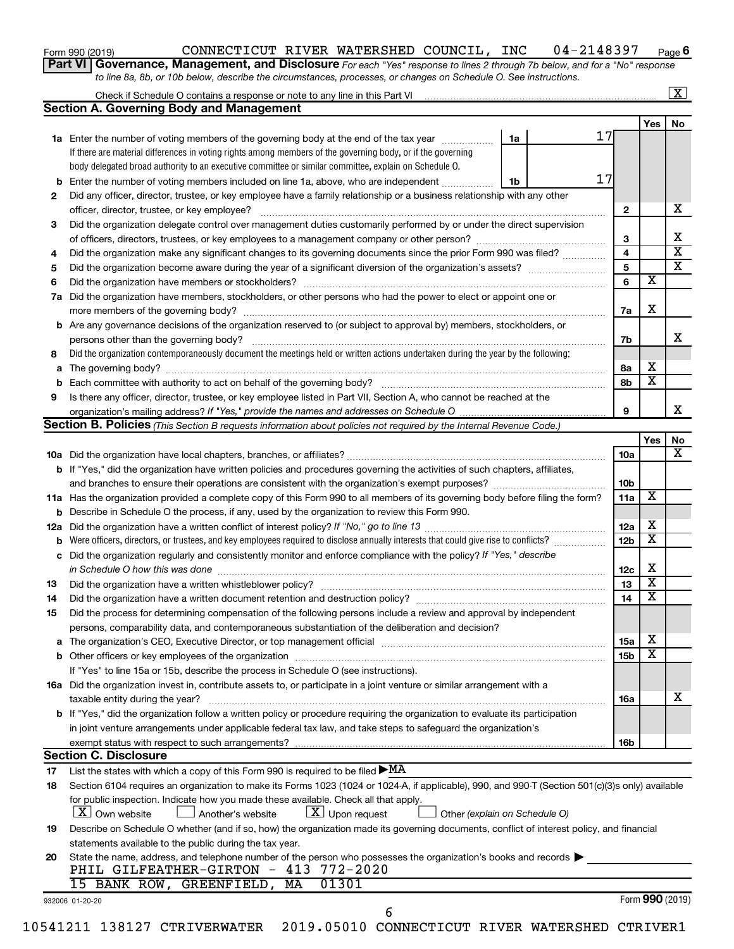| Form 990 (2019) |  |  |  |
|-----------------|--|--|--|
|-----------------|--|--|--|

#### Form 990 (2019) CONNECTICUT RIVER WATERSHED COUNCIL, INC 04-2148397 <sub>Page</sub> **6**

**Part VI** Governance, Management, and Disclosure For each "Yes" response to lines 2 through 7b below, and for a "No" response *to line 8a, 8b, or 10b below, describe the circumstances, processes, or changes on Schedule O. See instructions.*

|    |                                                                                                                                                                                                                               |                        |                              | $\overline{\mathbf{x}}$ |  |  |
|----|-------------------------------------------------------------------------------------------------------------------------------------------------------------------------------------------------------------------------------|------------------------|------------------------------|-------------------------|--|--|
|    | <b>Section A. Governing Body and Management</b>                                                                                                                                                                               |                        |                              |                         |  |  |
|    |                                                                                                                                                                                                                               |                        | Yes                          | No                      |  |  |
|    | 17<br>1a Enter the number of voting members of the governing body at the end of the tax year<br>1a                                                                                                                            |                        |                              |                         |  |  |
|    | If there are material differences in voting rights among members of the governing body, or if the governing                                                                                                                   |                        |                              |                         |  |  |
|    | body delegated broad authority to an executive committee or similar committee, explain on Schedule O.                                                                                                                         |                        |                              |                         |  |  |
| b  | 17<br>Enter the number of voting members included on line 1a, above, who are independent<br>1b                                                                                                                                |                        |                              |                         |  |  |
| 2  | Did any officer, director, trustee, or key employee have a family relationship or a business relationship with any other                                                                                                      |                        |                              |                         |  |  |
|    |                                                                                                                                                                                                                               | $\mathbf{2}$           |                              | х                       |  |  |
| 3  | Did the organization delegate control over management duties customarily performed by or under the direct supervision                                                                                                         |                        |                              |                         |  |  |
|    |                                                                                                                                                                                                                               | 3                      |                              | х                       |  |  |
| 4  | Did the organization make any significant changes to its governing documents since the prior Form 990 was filed?                                                                                                              | 4                      |                              | $\overline{\textbf{x}}$ |  |  |
| 5  |                                                                                                                                                                                                                               | 5                      |                              | $\overline{\texttt{x}}$ |  |  |
| 6  |                                                                                                                                                                                                                               | 6                      | $\overline{\textbf{x}}$      |                         |  |  |
|    | 7a Did the organization have members, stockholders, or other persons who had the power to elect or appoint one or                                                                                                             |                        |                              |                         |  |  |
|    |                                                                                                                                                                                                                               | 7a                     | Х                            |                         |  |  |
|    | <b>b</b> Are any governance decisions of the organization reserved to (or subject to approval by) members, stockholders, or                                                                                                   |                        |                              |                         |  |  |
|    | persons other than the governing body?                                                                                                                                                                                        | 7b                     |                              | x                       |  |  |
| 8  | Did the organization contemporaneously document the meetings held or written actions undertaken during the year by the following:                                                                                             |                        |                              |                         |  |  |
|    |                                                                                                                                                                                                                               | 8а                     | x                            |                         |  |  |
| b  |                                                                                                                                                                                                                               | 8b                     | $\overline{\mathbf{x}}$      |                         |  |  |
| 9  | Is there any officer, director, trustee, or key employee listed in Part VII, Section A, who cannot be reached at the                                                                                                          |                        |                              |                         |  |  |
|    |                                                                                                                                                                                                                               | 9                      |                              | x                       |  |  |
|    | Section B. Policies (This Section B requests information about policies not required by the Internal Revenue Code.)                                                                                                           |                        |                              |                         |  |  |
|    |                                                                                                                                                                                                                               |                        | Yes                          | No                      |  |  |
|    |                                                                                                                                                                                                                               | 10a                    |                              | X                       |  |  |
|    | b If "Yes," did the organization have written policies and procedures governing the activities of such chapters, affiliates,                                                                                                  |                        |                              |                         |  |  |
|    | and branches to ensure their operations are consistent with the organization's exempt purposes?                                                                                                                               | 10 <sub>b</sub>        |                              |                         |  |  |
|    | 11a Has the organization provided a complete copy of this Form 990 to all members of its governing body before filing the form?                                                                                               | 11a                    | X                            |                         |  |  |
|    | <b>b</b> Describe in Schedule O the process, if any, used by the organization to review this Form 990.                                                                                                                        |                        |                              |                         |  |  |
|    |                                                                                                                                                                                                                               | 12a<br>12 <sub>b</sub> | x<br>$\overline{\textbf{x}}$ |                         |  |  |
| b  | Were officers, directors, or trustees, and key employees required to disclose annually interests that could give rise to conflicts?                                                                                           |                        |                              |                         |  |  |
| c  | Did the organization regularly and consistently monitor and enforce compliance with the policy? If "Yes," describe                                                                                                            |                        |                              |                         |  |  |
|    | in Schedule O how this was done                                                                                                                                                                                               | 12c                    | x<br>$\overline{\textbf{x}}$ |                         |  |  |
| 13 |                                                                                                                                                                                                                               | 13                     | $\overline{\textbf{x}}$      |                         |  |  |
| 14 | Did the organization have a written document retention and destruction policy? [11] manufaction manufaction in                                                                                                                | 14                     |                              |                         |  |  |
| 15 | Did the process for determining compensation of the following persons include a review and approval by independent                                                                                                            |                        |                              |                         |  |  |
|    | persons, comparability data, and contemporaneous substantiation of the deliberation and decision?                                                                                                                             |                        | x                            |                         |  |  |
|    | The organization's CEO, Executive Director, or top management official manufactured content content of the organization's CEO, Executive Director, or top management official manufactured content of the original content of | 15a                    | $\overline{\textbf{x}}$      |                         |  |  |
|    | If "Yes" to line 15a or 15b, describe the process in Schedule O (see instructions).                                                                                                                                           | 15b                    |                              |                         |  |  |
|    |                                                                                                                                                                                                                               |                        |                              |                         |  |  |
|    | 16a Did the organization invest in, contribute assets to, or participate in a joint venture or similar arrangement with a<br>taxable entity during the year?                                                                  | 16a                    |                              | x                       |  |  |
|    | b If "Yes," did the organization follow a written policy or procedure requiring the organization to evaluate its participation                                                                                                |                        |                              |                         |  |  |
|    | in joint venture arrangements under applicable federal tax law, and take steps to safeguard the organization's                                                                                                                |                        |                              |                         |  |  |
|    | exempt status with respect to such arrangements?                                                                                                                                                                              | 16b                    |                              |                         |  |  |
|    | <b>Section C. Disclosure</b>                                                                                                                                                                                                  |                        |                              |                         |  |  |
| 17 | List the states with which a copy of this Form 990 is required to be filed $\blacktriangleright$ MA                                                                                                                           |                        |                              |                         |  |  |
| 18 | Section 6104 requires an organization to make its Forms 1023 (1024 or 1024-A, if applicable), 990, and 990-T (Section 501(c)(3)s only) available                                                                              |                        |                              |                         |  |  |
|    | for public inspection. Indicate how you made these available. Check all that apply.                                                                                                                                           |                        |                              |                         |  |  |
|    | X   Own website<br>$ \underline{X} $ Upon request<br>Another's website<br>Other (explain on Schedule O)                                                                                                                       |                        |                              |                         |  |  |
| 19 | Describe on Schedule O whether (and if so, how) the organization made its governing documents, conflict of interest policy, and financial                                                                                     |                        |                              |                         |  |  |
|    | statements available to the public during the tax year.                                                                                                                                                                       |                        |                              |                         |  |  |
| 20 | State the name, address, and telephone number of the person who possesses the organization's books and records                                                                                                                |                        |                              |                         |  |  |
|    | PHIL GILFEATHER-GIRTON - 413 772-2020                                                                                                                                                                                         |                        |                              |                         |  |  |
|    | 01301<br>15 BANK ROW, GREENFIELD, MA                                                                                                                                                                                          |                        |                              |                         |  |  |
|    | 932006 01-20-20                                                                                                                                                                                                               |                        | Form 990 (2019)              |                         |  |  |
|    | 6                                                                                                                                                                                                                             |                        |                              |                         |  |  |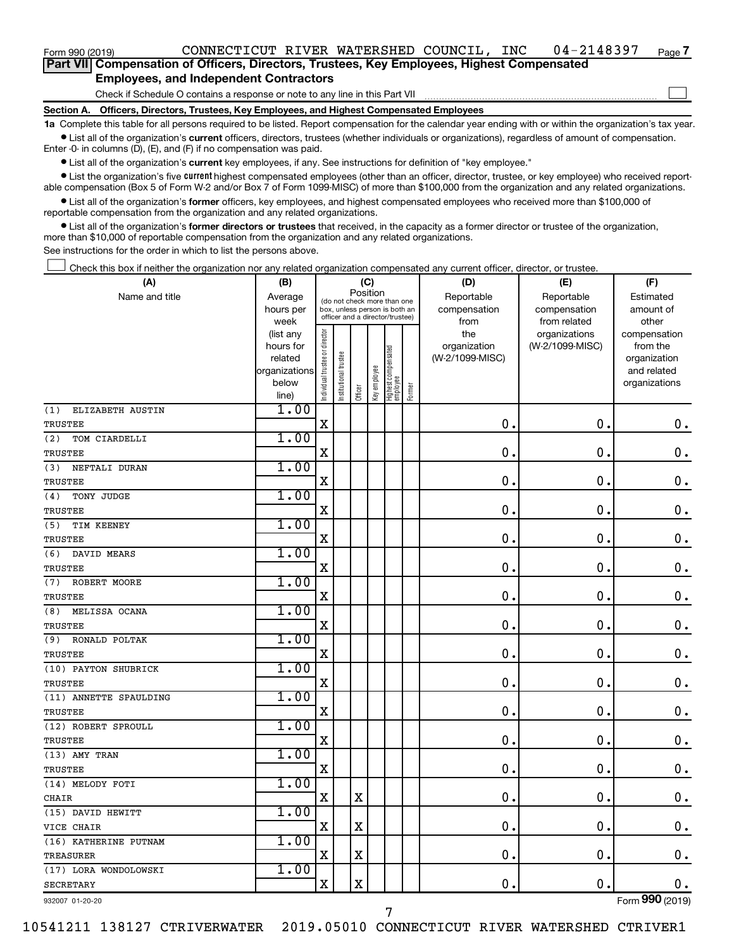Check if Schedule O contains a response or note to any line in this Part VII

**Section A. Officers, Directors, Trustees, Key Employees, and Highest Compensated Employees**

**1a**  Complete this table for all persons required to be listed. Report compensation for the calendar year ending with or within the organization's tax year.  $\bullet$  List all of the organization's current officers, directors, trustees (whether individuals or organizations), regardless of amount of compensation.

Enter -0- in columns (D), (E), and (F) if no compensation was paid.

**•** List all of the organization's current key employees, if any. See instructions for definition of "key employee."

• List the organization's five *current* highest compensated employees (other than an officer, director, trustee, or key employee) who received reportable compensation (Box 5 of Form W-2 and/or Box 7 of Form 1099-MISC) of more than \$100,000 from the organization and any related organizations.

 $\bullet$  List all of the organization's former officers, key employees, and highest compensated employees who received more than \$100,000 of reportable compensation from the organization and any related organizations.

**•** List all of the organization's former directors or trustees that received, in the capacity as a former director or trustee of the organization, more than \$10,000 of reportable compensation from the organization and any related organizations.

See instructions for the order in which to list the persons above.

Check this box if neither the organization nor any related organization compensated any current officer, director, or trustee.  $\Box$ 

| Name and title<br>Reportable<br>Reportable<br>Average<br>Estimated<br>(do not check more than one<br>compensation<br>hours per<br>box, unless person is both an<br>compensation<br>amount of<br>officer and a director/trustee)<br>week<br>from related<br>other<br>from<br>Individual trustee or director<br>the<br>organizations<br>(list any<br>compensation<br>(W-2/1099-MISC)<br>hours for<br>organization<br>from the<br>Highest compensated<br>employee<br>Institutional trustee<br>(W-2/1099-MISC)<br>related<br>organization<br>Key employee<br>organizations<br>and related<br>below<br>organizations<br>Former<br>Officer<br>line)<br>1.00<br>(1)<br>ELIZABETH AUSTIN<br>$\mathbf X$<br>$\mathbf 0$<br>$\mathbf 0$ .<br>0.<br><b>TRUSTEE</b><br>1.00<br>(2)<br>TOM CIARDELLI<br>0.<br>$\mathbf 0$ .<br>X<br>0<br><b>TRUSTEE</b><br>1.00<br>(3)<br>NEFTALI DURAN<br>0<br>0.<br>$\mathbf 0$ .<br>X<br><b>TRUSTEE</b><br>1.00<br>(4)<br>TONY JUDGE<br>$\mathbf X$<br>0.<br>$\mathbf 0$ .<br>$\mathbf 0$ .<br>TRUSTEE<br>1.00<br>(5)<br>TIM KEENEY<br>X<br>$\mathbf 0$<br>$\mathbf 0$ .<br>0.<br><b>TRUSTEE</b><br>1.00<br>(6)<br>DAVID MEARS<br>0<br>X<br>0<br>$\mathbf 0$ .<br><b>TRUSTEE</b><br>1.00<br>ROBERT MOORE<br>(7)<br>0<br>$\mathbf 0$<br>X<br>$\mathbf 0$ .<br>TRUSTEE<br>1.00<br>MELISSA OCANA<br>(8)<br>$\mathbf X$<br>0.<br>$\mathbf 0$ .<br>$\mathbf 0$ .<br>TRUSTEE<br>1.00<br>RONALD POLTAK<br>(9)<br>$\mathbf X$<br>0<br>$\mathbf 0$ .<br>$\mathbf 0$ .<br>TRUSTEE<br>1.00<br>(10) PAYTON SHUBRICK<br>$\mathbf 0$<br>$\mathbf X$<br>$\mathbf 0$<br>$\mathbf 0$ .<br><b>TRUSTEE</b><br>1.00<br>(11) ANNETTE SPAULDING<br>$\mathbf 0$<br>$\mathbf 0$ .<br>$\mathbf X$<br>$\mathbf 0$<br>TRUSTEE<br>1.00<br>(12) ROBERT SPROULL<br>$\mathbf X$<br>$\mathbf 0$<br>$\mathbf 0$<br>$\mathbf 0$ .<br>TRUSTEE<br>1.00<br>(13) AMY TRAN<br>$\mathbf 0$<br>$\mathbf 0$<br>$\mathbf 0$ .<br>X<br>TRUSTEE<br>1.00<br>(14) MELODY FOTI<br>X<br>$\mathbf X$<br>$\mathbf 0$<br>$\mathbf 0$ .<br>$\mathbf 0$ .<br>CHAIR<br>1.00<br>(15) DAVID HEWITT<br>X<br>X<br>0<br>$\mathbf 0$ .<br>0.<br>VICE CHAIR<br>1.00<br>(16) KATHERINE PUTNAM<br>0.<br>$\mathbf 0$ .<br>$\mathbf 0$ .<br>X<br>$\mathbf X$<br>TREASURER<br>1.00<br>(17) LORA WONDOLOWSKI<br>$\mathbf X$<br>X<br>$\mathbf 0$<br>0.<br>$\mathbf 0$ .<br><b>SECRETARY</b> | (A) | (B) |          | (C) |  |  | (D) | (E) | (F) |
|----------------------------------------------------------------------------------------------------------------------------------------------------------------------------------------------------------------------------------------------------------------------------------------------------------------------------------------------------------------------------------------------------------------------------------------------------------------------------------------------------------------------------------------------------------------------------------------------------------------------------------------------------------------------------------------------------------------------------------------------------------------------------------------------------------------------------------------------------------------------------------------------------------------------------------------------------------------------------------------------------------------------------------------------------------------------------------------------------------------------------------------------------------------------------------------------------------------------------------------------------------------------------------------------------------------------------------------------------------------------------------------------------------------------------------------------------------------------------------------------------------------------------------------------------------------------------------------------------------------------------------------------------------------------------------------------------------------------------------------------------------------------------------------------------------------------------------------------------------------------------------------------------------------------------------------------------------------------------------------------------------------------------------------------------------------------------------------------------------------------------------------------------------------------------------------------------------------------------------------------------------------------------------------------------------------------------------------------|-----|-----|----------|-----|--|--|-----|-----|-----|
|                                                                                                                                                                                                                                                                                                                                                                                                                                                                                                                                                                                                                                                                                                                                                                                                                                                                                                                                                                                                                                                                                                                                                                                                                                                                                                                                                                                                                                                                                                                                                                                                                                                                                                                                                                                                                                                                                                                                                                                                                                                                                                                                                                                                                                                                                                                                              |     |     | Position |     |  |  |     |     |     |
|                                                                                                                                                                                                                                                                                                                                                                                                                                                                                                                                                                                                                                                                                                                                                                                                                                                                                                                                                                                                                                                                                                                                                                                                                                                                                                                                                                                                                                                                                                                                                                                                                                                                                                                                                                                                                                                                                                                                                                                                                                                                                                                                                                                                                                                                                                                                              |     |     |          |     |  |  |     |     |     |
|                                                                                                                                                                                                                                                                                                                                                                                                                                                                                                                                                                                                                                                                                                                                                                                                                                                                                                                                                                                                                                                                                                                                                                                                                                                                                                                                                                                                                                                                                                                                                                                                                                                                                                                                                                                                                                                                                                                                                                                                                                                                                                                                                                                                                                                                                                                                              |     |     |          |     |  |  |     |     |     |
|                                                                                                                                                                                                                                                                                                                                                                                                                                                                                                                                                                                                                                                                                                                                                                                                                                                                                                                                                                                                                                                                                                                                                                                                                                                                                                                                                                                                                                                                                                                                                                                                                                                                                                                                                                                                                                                                                                                                                                                                                                                                                                                                                                                                                                                                                                                                              |     |     |          |     |  |  |     |     |     |
|                                                                                                                                                                                                                                                                                                                                                                                                                                                                                                                                                                                                                                                                                                                                                                                                                                                                                                                                                                                                                                                                                                                                                                                                                                                                                                                                                                                                                                                                                                                                                                                                                                                                                                                                                                                                                                                                                                                                                                                                                                                                                                                                                                                                                                                                                                                                              |     |     |          |     |  |  |     |     |     |
|                                                                                                                                                                                                                                                                                                                                                                                                                                                                                                                                                                                                                                                                                                                                                                                                                                                                                                                                                                                                                                                                                                                                                                                                                                                                                                                                                                                                                                                                                                                                                                                                                                                                                                                                                                                                                                                                                                                                                                                                                                                                                                                                                                                                                                                                                                                                              |     |     |          |     |  |  |     |     |     |
|                                                                                                                                                                                                                                                                                                                                                                                                                                                                                                                                                                                                                                                                                                                                                                                                                                                                                                                                                                                                                                                                                                                                                                                                                                                                                                                                                                                                                                                                                                                                                                                                                                                                                                                                                                                                                                                                                                                                                                                                                                                                                                                                                                                                                                                                                                                                              |     |     |          |     |  |  |     |     |     |
|                                                                                                                                                                                                                                                                                                                                                                                                                                                                                                                                                                                                                                                                                                                                                                                                                                                                                                                                                                                                                                                                                                                                                                                                                                                                                                                                                                                                                                                                                                                                                                                                                                                                                                                                                                                                                                                                                                                                                                                                                                                                                                                                                                                                                                                                                                                                              |     |     |          |     |  |  |     |     |     |
|                                                                                                                                                                                                                                                                                                                                                                                                                                                                                                                                                                                                                                                                                                                                                                                                                                                                                                                                                                                                                                                                                                                                                                                                                                                                                                                                                                                                                                                                                                                                                                                                                                                                                                                                                                                                                                                                                                                                                                                                                                                                                                                                                                                                                                                                                                                                              |     |     |          |     |  |  |     |     |     |
|                                                                                                                                                                                                                                                                                                                                                                                                                                                                                                                                                                                                                                                                                                                                                                                                                                                                                                                                                                                                                                                                                                                                                                                                                                                                                                                                                                                                                                                                                                                                                                                                                                                                                                                                                                                                                                                                                                                                                                                                                                                                                                                                                                                                                                                                                                                                              |     |     |          |     |  |  |     |     |     |
|                                                                                                                                                                                                                                                                                                                                                                                                                                                                                                                                                                                                                                                                                                                                                                                                                                                                                                                                                                                                                                                                                                                                                                                                                                                                                                                                                                                                                                                                                                                                                                                                                                                                                                                                                                                                                                                                                                                                                                                                                                                                                                                                                                                                                                                                                                                                              |     |     |          |     |  |  |     |     |     |
|                                                                                                                                                                                                                                                                                                                                                                                                                                                                                                                                                                                                                                                                                                                                                                                                                                                                                                                                                                                                                                                                                                                                                                                                                                                                                                                                                                                                                                                                                                                                                                                                                                                                                                                                                                                                                                                                                                                                                                                                                                                                                                                                                                                                                                                                                                                                              |     |     |          |     |  |  |     |     |     |
|                                                                                                                                                                                                                                                                                                                                                                                                                                                                                                                                                                                                                                                                                                                                                                                                                                                                                                                                                                                                                                                                                                                                                                                                                                                                                                                                                                                                                                                                                                                                                                                                                                                                                                                                                                                                                                                                                                                                                                                                                                                                                                                                                                                                                                                                                                                                              |     |     |          |     |  |  |     |     |     |
|                                                                                                                                                                                                                                                                                                                                                                                                                                                                                                                                                                                                                                                                                                                                                                                                                                                                                                                                                                                                                                                                                                                                                                                                                                                                                                                                                                                                                                                                                                                                                                                                                                                                                                                                                                                                                                                                                                                                                                                                                                                                                                                                                                                                                                                                                                                                              |     |     |          |     |  |  |     |     |     |
|                                                                                                                                                                                                                                                                                                                                                                                                                                                                                                                                                                                                                                                                                                                                                                                                                                                                                                                                                                                                                                                                                                                                                                                                                                                                                                                                                                                                                                                                                                                                                                                                                                                                                                                                                                                                                                                                                                                                                                                                                                                                                                                                                                                                                                                                                                                                              |     |     |          |     |  |  |     |     |     |
|                                                                                                                                                                                                                                                                                                                                                                                                                                                                                                                                                                                                                                                                                                                                                                                                                                                                                                                                                                                                                                                                                                                                                                                                                                                                                                                                                                                                                                                                                                                                                                                                                                                                                                                                                                                                                                                                                                                                                                                                                                                                                                                                                                                                                                                                                                                                              |     |     |          |     |  |  |     |     |     |
|                                                                                                                                                                                                                                                                                                                                                                                                                                                                                                                                                                                                                                                                                                                                                                                                                                                                                                                                                                                                                                                                                                                                                                                                                                                                                                                                                                                                                                                                                                                                                                                                                                                                                                                                                                                                                                                                                                                                                                                                                                                                                                                                                                                                                                                                                                                                              |     |     |          |     |  |  |     |     |     |
|                                                                                                                                                                                                                                                                                                                                                                                                                                                                                                                                                                                                                                                                                                                                                                                                                                                                                                                                                                                                                                                                                                                                                                                                                                                                                                                                                                                                                                                                                                                                                                                                                                                                                                                                                                                                                                                                                                                                                                                                                                                                                                                                                                                                                                                                                                                                              |     |     |          |     |  |  |     |     |     |
|                                                                                                                                                                                                                                                                                                                                                                                                                                                                                                                                                                                                                                                                                                                                                                                                                                                                                                                                                                                                                                                                                                                                                                                                                                                                                                                                                                                                                                                                                                                                                                                                                                                                                                                                                                                                                                                                                                                                                                                                                                                                                                                                                                                                                                                                                                                                              |     |     |          |     |  |  |     |     |     |
|                                                                                                                                                                                                                                                                                                                                                                                                                                                                                                                                                                                                                                                                                                                                                                                                                                                                                                                                                                                                                                                                                                                                                                                                                                                                                                                                                                                                                                                                                                                                                                                                                                                                                                                                                                                                                                                                                                                                                                                                                                                                                                                                                                                                                                                                                                                                              |     |     |          |     |  |  |     |     |     |
|                                                                                                                                                                                                                                                                                                                                                                                                                                                                                                                                                                                                                                                                                                                                                                                                                                                                                                                                                                                                                                                                                                                                                                                                                                                                                                                                                                                                                                                                                                                                                                                                                                                                                                                                                                                                                                                                                                                                                                                                                                                                                                                                                                                                                                                                                                                                              |     |     |          |     |  |  |     |     |     |
|                                                                                                                                                                                                                                                                                                                                                                                                                                                                                                                                                                                                                                                                                                                                                                                                                                                                                                                                                                                                                                                                                                                                                                                                                                                                                                                                                                                                                                                                                                                                                                                                                                                                                                                                                                                                                                                                                                                                                                                                                                                                                                                                                                                                                                                                                                                                              |     |     |          |     |  |  |     |     |     |
|                                                                                                                                                                                                                                                                                                                                                                                                                                                                                                                                                                                                                                                                                                                                                                                                                                                                                                                                                                                                                                                                                                                                                                                                                                                                                                                                                                                                                                                                                                                                                                                                                                                                                                                                                                                                                                                                                                                                                                                                                                                                                                                                                                                                                                                                                                                                              |     |     |          |     |  |  |     |     |     |
|                                                                                                                                                                                                                                                                                                                                                                                                                                                                                                                                                                                                                                                                                                                                                                                                                                                                                                                                                                                                                                                                                                                                                                                                                                                                                                                                                                                                                                                                                                                                                                                                                                                                                                                                                                                                                                                                                                                                                                                                                                                                                                                                                                                                                                                                                                                                              |     |     |          |     |  |  |     |     |     |
|                                                                                                                                                                                                                                                                                                                                                                                                                                                                                                                                                                                                                                                                                                                                                                                                                                                                                                                                                                                                                                                                                                                                                                                                                                                                                                                                                                                                                                                                                                                                                                                                                                                                                                                                                                                                                                                                                                                                                                                                                                                                                                                                                                                                                                                                                                                                              |     |     |          |     |  |  |     |     |     |
|                                                                                                                                                                                                                                                                                                                                                                                                                                                                                                                                                                                                                                                                                                                                                                                                                                                                                                                                                                                                                                                                                                                                                                                                                                                                                                                                                                                                                                                                                                                                                                                                                                                                                                                                                                                                                                                                                                                                                                                                                                                                                                                                                                                                                                                                                                                                              |     |     |          |     |  |  |     |     |     |
|                                                                                                                                                                                                                                                                                                                                                                                                                                                                                                                                                                                                                                                                                                                                                                                                                                                                                                                                                                                                                                                                                                                                                                                                                                                                                                                                                                                                                                                                                                                                                                                                                                                                                                                                                                                                                                                                                                                                                                                                                                                                                                                                                                                                                                                                                                                                              |     |     |          |     |  |  |     |     |     |
|                                                                                                                                                                                                                                                                                                                                                                                                                                                                                                                                                                                                                                                                                                                                                                                                                                                                                                                                                                                                                                                                                                                                                                                                                                                                                                                                                                                                                                                                                                                                                                                                                                                                                                                                                                                                                                                                                                                                                                                                                                                                                                                                                                                                                                                                                                                                              |     |     |          |     |  |  |     |     |     |
|                                                                                                                                                                                                                                                                                                                                                                                                                                                                                                                                                                                                                                                                                                                                                                                                                                                                                                                                                                                                                                                                                                                                                                                                                                                                                                                                                                                                                                                                                                                                                                                                                                                                                                                                                                                                                                                                                                                                                                                                                                                                                                                                                                                                                                                                                                                                              |     |     |          |     |  |  |     |     |     |
|                                                                                                                                                                                                                                                                                                                                                                                                                                                                                                                                                                                                                                                                                                                                                                                                                                                                                                                                                                                                                                                                                                                                                                                                                                                                                                                                                                                                                                                                                                                                                                                                                                                                                                                                                                                                                                                                                                                                                                                                                                                                                                                                                                                                                                                                                                                                              |     |     |          |     |  |  |     |     |     |
|                                                                                                                                                                                                                                                                                                                                                                                                                                                                                                                                                                                                                                                                                                                                                                                                                                                                                                                                                                                                                                                                                                                                                                                                                                                                                                                                                                                                                                                                                                                                                                                                                                                                                                                                                                                                                                                                                                                                                                                                                                                                                                                                                                                                                                                                                                                                              |     |     |          |     |  |  |     |     |     |
|                                                                                                                                                                                                                                                                                                                                                                                                                                                                                                                                                                                                                                                                                                                                                                                                                                                                                                                                                                                                                                                                                                                                                                                                                                                                                                                                                                                                                                                                                                                                                                                                                                                                                                                                                                                                                                                                                                                                                                                                                                                                                                                                                                                                                                                                                                                                              |     |     |          |     |  |  |     |     |     |
|                                                                                                                                                                                                                                                                                                                                                                                                                                                                                                                                                                                                                                                                                                                                                                                                                                                                                                                                                                                                                                                                                                                                                                                                                                                                                                                                                                                                                                                                                                                                                                                                                                                                                                                                                                                                                                                                                                                                                                                                                                                                                                                                                                                                                                                                                                                                              |     |     |          |     |  |  |     |     |     |
|                                                                                                                                                                                                                                                                                                                                                                                                                                                                                                                                                                                                                                                                                                                                                                                                                                                                                                                                                                                                                                                                                                                                                                                                                                                                                                                                                                                                                                                                                                                                                                                                                                                                                                                                                                                                                                                                                                                                                                                                                                                                                                                                                                                                                                                                                                                                              |     |     |          |     |  |  |     |     |     |
|                                                                                                                                                                                                                                                                                                                                                                                                                                                                                                                                                                                                                                                                                                                                                                                                                                                                                                                                                                                                                                                                                                                                                                                                                                                                                                                                                                                                                                                                                                                                                                                                                                                                                                                                                                                                                                                                                                                                                                                                                                                                                                                                                                                                                                                                                                                                              |     |     |          |     |  |  |     |     |     |
|                                                                                                                                                                                                                                                                                                                                                                                                                                                                                                                                                                                                                                                                                                                                                                                                                                                                                                                                                                                                                                                                                                                                                                                                                                                                                                                                                                                                                                                                                                                                                                                                                                                                                                                                                                                                                                                                                                                                                                                                                                                                                                                                                                                                                                                                                                                                              |     |     |          |     |  |  |     |     |     |
|                                                                                                                                                                                                                                                                                                                                                                                                                                                                                                                                                                                                                                                                                                                                                                                                                                                                                                                                                                                                                                                                                                                                                                                                                                                                                                                                                                                                                                                                                                                                                                                                                                                                                                                                                                                                                                                                                                                                                                                                                                                                                                                                                                                                                                                                                                                                              |     |     |          |     |  |  |     |     |     |
|                                                                                                                                                                                                                                                                                                                                                                                                                                                                                                                                                                                                                                                                                                                                                                                                                                                                                                                                                                                                                                                                                                                                                                                                                                                                                                                                                                                                                                                                                                                                                                                                                                                                                                                                                                                                                                                                                                                                                                                                                                                                                                                                                                                                                                                                                                                                              |     |     |          |     |  |  |     |     |     |
|                                                                                                                                                                                                                                                                                                                                                                                                                                                                                                                                                                                                                                                                                                                                                                                                                                                                                                                                                                                                                                                                                                                                                                                                                                                                                                                                                                                                                                                                                                                                                                                                                                                                                                                                                                                                                                                                                                                                                                                                                                                                                                                                                                                                                                                                                                                                              |     |     |          |     |  |  |     |     |     |
|                                                                                                                                                                                                                                                                                                                                                                                                                                                                                                                                                                                                                                                                                                                                                                                                                                                                                                                                                                                                                                                                                                                                                                                                                                                                                                                                                                                                                                                                                                                                                                                                                                                                                                                                                                                                                                                                                                                                                                                                                                                                                                                                                                                                                                                                                                                                              |     |     |          |     |  |  |     |     |     |
|                                                                                                                                                                                                                                                                                                                                                                                                                                                                                                                                                                                                                                                                                                                                                                                                                                                                                                                                                                                                                                                                                                                                                                                                                                                                                                                                                                                                                                                                                                                                                                                                                                                                                                                                                                                                                                                                                                                                                                                                                                                                                                                                                                                                                                                                                                                                              |     |     |          |     |  |  |     |     |     |
|                                                                                                                                                                                                                                                                                                                                                                                                                                                                                                                                                                                                                                                                                                                                                                                                                                                                                                                                                                                                                                                                                                                                                                                                                                                                                                                                                                                                                                                                                                                                                                                                                                                                                                                                                                                                                                                                                                                                                                                                                                                                                                                                                                                                                                                                                                                                              |     |     |          |     |  |  |     |     |     |

932007 01-20-20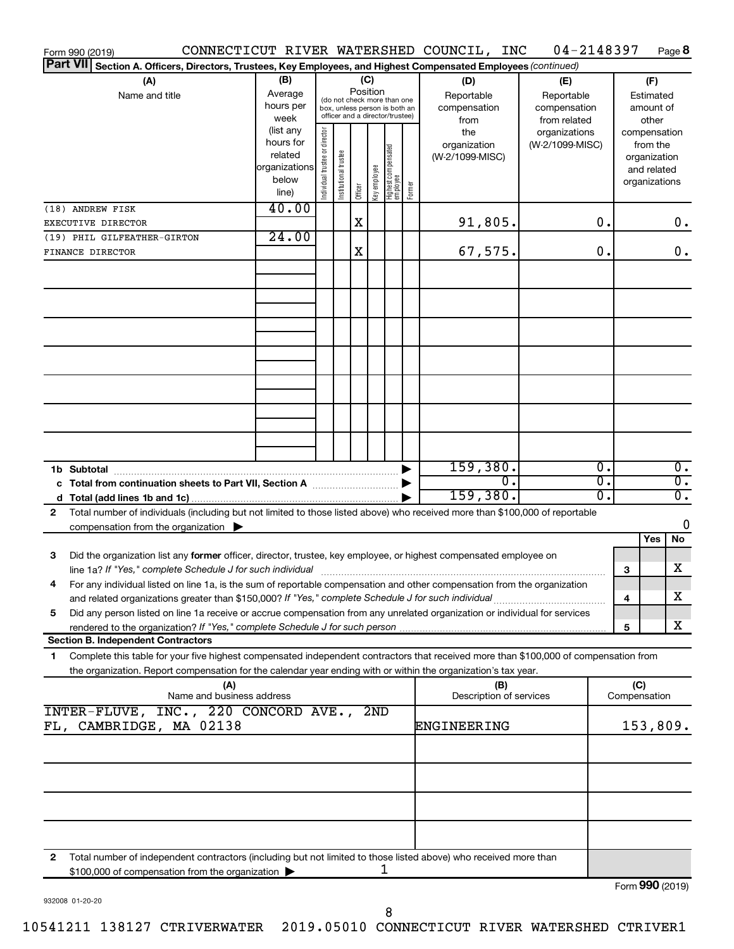|                 | Form 990 (2019)                                                                                                                                                                                                                   |                                                                      |                                |                       |         |             |                                                                                                             |        | CONNECTICUT RIVER WATERSHED COUNCIL,<br>INC | 04-2148397                                        |          |                                                                          | Page 8                               |
|-----------------|-----------------------------------------------------------------------------------------------------------------------------------------------------------------------------------------------------------------------------------|----------------------------------------------------------------------|--------------------------------|-----------------------|---------|-------------|-------------------------------------------------------------------------------------------------------------|--------|---------------------------------------------|---------------------------------------------------|----------|--------------------------------------------------------------------------|--------------------------------------|
| <b>Part VII</b> | Section A. Officers, Directors, Trustees, Key Employees, and Highest Compensated Employees (continued)                                                                                                                            |                                                                      |                                |                       |         |             |                                                                                                             |        |                                             |                                                   |          |                                                                          |                                      |
|                 | (A)<br>Name and title                                                                                                                                                                                                             | (B)<br>Average<br>hours per<br>week                                  |                                |                       |         |             | Position<br>(do not check more than one<br>box, unless person is both an<br>officer and a director/trustee) |        | (D)<br>Reportable<br>compensation<br>from   | (E)<br>Reportable<br>compensation<br>from related |          | (F)<br>Estimated<br>amount of<br>other                                   |                                      |
|                 |                                                                                                                                                                                                                                   | (list any<br>hours for<br>related<br>organizations<br>below<br>line) | Individual trustee or director | Institutional trustee | Officer | Keyemployee | Highest compensated<br>  employee                                                                           | Former | the<br>organization<br>(W-2/1099-MISC)      | organizations<br>(W-2/1099-MISC)                  |          | compensation<br>from the<br>organization<br>and related<br>organizations |                                      |
|                 | (18) ANDREW FISK<br>EXECUTIVE DIRECTOR                                                                                                                                                                                            | 40.00                                                                |                                |                       | X       |             |                                                                                                             |        | 91,805.                                     |                                                   | 0.       |                                                                          | $0$ .                                |
|                 | (19) PHIL GILFEATHER-GIRTON<br>FINANCE DIRECTOR                                                                                                                                                                                   | 24.00                                                                |                                |                       | X       |             |                                                                                                             |        | 67,575.                                     |                                                   | 0.       |                                                                          | $0$ .                                |
|                 |                                                                                                                                                                                                                                   |                                                                      |                                |                       |         |             |                                                                                                             |        |                                             |                                                   |          |                                                                          |                                      |
|                 |                                                                                                                                                                                                                                   |                                                                      |                                |                       |         |             |                                                                                                             |        |                                             |                                                   |          |                                                                          |                                      |
|                 |                                                                                                                                                                                                                                   |                                                                      |                                |                       |         |             |                                                                                                             |        |                                             |                                                   |          |                                                                          |                                      |
|                 |                                                                                                                                                                                                                                   |                                                                      |                                |                       |         |             |                                                                                                             |        |                                             |                                                   |          |                                                                          |                                      |
|                 |                                                                                                                                                                                                                                   |                                                                      |                                |                       |         |             |                                                                                                             |        |                                             |                                                   |          |                                                                          |                                      |
|                 |                                                                                                                                                                                                                                   |                                                                      |                                |                       |         |             |                                                                                                             |        |                                             |                                                   |          |                                                                          |                                      |
|                 |                                                                                                                                                                                                                                   |                                                                      |                                |                       |         |             |                                                                                                             |        |                                             |                                                   |          |                                                                          |                                      |
|                 |                                                                                                                                                                                                                                   |                                                                      |                                |                       |         |             |                                                                                                             | ▶      | 159,380.                                    |                                                   | 0.       |                                                                          | $\overline{0}$ .                     |
|                 | c Total from continuation sheets to Part VII, Section A manuscreen by                                                                                                                                                             |                                                                      |                                |                       |         |             |                                                                                                             |        | $\overline{0}$<br>159,380.                  |                                                   | σ.<br>σ. |                                                                          | $\overline{0}$ .<br>$\overline{0}$ . |
| 2               | Total number of individuals (including but not limited to those listed above) who received more than \$100,000 of reportable                                                                                                      |                                                                      |                                |                       |         |             |                                                                                                             |        |                                             |                                                   |          |                                                                          |                                      |
|                 | compensation from the organization $\blacktriangleright$                                                                                                                                                                          |                                                                      |                                |                       |         |             |                                                                                                             |        |                                             |                                                   |          |                                                                          | 0                                    |
| 3               | Did the organization list any former officer, director, trustee, key employee, or highest compensated employee on                                                                                                                 |                                                                      |                                |                       |         |             |                                                                                                             |        |                                             |                                                   |          | Yes                                                                      | No                                   |
|                 | For any individual listed on line 1a, is the sum of reportable compensation and other compensation from the organization                                                                                                          |                                                                      |                                |                       |         |             |                                                                                                             |        |                                             |                                                   |          | 3                                                                        | х                                    |
| 5.              | and related organizations greater than \$150,000? If "Yes," complete Schedule J for such individual<br>Did any person listed on line 1a receive or accrue compensation from any unrelated organization or individual for services |                                                                      |                                |                       |         |             |                                                                                                             |        |                                             |                                                   |          | 4                                                                        | х                                    |
|                 | <b>Section B. Independent Contractors</b>                                                                                                                                                                                         |                                                                      |                                |                       |         |             |                                                                                                             |        |                                             |                                                   |          | 5                                                                        | х                                    |
| 1.              | Complete this table for your five highest compensated independent contractors that received more than \$100,000 of compensation from                                                                                              |                                                                      |                                |                       |         |             |                                                                                                             |        |                                             |                                                   |          |                                                                          |                                      |
|                 | the organization. Report compensation for the calendar year ending with or within the organization's tax year.<br>(A)                                                                                                             |                                                                      |                                |                       |         |             |                                                                                                             |        | (B)                                         |                                                   |          | (C)                                                                      |                                      |
|                 | Name and business address<br>INTER-FLUVE, INC., 220 CONCORD AVE.,                                                                                                                                                                 |                                                                      |                                |                       |         | 2ND         |                                                                                                             |        | Description of services                     |                                                   |          | Compensation                                                             |                                      |
|                 | FL, CAMBRIDGE, MA 02138                                                                                                                                                                                                           |                                                                      |                                |                       |         |             |                                                                                                             |        | ENGINEERING                                 |                                                   | 153,809. |                                                                          |                                      |
|                 |                                                                                                                                                                                                                                   |                                                                      |                                |                       |         |             |                                                                                                             |        |                                             |                                                   |          |                                                                          |                                      |
|                 |                                                                                                                                                                                                                                   |                                                                      |                                |                       |         |             |                                                                                                             |        |                                             |                                                   |          |                                                                          |                                      |
|                 |                                                                                                                                                                                                                                   |                                                                      |                                |                       |         |             |                                                                                                             |        |                                             |                                                   |          |                                                                          |                                      |
| 2               | Total number of independent contractors (including but not limited to those listed above) who received more than                                                                                                                  |                                                                      |                                |                       |         |             |                                                                                                             |        |                                             |                                                   |          |                                                                          |                                      |
|                 | \$100,000 of compensation from the organization                                                                                                                                                                                   |                                                                      |                                |                       |         |             | 1                                                                                                           |        |                                             |                                                   |          |                                                                          | Form 990 (2019)                      |

932008 01-20-20

10541211 138127 CTRIVERWATER 2019.05010 CONNECTICUT RIVER WATERSHED CTRIVER1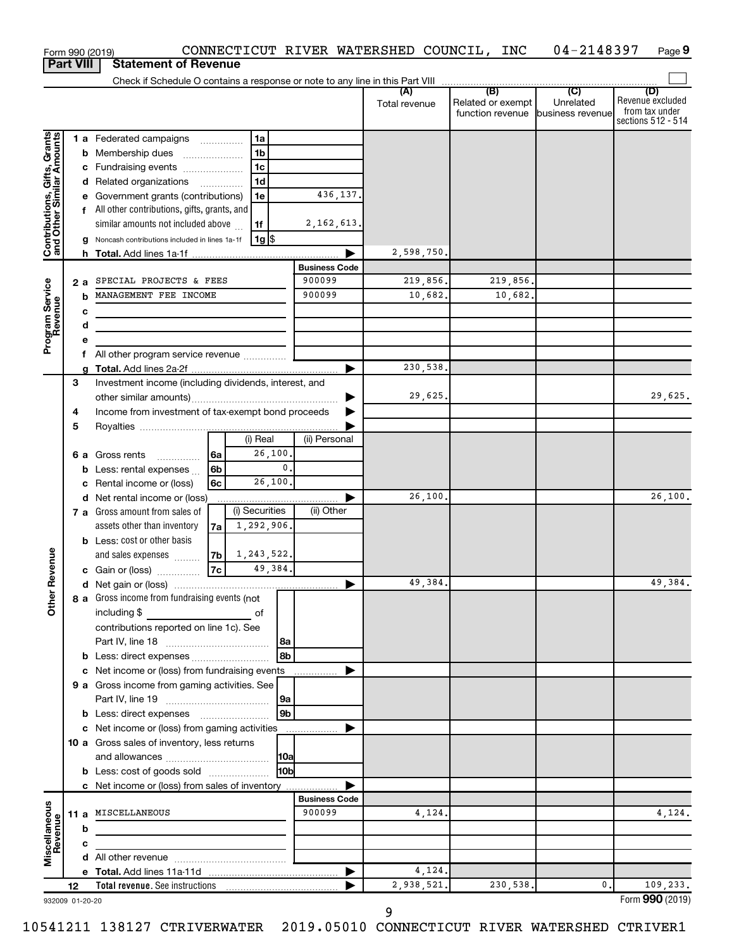|                                                           |                                                                                     |     | Form 990 (2019)                                                            |                                      |                   |                      | CONNECTICUT RIVER WATERSHED COUNCIL, INC |                                       | 04-2148397                    | Page 9                                                   |
|-----------------------------------------------------------|-------------------------------------------------------------------------------------|-----|----------------------------------------------------------------------------|--------------------------------------|-------------------|----------------------|------------------------------------------|---------------------------------------|-------------------------------|----------------------------------------------------------|
| <b>Part VIII</b>                                          |                                                                                     |     | <b>Statement of Revenue</b>                                                |                                      |                   |                      |                                          |                                       |                               |                                                          |
|                                                           |                                                                                     |     |                                                                            |                                      |                   |                      |                                          | (B)                                   | $\overline{C}$                | (D)                                                      |
|                                                           |                                                                                     |     |                                                                            |                                      |                   |                      | (A)<br>Total revenue                     | Related or exempt<br>function revenue | Unrelated<br>business revenue | Revenue excluded<br>from tax under<br>sections 512 - 514 |
|                                                           |                                                                                     |     | 1 a Federated campaigns                                                    |                                      | 1a                |                      |                                          |                                       |                               |                                                          |
| Contributions, Gifts, Grants<br>and Other Similar Amounts |                                                                                     |     | <b>b</b> Membership dues                                                   | $\ldots \ldots \ldots \ldots \ldots$ | 1 <sub>b</sub>    |                      |                                          |                                       |                               |                                                          |
|                                                           |                                                                                     |     | c Fundraising events                                                       |                                      | 1c                |                      |                                          |                                       |                               |                                                          |
|                                                           |                                                                                     |     | d Related organizations                                                    |                                      | 1 <sub>d</sub>    |                      |                                          |                                       |                               |                                                          |
|                                                           |                                                                                     |     | e Government grants (contributions)                                        |                                      | 1e                | 436,137.             |                                          |                                       |                               |                                                          |
|                                                           |                                                                                     |     | f All other contributions, gifts, grants, and                              |                                      |                   |                      |                                          |                                       |                               |                                                          |
|                                                           |                                                                                     |     | similar amounts not included above                                         |                                      | 1f                | 2, 162, 613.         |                                          |                                       |                               |                                                          |
|                                                           |                                                                                     |     | Noncash contributions included in lines 1a-1f                              |                                      | 1g   \$           |                      |                                          |                                       |                               |                                                          |
|                                                           |                                                                                     | h.  |                                                                            |                                      |                   | ▶                    | 2,598,750.                               |                                       |                               |                                                          |
|                                                           |                                                                                     |     |                                                                            |                                      |                   | <b>Business Code</b> |                                          |                                       |                               |                                                          |
|                                                           |                                                                                     | 2 a | SPECIAL PROJECTS & FEES                                                    |                                      |                   | 900099               | 219,856.                                 | 219,856.                              |                               |                                                          |
| Program Service<br>Revenue                                |                                                                                     | b   | MANAGEMENT FEE INCOME                                                      |                                      |                   | 900099               | 10,682.                                  | 10,682.                               |                               |                                                          |
|                                                           |                                                                                     | с   |                                                                            |                                      |                   |                      |                                          |                                       |                               |                                                          |
|                                                           |                                                                                     | d   | the control of the control of the control of the control of the control of |                                      |                   |                      |                                          |                                       |                               |                                                          |
|                                                           |                                                                                     | е   |                                                                            |                                      |                   |                      |                                          |                                       |                               |                                                          |
|                                                           |                                                                                     |     | f All other program service revenue                                        |                                      |                   |                      |                                          |                                       |                               |                                                          |
|                                                           |                                                                                     | a   |                                                                            |                                      |                   | ▶                    | 230,538.                                 |                                       |                               |                                                          |
|                                                           | З                                                                                   |     | Investment income (including dividends, interest, and                      |                                      |                   |                      | 29,625.                                  |                                       |                               | 29,625.                                                  |
|                                                           |                                                                                     |     | Income from investment of tax-exempt bond proceeds                         |                                      |                   | ▶                    |                                          |                                       |                               |                                                          |
|                                                           | 4<br>5                                                                              |     |                                                                            |                                      |                   |                      |                                          |                                       |                               |                                                          |
|                                                           |                                                                                     |     |                                                                            |                                      | (i) Real          | (ii) Personal        |                                          |                                       |                               |                                                          |
|                                                           |                                                                                     |     | <b>6 a</b> Gross rents                                                     | l6a                                  | 26,100.           |                      |                                          |                                       |                               |                                                          |
|                                                           |                                                                                     |     | .<br><b>b</b> Less: rental expenses                                        | 6b                                   | 0.                |                      |                                          |                                       |                               |                                                          |
|                                                           |                                                                                     | С   | Rental income or (loss)                                                    | 6с                                   | 26, 100.          |                      |                                          |                                       |                               |                                                          |
|                                                           |                                                                                     |     | d Net rental income or (loss)                                              |                                      |                   | ▶                    | 26,100.                                  |                                       |                               | 26,100.                                                  |
|                                                           |                                                                                     |     | 7 a Gross amount from sales of                                             |                                      | (i) Securities    | (ii) Other           |                                          |                                       |                               |                                                          |
|                                                           |                                                                                     |     | assets other than inventory                                                | 7a                                   | 1,292,906.        |                      |                                          |                                       |                               |                                                          |
|                                                           |                                                                                     |     | <b>b</b> Less: cost or other basis                                         |                                      |                   |                      |                                          |                                       |                               |                                                          |
|                                                           |                                                                                     |     | and sales expenses                                                         | 7b                                   | 1,243,522.        |                      |                                          |                                       |                               |                                                          |
| evenue                                                    |                                                                                     |     | c Gain or (loss)                                                           | 7c                                   | 49,384.           |                      |                                          |                                       |                               |                                                          |
|                                                           |                                                                                     |     |                                                                            |                                      |                   |                      | 49,384.                                  |                                       |                               | 49,384.                                                  |
| Other <sub>R</sub>                                        |                                                                                     |     | 8 a Gross income from fundraising events (not                              |                                      |                   |                      |                                          |                                       |                               |                                                          |
|                                                           |                                                                                     |     | including $$$<br><u>of</u> of                                              |                                      |                   |                      |                                          |                                       |                               |                                                          |
|                                                           |                                                                                     |     | contributions reported on line 1c). See                                    |                                      |                   |                      |                                          |                                       |                               |                                                          |
|                                                           |                                                                                     |     |                                                                            |                                      | 8a                |                      |                                          |                                       |                               |                                                          |
|                                                           |                                                                                     |     | <b>b</b> Less: direct expenses                                             |                                      | l 8b              |                      |                                          |                                       |                               |                                                          |
|                                                           |                                                                                     |     | c Net income or (loss) from fundraising events                             |                                      |                   | ▶                    |                                          |                                       |                               |                                                          |
|                                                           |                                                                                     |     | 9 a Gross income from gaming activities. See                               |                                      |                   |                      |                                          |                                       |                               |                                                          |
|                                                           |                                                                                     |     |                                                                            |                                      | 9a                |                      |                                          |                                       |                               |                                                          |
|                                                           |                                                                                     |     |                                                                            |                                      | l 9b              |                      |                                          |                                       |                               |                                                          |
|                                                           |                                                                                     |     | c Net income or (loss) from gaming activities                              |                                      |                   | ▶                    |                                          |                                       |                               |                                                          |
|                                                           |                                                                                     |     | 10 a Gross sales of inventory, less returns                                |                                      |                   |                      |                                          |                                       |                               |                                                          |
|                                                           |                                                                                     |     |                                                                            |                                      | 10a<br><b>HOb</b> |                      |                                          |                                       |                               |                                                          |
|                                                           | <b>b</b> Less: cost of goods sold<br>c Net income or (loss) from sales of inventory |     |                                                                            |                                      |                   |                      |                                          |                                       |                               |                                                          |
|                                                           |                                                                                     |     |                                                                            |                                      |                   | <b>Business Code</b> |                                          |                                       |                               |                                                          |
|                                                           |                                                                                     |     | 11 a MISCELLANEOUS                                                         |                                      |                   | 900099               | 4,124.                                   |                                       |                               | 4,124.                                                   |
|                                                           |                                                                                     | b   | and the control of the control of                                          |                                      |                   |                      |                                          |                                       |                               |                                                          |
|                                                           |                                                                                     | c   |                                                                            |                                      |                   |                      |                                          |                                       |                               |                                                          |
| Miscellaneous<br>Revenue                                  |                                                                                     |     |                                                                            |                                      |                   |                      |                                          |                                       |                               |                                                          |
|                                                           |                                                                                     |     |                                                                            |                                      |                   |                      | 4,124.                                   |                                       |                               |                                                          |
|                                                           | 12                                                                                  |     |                                                                            |                                      |                   |                      | 2,938,521.                               | 230,538.                              | 0.                            | 109,233.                                                 |
| 022000 01 20 20                                           |                                                                                     |     |                                                                            |                                      |                   |                      |                                          |                                       |                               | $Form$ 990 (2019)                                        |

932009 01-20-20

Form **990** (2019) **990**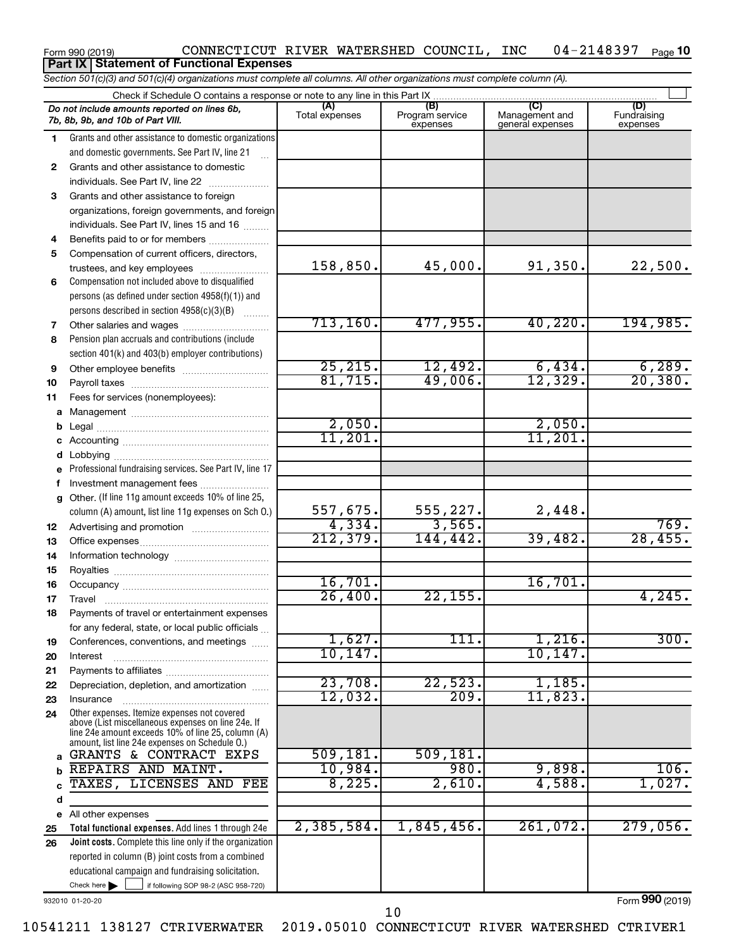#### Form 990 (2019) CONNECTICUT RIVER WATERSHED COUNCIL, INC 04-2148397 Page 04-2148397 Page 10 **Part IX Statement of Functional Expenses**

*Section 501(c)(3) and 501(c)(4) organizations must complete all columns. All other organizations must complete column (A).*

|              | Check if Schedule O contains a response or note to any line in this Part IX                          |                       |                                    |                                           |                                |
|--------------|------------------------------------------------------------------------------------------------------|-----------------------|------------------------------------|-------------------------------------------|--------------------------------|
|              | Do not include amounts reported on lines 6b,<br>7b, 8b, 9b, and 10b of Part VIII.                    | (A)<br>Total expenses | (B)<br>Program service<br>expenses | (C)<br>Management and<br>general expenses | (D)<br>Fundraising<br>expenses |
| 1.           | Grants and other assistance to domestic organizations                                                |                       |                                    |                                           |                                |
|              | and domestic governments. See Part IV, line 21                                                       |                       |                                    |                                           |                                |
| $\mathbf{2}$ | Grants and other assistance to domestic                                                              |                       |                                    |                                           |                                |
|              | individuals. See Part IV, line 22                                                                    |                       |                                    |                                           |                                |
| 3            | Grants and other assistance to foreign                                                               |                       |                                    |                                           |                                |
|              | organizations, foreign governments, and foreign                                                      |                       |                                    |                                           |                                |
|              | individuals. See Part IV, lines 15 and 16                                                            |                       |                                    |                                           |                                |
| 4            | Benefits paid to or for members                                                                      |                       |                                    |                                           |                                |
| 5            | Compensation of current officers, directors,                                                         |                       |                                    |                                           |                                |
|              | trustees, and key employees                                                                          | 158,850.              | 45,000.                            | 91,350.                                   | 22,500.                        |
| 6            | Compensation not included above to disqualified                                                      |                       |                                    |                                           |                                |
|              | persons (as defined under section 4958(f)(1)) and                                                    |                       |                                    |                                           |                                |
|              | persons described in section 4958(c)(3)(B)                                                           |                       |                                    |                                           |                                |
| 7            |                                                                                                      | 713, 160.             | 477,955.                           | 40, 220.                                  | 194,985.                       |
| 8            | Pension plan accruals and contributions (include                                                     |                       |                                    |                                           |                                |
|              | section 401(k) and 403(b) employer contributions)                                                    |                       |                                    |                                           |                                |
| 9            |                                                                                                      | 25, 215.              | 12,492.                            | 6,434.                                    | 6,289.                         |
| 10           |                                                                                                      | 81,715.               | 49,006.                            | 12,329.                                   | 20, 380.                       |
| 11           | Fees for services (nonemployees):                                                                    |                       |                                    |                                           |                                |
| a            |                                                                                                      |                       |                                    |                                           |                                |
| b            |                                                                                                      | 2,050.                |                                    | 2,050.                                    |                                |
| c            |                                                                                                      | 11,201.               |                                    | 11,201.                                   |                                |
| d            |                                                                                                      |                       |                                    |                                           |                                |
| e            | Professional fundraising services. See Part IV, line 17                                              |                       |                                    |                                           |                                |
| f            | Investment management fees                                                                           |                       |                                    |                                           |                                |
| q            | Other. (If line 11g amount exceeds 10% of line 25,                                                   |                       |                                    |                                           |                                |
|              | column (A) amount, list line 11g expenses on Sch O.)                                                 | 557,675.              | 555,227.                           | 2,448.                                    |                                |
| 12           |                                                                                                      | 4,334.<br>212,379.    | 3,565.                             |                                           | 769.<br>28,455.                |
| 13           |                                                                                                      |                       | 144,442.                           | 39,482.                                   |                                |
| 14           |                                                                                                      |                       |                                    |                                           |                                |
| 15           |                                                                                                      |                       |                                    | 16,701.                                   |                                |
| 16           |                                                                                                      | 16,701.<br>26,400.    | 22, 155.                           |                                           | 4,245.                         |
| 17           |                                                                                                      |                       |                                    |                                           |                                |
| 18           | Payments of travel or entertainment expenses                                                         |                       |                                    |                                           |                                |
|              | for any federal, state, or local public officials                                                    | 1,627.                | 111.                               | 1,216.                                    | 300.                           |
| 19           | Conferences, conventions, and meetings                                                               | 10, 147.              |                                    | 10, 147.                                  |                                |
| 20           | Interest                                                                                             |                       |                                    |                                           |                                |
| 21<br>22     | Depreciation, depletion, and amortization                                                            | 23,708.               | 22,523.                            | 1,185.                                    |                                |
| 23           | Insurance                                                                                            | 12,032.               | 209.                               | 11,823.                                   |                                |
| 24           | Other expenses. Itemize expenses not covered                                                         |                       |                                    |                                           |                                |
|              | above (List miscellaneous expenses on line 24e. If                                                   |                       |                                    |                                           |                                |
|              | line 24e amount exceeds 10% of line 25, column (A)<br>amount, list line 24e expenses on Schedule O.) |                       |                                    |                                           |                                |
| a            | GRANTS & CONTRACT EXPS                                                                               | 509, 181.             | 509, 181.                          |                                           |                                |
|              | REPAIRS AND MAINT.                                                                                   | 10,984.               | 980.                               | 9,898.                                    | 106.                           |
|              | TAXES, LICENSES AND FEE                                                                              | 8,225.                | 2,610.                             | 4,588.                                    | 1,027.                         |
| d            |                                                                                                      |                       |                                    |                                           |                                |
| е            | All other expenses                                                                                   |                       |                                    |                                           |                                |
| 25           | Total functional expenses. Add lines 1 through 24e                                                   | 2,385,584.            | 1,845,456.                         | 261,072.                                  | 279,056.                       |
| 26           | Joint costs. Complete this line only if the organization                                             |                       |                                    |                                           |                                |
|              | reported in column (B) joint costs from a combined                                                   |                       |                                    |                                           |                                |
|              | educational campaign and fundraising solicitation.                                                   |                       |                                    |                                           |                                |
|              | Check here $\blacktriangleright$<br>if following SOP 98-2 (ASC 958-720)                              |                       |                                    |                                           |                                |

932010 01-20-20

Form (2019) **990**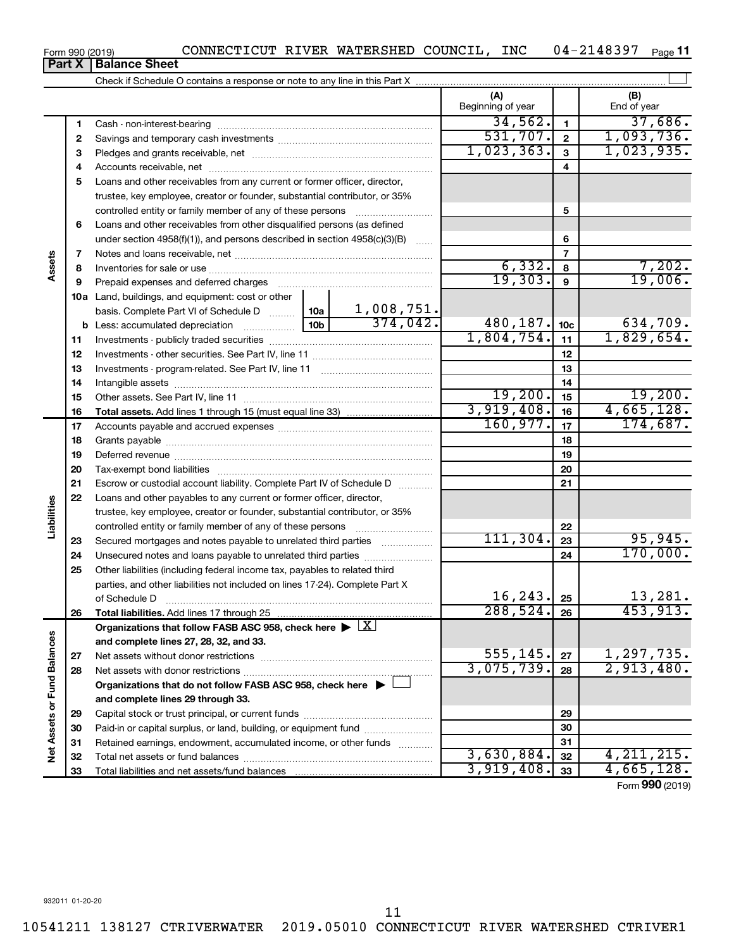| Form 990 (2019) | CONNECTICUT RIVER WATERSHED COUNCIL, |  |  |  | INC | 04-2148397 | Page 11 |
|-----------------|--------------------------------------|--|--|--|-----|------------|---------|
|-----------------|--------------------------------------|--|--|--|-----|------------|---------|

 $\perp$ 

| ו טוווט ובט וווי |                                                                            | -----                    | ---------<br>. .                                             |
|------------------|----------------------------------------------------------------------------|--------------------------|--------------------------------------------------------------|
| <b>Part X</b>    | <b>Balance Sheet</b>                                                       |                          |                                                              |
|                  | Check if Schedule O contains a response or note to any line in this Part X |                          |                                                              |
|                  |                                                                            | Designations of the con- | $\Gamma$ and $\Gamma$ and $\Gamma$ and $\Gamma$ and $\Gamma$ |

|                             |    |                                                                                      |            | vv<br>Beginning of year |                 | End of year                   |
|-----------------------------|----|--------------------------------------------------------------------------------------|------------|-------------------------|-----------------|-------------------------------|
|                             | 1  |                                                                                      |            | 34,562.                 | 1               | 37,686.                       |
|                             | 2  |                                                                                      |            | 531,707.                | $\overline{2}$  | 1,093,736.                    |
|                             | З  |                                                                                      |            | 1,023,363.              | 3               | 1,023,935.                    |
|                             | 4  |                                                                                      |            |                         | 4               |                               |
|                             | 5  | Loans and other receivables from any current or former officer, director,            |            |                         |                 |                               |
|                             |    | trustee, key employee, creator or founder, substantial contributor, or 35%           |            |                         |                 |                               |
|                             |    |                                                                                      |            |                         | 5               |                               |
|                             | 6  | Loans and other receivables from other disqualified persons (as defined              |            |                         |                 |                               |
|                             |    | under section 4958(f)(1)), and persons described in section 4958(c)(3)(B)            |            |                         | 6               |                               |
|                             | 7  |                                                                                      |            |                         | $\overline{7}$  |                               |
| Assets                      | 8  |                                                                                      |            | 6,332.                  | 8               | 7,202.                        |
|                             | 9  |                                                                                      |            | 19,303.                 | 9               | 19,006.                       |
|                             |    | 10a Land, buildings, and equipment: cost or other                                    |            |                         |                 |                               |
|                             |    | basis. Complete Part VI of Schedule D  10a                                           | 1,008,751. |                         |                 |                               |
|                             | b  |                                                                                      | 374,042.   | 480, 187.               | 10 <sub>c</sub> | 634,709.                      |
|                             | 11 |                                                                                      |            | 1,804,754.              | 11              | 1,829,654.                    |
|                             | 12 |                                                                                      |            | 12                      |                 |                               |
|                             | 13 |                                                                                      |            | 13                      |                 |                               |
|                             | 14 |                                                                                      |            | 14                      |                 |                               |
|                             | 15 |                                                                                      |            | 19,200.                 | 15              | 19,200.                       |
|                             | 16 |                                                                                      |            | 3,919,408.              | 16              | 4,665,128.                    |
|                             | 17 |                                                                                      |            | 160,977.                | 17              | 174,687.                      |
|                             | 18 |                                                                                      |            |                         | 18              |                               |
|                             | 19 |                                                                                      |            |                         | 19              |                               |
|                             | 20 |                                                                                      |            | 20                      |                 |                               |
|                             | 21 | Escrow or custodial account liability. Complete Part IV of Schedule D                |            | 21                      |                 |                               |
|                             | 22 | Loans and other payables to any current or former officer, director,                 |            |                         |                 |                               |
| Liabilities                 |    | trustee, key employee, creator or founder, substantial contributor, or 35%           |            |                         |                 |                               |
|                             |    | controlled entity or family member of any of these persons                           |            |                         | 22              |                               |
|                             | 23 | Secured mortgages and notes payable to unrelated third parties                       |            | 111, 304.               | 23              | 95,945.                       |
|                             | 24 | Unsecured notes and loans payable to unrelated third parties                         |            |                         | 24              | 170,000.                      |
|                             | 25 | Other liabilities (including federal income tax, payables to related third           |            |                         |                 |                               |
|                             |    | parties, and other liabilities not included on lines 17-24). Complete Part X         |            |                         |                 |                               |
|                             |    | of Schedule D                                                                        |            | 16, 243.                | 25              | 13,281.                       |
|                             | 26 | Total liabilities. Add lines 17 through 25                                           |            | 288,524.                | 26              | 453,913.                      |
|                             |    | Organizations that follow FASB ASC 958, check here $\blacktriangleright$ $\boxed{X}$ |            |                         |                 |                               |
|                             |    | and complete lines 27, 28, 32, and 33.                                               |            |                         |                 |                               |
|                             | 27 |                                                                                      |            | 555, 145.               | 27              | $\frac{1,297,735}{2,913,480}$ |
|                             | 28 |                                                                                      |            | 3,075,739.              | 28              |                               |
|                             |    | Organizations that do not follow FASB ASC 958, check here $\blacktriangleright$      |            |                         |                 |                               |
|                             |    | and complete lines 29 through 33.                                                    |            |                         |                 |                               |
| Net Assets or Fund Balances | 29 |                                                                                      |            |                         | 29              |                               |
|                             | 30 | Paid-in or capital surplus, or land, building, or equipment fund                     |            |                         | 30              |                               |
|                             | 31 | Retained earnings, endowment, accumulated income, or other funds                     |            | 3,630,884.              | 31              | 4, 211, 215.                  |
|                             | 32 |                                                                                      |            | 3,919,408.              | 32              | 4,665,128.                    |
|                             | 33 |                                                                                      |            |                         | 33              |                               |

Form (2019) **990**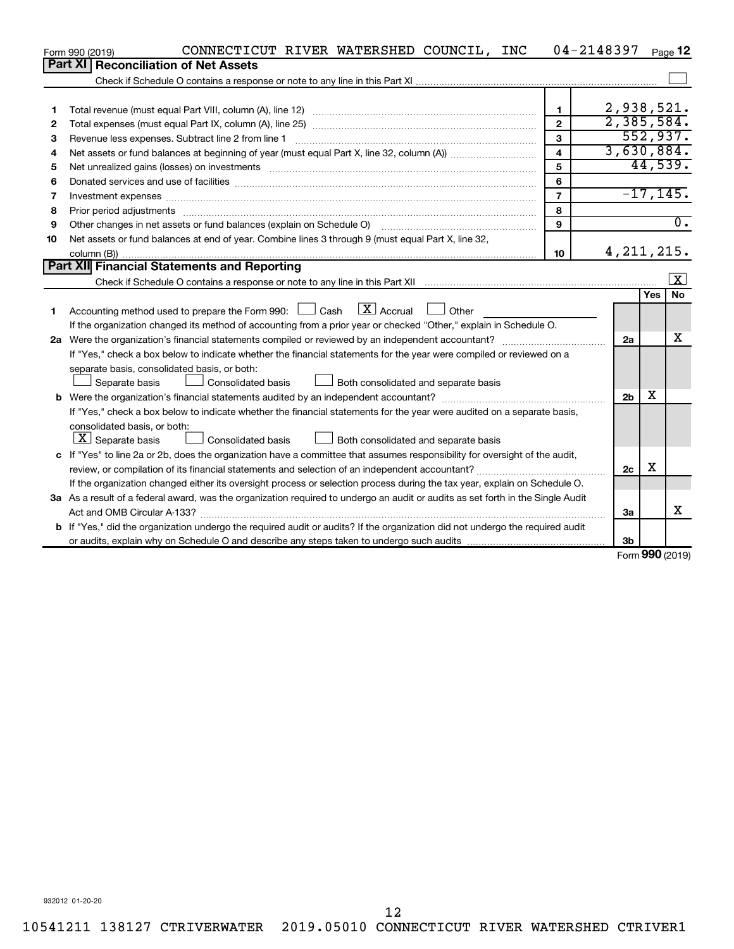|                                             | CONNECTICUT RIVER WATERSHED COUNCIL, INC<br>Form 990 (2019)                                                                                                                                                                    |                         | 04-2148397     |            | Page 12          |  |  |  |  |
|---------------------------------------------|--------------------------------------------------------------------------------------------------------------------------------------------------------------------------------------------------------------------------------|-------------------------|----------------|------------|------------------|--|--|--|--|
| Part XII                                    | <b>Reconciliation of Net Assets</b>                                                                                                                                                                                            |                         |                |            |                  |  |  |  |  |
|                                             |                                                                                                                                                                                                                                |                         |                |            |                  |  |  |  |  |
|                                             |                                                                                                                                                                                                                                |                         |                |            |                  |  |  |  |  |
| 1                                           |                                                                                                                                                                                                                                | $\mathbf{1}$            | 2,938,521.     |            |                  |  |  |  |  |
| 2                                           |                                                                                                                                                                                                                                | $\overline{2}$          | 2,385,584.     |            |                  |  |  |  |  |
| З                                           | Revenue less expenses. Subtract line 2 from line 1                                                                                                                                                                             | 3                       |                |            | 552,937.         |  |  |  |  |
| 4                                           |                                                                                                                                                                                                                                | $\overline{\mathbf{4}}$ | 3,630,884.     |            |                  |  |  |  |  |
| 5                                           | Net unrealized gains (losses) on investments [11] matter in the content of the state of the state of the state of the state of the state of the state of the state of the state of the state of the state of the state of the  | 5                       |                |            | 44,539.          |  |  |  |  |
| 6                                           |                                                                                                                                                                                                                                | 6                       |                |            |                  |  |  |  |  |
| 7                                           | Investment expenses [[11] has a series and a series of the series of the series and series and series and series and series and series and series and series and series and series and series and series and series and series | $\overline{7}$          |                |            | $-17, 145.$      |  |  |  |  |
| 8                                           | Prior period adjustments www.communication.communication.communication.com/                                                                                                                                                    | 8                       |                |            |                  |  |  |  |  |
| 9                                           |                                                                                                                                                                                                                                | 9                       |                |            | $\overline{0}$ . |  |  |  |  |
| 10                                          | Net assets or fund balances at end of year. Combine lines 3 through 9 (must equal Part X, line 32,                                                                                                                             |                         |                |            |                  |  |  |  |  |
|                                             |                                                                                                                                                                                                                                | 10                      | 4, 211, 215.   |            |                  |  |  |  |  |
| Part XII Financial Statements and Reporting |                                                                                                                                                                                                                                |                         |                |            |                  |  |  |  |  |
|                                             |                                                                                                                                                                                                                                |                         |                |            | ΙX.              |  |  |  |  |
|                                             |                                                                                                                                                                                                                                |                         |                | <b>Yes</b> | No               |  |  |  |  |
| 1                                           | $\mathbf{X}$ Accrual<br>Accounting method used to prepare the Form 990: $\Box$ Cash<br><b>Other</b>                                                                                                                            |                         |                |            |                  |  |  |  |  |
|                                             | If the organization changed its method of accounting from a prior year or checked "Other," explain in Schedule O.                                                                                                              |                         |                |            |                  |  |  |  |  |
|                                             |                                                                                                                                                                                                                                |                         | 2a             |            | x                |  |  |  |  |
|                                             | If "Yes," check a box below to indicate whether the financial statements for the year were compiled or reviewed on a                                                                                                           |                         |                |            |                  |  |  |  |  |
|                                             | separate basis, consolidated basis, or both:                                                                                                                                                                                   |                         |                |            |                  |  |  |  |  |
|                                             | Both consolidated and separate basis<br>Separate basis<br>Consolidated basis                                                                                                                                                   |                         |                |            |                  |  |  |  |  |
|                                             |                                                                                                                                                                                                                                |                         | 2 <sub>b</sub> | х          |                  |  |  |  |  |
|                                             | If "Yes," check a box below to indicate whether the financial statements for the year were audited on a separate basis,                                                                                                        |                         |                |            |                  |  |  |  |  |
|                                             | consolidated basis, or both:                                                                                                                                                                                                   |                         |                |            |                  |  |  |  |  |
|                                             | $\lfloor \underline{X} \rfloor$ Separate basis<br>Consolidated basis<br>Both consolidated and separate basis                                                                                                                   |                         |                |            |                  |  |  |  |  |
|                                             | c If "Yes" to line 2a or 2b, does the organization have a committee that assumes responsibility for oversight of the audit,                                                                                                    |                         |                |            |                  |  |  |  |  |
|                                             |                                                                                                                                                                                                                                |                         | 2c             | х          |                  |  |  |  |  |
|                                             | If the organization changed either its oversight process or selection process during the tax year, explain on Schedule O.                                                                                                      |                         |                |            |                  |  |  |  |  |
|                                             | 3a As a result of a federal award, was the organization required to undergo an audit or audits as set forth in the Single Audit                                                                                                |                         |                |            |                  |  |  |  |  |
|                                             |                                                                                                                                                                                                                                |                         | За             |            | x                |  |  |  |  |
|                                             | b If "Yes," did the organization undergo the required audit or audits? If the organization did not undergo the required audit                                                                                                  |                         |                |            |                  |  |  |  |  |
|                                             |                                                                                                                                                                                                                                |                         | 3b             | nnn.       |                  |  |  |  |  |

Form (2019) **990**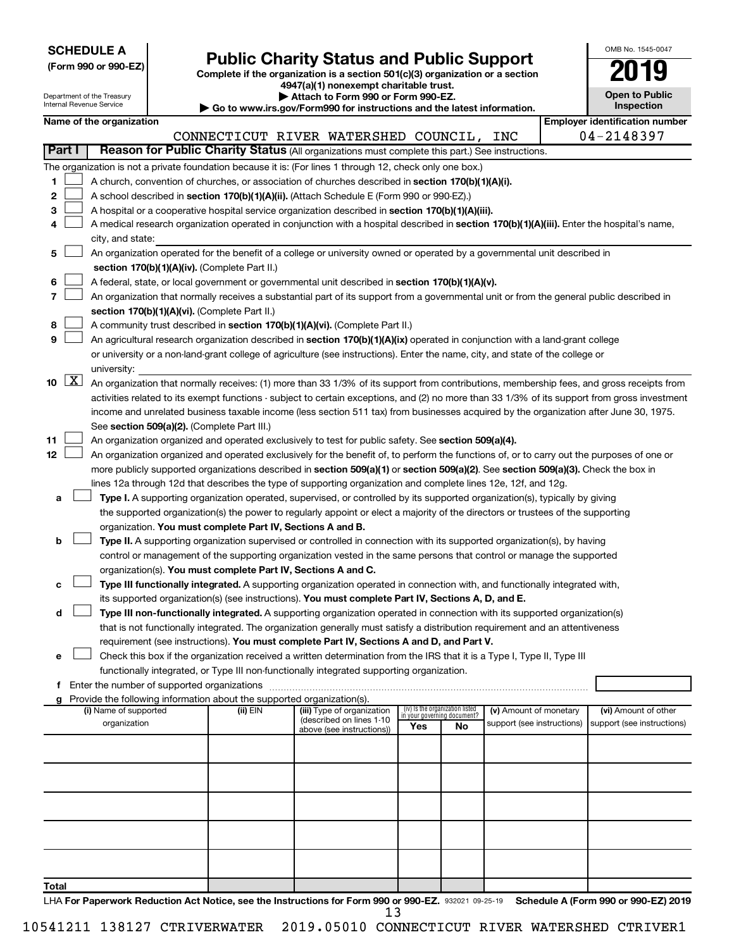| <b>SCHEDULE A</b> |  |
|-------------------|--|
|-------------------|--|

Department of the Treasury Internal Revenue Service

| (Form 990 or 990-EZ) |  |  |
|----------------------|--|--|
|                      |  |  |

# Form 990 or 990-EZ)<br>
Complete if the organization is a section 501(c)(3) organization or a section<br> **Public Charity Status and Public Support**

**4947(a)(1) nonexempt charitable trust.**

**| Attach to Form 990 or Form 990-EZ.** 

**| Go to www.irs.gov/Form990 for instructions and the latest information.**

| OMB No 1545-0047                    |
|-------------------------------------|
| 2019                                |
| <b>Open to Public</b><br>Inspection |

|               |      |                                                                                                                                               |          | $\sim$ Go to www.ii s.gov/r ormsso for msu actions and the latest imormation. |                                 |    |                                                      |  |                                                    |  |  |
|---------------|------|-----------------------------------------------------------------------------------------------------------------------------------------------|----------|-------------------------------------------------------------------------------|---------------------------------|----|------------------------------------------------------|--|----------------------------------------------------|--|--|
|               |      | Name of the organization                                                                                                                      |          |                                                                               |                                 |    |                                                      |  | <b>Employer identification number</b>              |  |  |
|               |      | Reason for Public Charity Status (All organizations must complete this part.) See instructions.                                               |          | CONNECTICUT RIVER WATERSHED COUNCIL, INC                                      |                                 |    |                                                      |  | 04-2148397                                         |  |  |
| <b>Part I</b> |      |                                                                                                                                               |          |                                                                               |                                 |    |                                                      |  |                                                    |  |  |
|               |      | The organization is not a private foundation because it is: (For lines 1 through 12, check only one box.)                                     |          |                                                                               |                                 |    |                                                      |  |                                                    |  |  |
| 1             |      | A church, convention of churches, or association of churches described in section 170(b)(1)(A)(i).                                            |          |                                                                               |                                 |    |                                                      |  |                                                    |  |  |
| 2             |      | A school described in section 170(b)(1)(A)(ii). (Attach Schedule E (Form 990 or 990-EZ).)                                                     |          |                                                                               |                                 |    |                                                      |  |                                                    |  |  |
| З             |      | A hospital or a cooperative hospital service organization described in section 170(b)(1)(A)(iii).                                             |          |                                                                               |                                 |    |                                                      |  |                                                    |  |  |
| 4             |      | A medical research organization operated in conjunction with a hospital described in section 170(b)(1)(A)(iii). Enter the hospital's name,    |          |                                                                               |                                 |    |                                                      |  |                                                    |  |  |
|               |      | city, and state:                                                                                                                              |          |                                                                               |                                 |    |                                                      |  |                                                    |  |  |
| 5             |      | An organization operated for the benefit of a college or university owned or operated by a governmental unit described in                     |          |                                                                               |                                 |    |                                                      |  |                                                    |  |  |
|               |      | section 170(b)(1)(A)(iv). (Complete Part II.)                                                                                                 |          |                                                                               |                                 |    |                                                      |  |                                                    |  |  |
| 6             |      | A federal, state, or local government or governmental unit described in section 170(b)(1)(A)(v).                                              |          |                                                                               |                                 |    |                                                      |  |                                                    |  |  |
| 7             |      | An organization that normally receives a substantial part of its support from a governmental unit or from the general public described in     |          |                                                                               |                                 |    |                                                      |  |                                                    |  |  |
|               |      | section 170(b)(1)(A)(vi). (Complete Part II.)                                                                                                 |          |                                                                               |                                 |    |                                                      |  |                                                    |  |  |
| 8             |      | A community trust described in section 170(b)(1)(A)(vi). (Complete Part II.)                                                                  |          |                                                                               |                                 |    |                                                      |  |                                                    |  |  |
| 9             |      | An agricultural research organization described in section 170(b)(1)(A)(ix) operated in conjunction with a land-grant college                 |          |                                                                               |                                 |    |                                                      |  |                                                    |  |  |
|               |      | or university or a non-land-grant college of agriculture (see instructions). Enter the name, city, and state of the college or                |          |                                                                               |                                 |    |                                                      |  |                                                    |  |  |
|               |      | university:                                                                                                                                   |          |                                                                               |                                 |    |                                                      |  |                                                    |  |  |
|               | 10 X | An organization that normally receives: (1) more than 33 1/3% of its support from contributions, membership fees, and gross receipts from     |          |                                                                               |                                 |    |                                                      |  |                                                    |  |  |
|               |      | activities related to its exempt functions - subject to certain exceptions, and (2) no more than 33 1/3% of its support from gross investment |          |                                                                               |                                 |    |                                                      |  |                                                    |  |  |
|               |      | income and unrelated business taxable income (less section 511 tax) from businesses acquired by the organization after June 30, 1975.         |          |                                                                               |                                 |    |                                                      |  |                                                    |  |  |
|               |      | See section 509(a)(2). (Complete Part III.)                                                                                                   |          |                                                                               |                                 |    |                                                      |  |                                                    |  |  |
| 11            |      | An organization organized and operated exclusively to test for public safety. See section 509(a)(4).                                          |          |                                                                               |                                 |    |                                                      |  |                                                    |  |  |
| 12            |      | An organization organized and operated exclusively for the benefit of, to perform the functions of, or to carry out the purposes of one or    |          |                                                                               |                                 |    |                                                      |  |                                                    |  |  |
|               |      | more publicly supported organizations described in section 509(a)(1) or section 509(a)(2). See section 509(a)(3). Check the box in            |          |                                                                               |                                 |    |                                                      |  |                                                    |  |  |
|               |      | lines 12a through 12d that describes the type of supporting organization and complete lines 12e, 12f, and 12g.                                |          |                                                                               |                                 |    |                                                      |  |                                                    |  |  |
| а             |      | Type I. A supporting organization operated, supervised, or controlled by its supported organization(s), typically by giving                   |          |                                                                               |                                 |    |                                                      |  |                                                    |  |  |
|               |      | the supported organization(s) the power to regularly appoint or elect a majority of the directors or trustees of the supporting               |          |                                                                               |                                 |    |                                                      |  |                                                    |  |  |
|               |      | organization. You must complete Part IV, Sections A and B.                                                                                    |          |                                                                               |                                 |    |                                                      |  |                                                    |  |  |
| b             |      | Type II. A supporting organization supervised or controlled in connection with its supported organization(s), by having                       |          |                                                                               |                                 |    |                                                      |  |                                                    |  |  |
|               |      | control or management of the supporting organization vested in the same persons that control or manage the supported                          |          |                                                                               |                                 |    |                                                      |  |                                                    |  |  |
|               |      | organization(s). You must complete Part IV, Sections A and C.                                                                                 |          |                                                                               |                                 |    |                                                      |  |                                                    |  |  |
| с             |      | Type III functionally integrated. A supporting organization operated in connection with, and functionally integrated with,                    |          |                                                                               |                                 |    |                                                      |  |                                                    |  |  |
|               |      | its supported organization(s) (see instructions). You must complete Part IV, Sections A, D, and E.                                            |          |                                                                               |                                 |    |                                                      |  |                                                    |  |  |
| d             |      | Type III non-functionally integrated. A supporting organization operated in connection with its supported organization(s)                     |          |                                                                               |                                 |    |                                                      |  |                                                    |  |  |
|               |      | that is not functionally integrated. The organization generally must satisfy a distribution requirement and an attentiveness                  |          |                                                                               |                                 |    |                                                      |  |                                                    |  |  |
|               |      | requirement (see instructions). You must complete Part IV, Sections A and D, and Part V.                                                      |          |                                                                               |                                 |    |                                                      |  |                                                    |  |  |
| е             |      | Check this box if the organization received a written determination from the IRS that it is a Type I, Type II, Type III                       |          |                                                                               |                                 |    |                                                      |  |                                                    |  |  |
|               |      | functionally integrated, or Type III non-functionally integrated supporting organization.                                                     |          |                                                                               |                                 |    |                                                      |  |                                                    |  |  |
| f             |      | Enter the number of supported organizations                                                                                                   |          |                                                                               |                                 |    |                                                      |  |                                                    |  |  |
|               |      | Provide the following information about the supported organization(s).<br>(i) Name of supported                                               |          |                                                                               | (iv) Is the organization listed |    |                                                      |  |                                                    |  |  |
|               |      | organization                                                                                                                                  | (ii) EIN | (iii) Type of organization<br>(described on lines 1-10                        | in your governing document?     |    | (v) Amount of monetary<br>support (see instructions) |  | (vi) Amount of other<br>support (see instructions) |  |  |
|               |      |                                                                                                                                               |          | above (see instructions))                                                     | Yes                             | No |                                                      |  |                                                    |  |  |
|               |      |                                                                                                                                               |          |                                                                               |                                 |    |                                                      |  |                                                    |  |  |
|               |      |                                                                                                                                               |          |                                                                               |                                 |    |                                                      |  |                                                    |  |  |
|               |      |                                                                                                                                               |          |                                                                               |                                 |    |                                                      |  |                                                    |  |  |
|               |      |                                                                                                                                               |          |                                                                               |                                 |    |                                                      |  |                                                    |  |  |
|               |      |                                                                                                                                               |          |                                                                               |                                 |    |                                                      |  |                                                    |  |  |
|               |      |                                                                                                                                               |          |                                                                               |                                 |    |                                                      |  |                                                    |  |  |
|               |      |                                                                                                                                               |          |                                                                               |                                 |    |                                                      |  |                                                    |  |  |
|               |      |                                                                                                                                               |          |                                                                               |                                 |    |                                                      |  |                                                    |  |  |
|               |      |                                                                                                                                               |          |                                                                               |                                 |    |                                                      |  |                                                    |  |  |
|               |      |                                                                                                                                               |          |                                                                               |                                 |    |                                                      |  |                                                    |  |  |
| Total         |      |                                                                                                                                               |          |                                                                               |                                 |    |                                                      |  |                                                    |  |  |

LHA For Paperwork Reduction Act Notice, see the Instructions for Form 990 or 990-EZ. 932021 09-25-19 Schedule A (Form 990 or 990-EZ) 2019 10541211 138127 CTRIVERWATER 2019.05010 CONNECTICUT RIVER WATERSHED CTRIVER1 13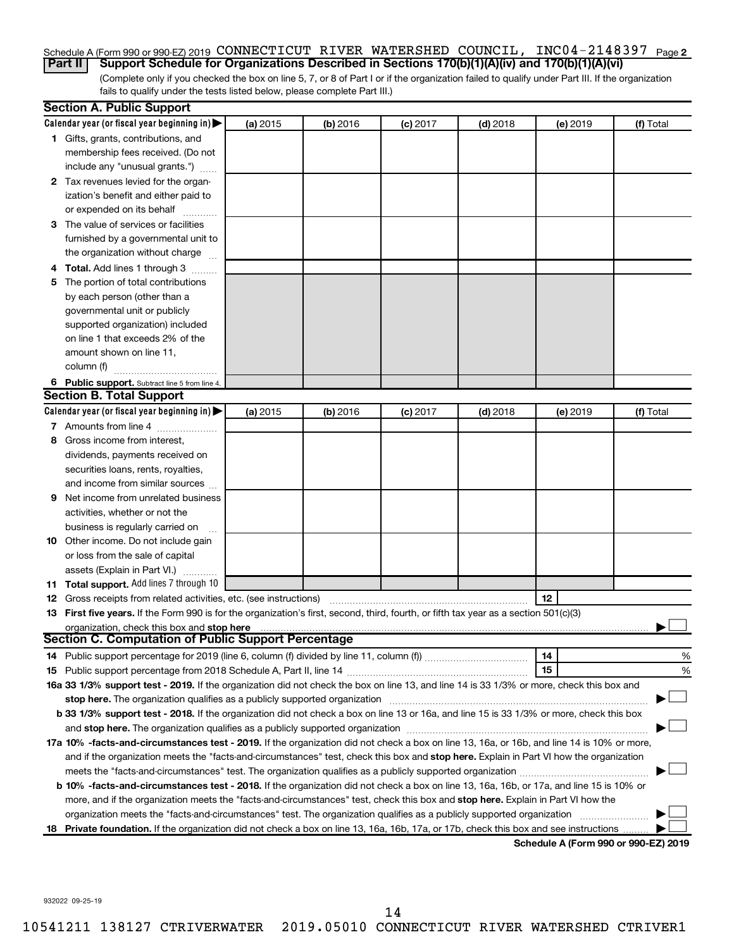#### Schedule A (Form 990 or 990-EZ) 2019 CONNECTICUT RIVER WATERSHED COUNCIL, INC04-2148397 <sub>Page 2</sub> **Part II Support Schedule for Organizations Described in Sections 170(b)(1)(A)(iv) and 170(b)(1)(A)(vi)**

(Complete only if you checked the box on line 5, 7, or 8 of Part I or if the organization failed to qualify under Part III. If the organization fails to qualify under the tests listed below, please complete Part III.)

|   | <b>Section A. Public Support</b>                                                                                                                                                                                                                           |          |          |            |            |                                      |           |
|---|------------------------------------------------------------------------------------------------------------------------------------------------------------------------------------------------------------------------------------------------------------|----------|----------|------------|------------|--------------------------------------|-----------|
|   | Calendar year (or fiscal year beginning in)                                                                                                                                                                                                                | (a) 2015 | (b) 2016 | $(c)$ 2017 | $(d)$ 2018 | (e) 2019                             | (f) Total |
|   | 1 Gifts, grants, contributions, and                                                                                                                                                                                                                        |          |          |            |            |                                      |           |
|   | membership fees received. (Do not                                                                                                                                                                                                                          |          |          |            |            |                                      |           |
|   | include any "unusual grants.")                                                                                                                                                                                                                             |          |          |            |            |                                      |           |
|   | 2 Tax revenues levied for the organ-                                                                                                                                                                                                                       |          |          |            |            |                                      |           |
|   | ization's benefit and either paid to                                                                                                                                                                                                                       |          |          |            |            |                                      |           |
|   | or expended on its behalf                                                                                                                                                                                                                                  |          |          |            |            |                                      |           |
|   | 3 The value of services or facilities                                                                                                                                                                                                                      |          |          |            |            |                                      |           |
|   | furnished by a governmental unit to                                                                                                                                                                                                                        |          |          |            |            |                                      |           |
|   | the organization without charge                                                                                                                                                                                                                            |          |          |            |            |                                      |           |
|   | 4 Total. Add lines 1 through 3                                                                                                                                                                                                                             |          |          |            |            |                                      |           |
|   | 5 The portion of total contributions                                                                                                                                                                                                                       |          |          |            |            |                                      |           |
|   | by each person (other than a                                                                                                                                                                                                                               |          |          |            |            |                                      |           |
|   | governmental unit or publicly                                                                                                                                                                                                                              |          |          |            |            |                                      |           |
|   | supported organization) included                                                                                                                                                                                                                           |          |          |            |            |                                      |           |
|   | on line 1 that exceeds 2% of the                                                                                                                                                                                                                           |          |          |            |            |                                      |           |
|   | amount shown on line 11,                                                                                                                                                                                                                                   |          |          |            |            |                                      |           |
|   | column (f)                                                                                                                                                                                                                                                 |          |          |            |            |                                      |           |
|   | 6 Public support. Subtract line 5 from line 4.                                                                                                                                                                                                             |          |          |            |            |                                      |           |
|   | <b>Section B. Total Support</b>                                                                                                                                                                                                                            |          |          |            |            |                                      |           |
|   | Calendar year (or fiscal year beginning in)                                                                                                                                                                                                                | (a) 2015 | (b) 2016 | $(c)$ 2017 | $(d)$ 2018 | (e) 2019                             | (f) Total |
|   | 7 Amounts from line 4                                                                                                                                                                                                                                      |          |          |            |            |                                      |           |
| 8 | Gross income from interest,                                                                                                                                                                                                                                |          |          |            |            |                                      |           |
|   | dividends, payments received on                                                                                                                                                                                                                            |          |          |            |            |                                      |           |
|   | securities loans, rents, royalties,                                                                                                                                                                                                                        |          |          |            |            |                                      |           |
|   | and income from similar sources                                                                                                                                                                                                                            |          |          |            |            |                                      |           |
| 9 | Net income from unrelated business                                                                                                                                                                                                                         |          |          |            |            |                                      |           |
|   | activities, whether or not the                                                                                                                                                                                                                             |          |          |            |            |                                      |           |
|   | business is regularly carried on                                                                                                                                                                                                                           |          |          |            |            |                                      |           |
|   | 10 Other income. Do not include gain                                                                                                                                                                                                                       |          |          |            |            |                                      |           |
|   | or loss from the sale of capital                                                                                                                                                                                                                           |          |          |            |            |                                      |           |
|   | assets (Explain in Part VI.)                                                                                                                                                                                                                               |          |          |            |            |                                      |           |
|   | 11 Total support. Add lines 7 through 10                                                                                                                                                                                                                   |          |          |            |            |                                      |           |
|   | <b>12</b> Gross receipts from related activities, etc. (see instructions)                                                                                                                                                                                  |          |          |            |            | 12                                   |           |
|   | 13 First five years. If the Form 990 is for the organization's first, second, third, fourth, or fifth tax year as a section 501(c)(3)                                                                                                                      |          |          |            |            |                                      |           |
|   | organization, check this box and stop here                                                                                                                                                                                                                 |          |          |            |            |                                      |           |
|   | <b>Section C. Computation of Public Support Percentage</b>                                                                                                                                                                                                 |          |          |            |            |                                      |           |
|   |                                                                                                                                                                                                                                                            |          |          |            |            | 14                                   | %         |
|   |                                                                                                                                                                                                                                                            |          |          |            |            | 15                                   | %         |
|   | 16a 33 1/3% support test - 2019. If the organization did not check the box on line 13, and line 14 is 33 1/3% or more, check this box and                                                                                                                  |          |          |            |            |                                      |           |
|   | stop here. The organization qualifies as a publicly supported organization manufaction manufacture or the organization manufacture or the organization manufacture or the organization manufacture or the state of the state o                             |          |          |            |            |                                      |           |
|   | b 33 1/3% support test - 2018. If the organization did not check a box on line 13 or 16a, and line 15 is 33 1/3% or more, check this box                                                                                                                   |          |          |            |            |                                      |           |
|   |                                                                                                                                                                                                                                                            |          |          |            |            |                                      |           |
|   | 17a 10% -facts-and-circumstances test - 2019. If the organization did not check a box on line 13, 16a, or 16b, and line 14 is 10% or more,                                                                                                                 |          |          |            |            |                                      |           |
|   | and if the organization meets the "facts-and-circumstances" test, check this box and stop here. Explain in Part VI how the organization                                                                                                                    |          |          |            |            |                                      |           |
|   |                                                                                                                                                                                                                                                            |          |          |            |            |                                      |           |
|   | b 10% -facts-and-circumstances test - 2018. If the organization did not check a box on line 13, 16a, 16b, or 17a, and line 15 is 10% or                                                                                                                    |          |          |            |            |                                      |           |
|   |                                                                                                                                                                                                                                                            |          |          |            |            |                                      |           |
|   | more, and if the organization meets the "facts-and-circumstances" test, check this box and stop here. Explain in Part VI how the<br>organization meets the "facts-and-circumstances" test. The organization qualifies as a publicly supported organization |          |          |            |            |                                      |           |
|   | 18 Private foundation. If the organization did not check a box on line 13, 16a, 16b, 17a, or 17b, check this box and see instructions                                                                                                                      |          |          |            |            |                                      |           |
|   |                                                                                                                                                                                                                                                            |          |          |            |            | Schodule A (Form 000 or 000 EZ) 2010 |           |

**Schedule A (Form 990 or 990-EZ) 2019**

932022 09-25-19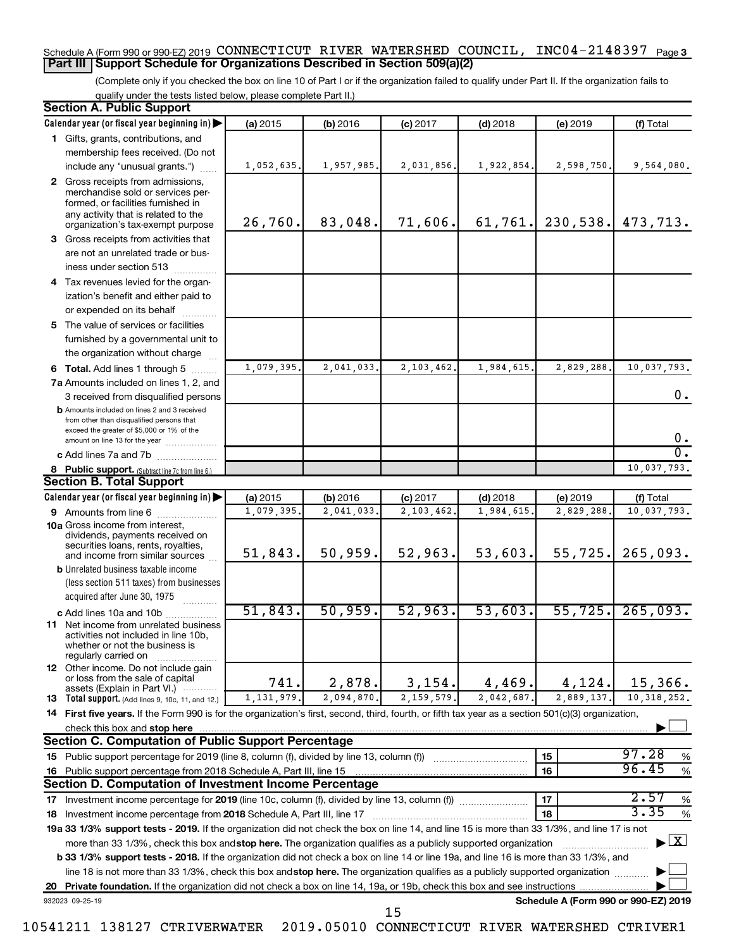#### **3** Schedule A (Form 990 or 990-EZ) 2019 Page CONNECTICUT RIVER WATERSHED COUNCIL, INC04-2148397 **Part III Support Schedule for Organizations Described in Section 509(a)(2)**

(Complete only if you checked the box on line 10 of Part I or if the organization failed to qualify under Part II. If the organization fails to qualify under the tests listed below, please complete Part II.)

| <b>Section A. Public Support</b> |                                                                                                                                                     |            |            |            |            |                                      |                                          |
|----------------------------------|-----------------------------------------------------------------------------------------------------------------------------------------------------|------------|------------|------------|------------|--------------------------------------|------------------------------------------|
|                                  | Calendar year (or fiscal year beginning in)                                                                                                         | (a) 2015   | (b) 2016   | $(c)$ 2017 | $(d)$ 2018 | (e) 2019                             | (f) Total                                |
|                                  | 1 Gifts, grants, contributions, and                                                                                                                 |            |            |            |            |                                      |                                          |
|                                  | membership fees received. (Do not                                                                                                                   |            |            |            |            |                                      |                                          |
|                                  | include any "unusual grants.")                                                                                                                      | 1,052,635. | 1,957,985. | 2,031,856. | 1,922,854. | 2,598,750.                           | 9,564,080.                               |
|                                  | 2 Gross receipts from admissions,<br>merchandise sold or services per-<br>formed, or facilities furnished in<br>any activity that is related to the | 26,760.    | 83,048.    | 71,606.    | 61, 761.   | 230,538.                             | 473,713.                                 |
|                                  | organization's tax-exempt purpose                                                                                                                   |            |            |            |            |                                      |                                          |
|                                  | 3 Gross receipts from activities that                                                                                                               |            |            |            |            |                                      |                                          |
|                                  | are not an unrelated trade or bus-                                                                                                                  |            |            |            |            |                                      |                                          |
|                                  | iness under section 513                                                                                                                             |            |            |            |            |                                      |                                          |
|                                  | 4 Tax revenues levied for the organ-                                                                                                                |            |            |            |            |                                      |                                          |
|                                  | ization's benefit and either paid to                                                                                                                |            |            |            |            |                                      |                                          |
|                                  | or expended on its behalf<br>.                                                                                                                      |            |            |            |            |                                      |                                          |
|                                  | 5 The value of services or facilities                                                                                                               |            |            |            |            |                                      |                                          |
|                                  | furnished by a governmental unit to                                                                                                                 |            |            |            |            |                                      |                                          |
|                                  | the organization without charge                                                                                                                     |            |            |            |            |                                      |                                          |
|                                  | <b>6 Total.</b> Add lines 1 through 5                                                                                                               | 1,079,395  | 2,041,033. | 2,103,462  | 1,984,615  | 2,829,288                            | 10,037,793.                              |
|                                  | 7a Amounts included on lines 1, 2, and                                                                                                              |            |            |            |            |                                      | 0.                                       |
|                                  | 3 received from disqualified persons<br><b>b</b> Amounts included on lines 2 and 3 received                                                         |            |            |            |            |                                      |                                          |
|                                  | from other than disqualified persons that<br>exceed the greater of \$5,000 or 1% of the<br>amount on line 13 for the year                           |            |            |            |            |                                      | 0.                                       |
|                                  | c Add lines 7a and 7b                                                                                                                               |            |            |            |            |                                      | σ.                                       |
|                                  | 8 Public support. (Subtract line 7c from line 6.)                                                                                                   |            |            |            |            |                                      | 10,037,793.                              |
|                                  | <b>Section B. Total Support</b>                                                                                                                     |            |            |            |            |                                      |                                          |
|                                  | Calendar year (or fiscal year beginning in)                                                                                                         | (a) 2015   | (b) 2016   | $(c)$ 2017 | $(d)$ 2018 | (e) 2019                             | (f) Total                                |
|                                  | 9 Amounts from line 6                                                                                                                               | 1,079,395  | 2,041,033  | 2,103,462  | 1,984,615  | 2,829,288                            | 10,037,793.                              |
|                                  | <b>10a</b> Gross income from interest,<br>dividends, payments received on<br>securities loans, rents, royalties,<br>and income from similar sources | 51,843.    | 50,959.    | 52,963.    | 53,603.    | 55,725.                              | 265,093.                                 |
|                                  | <b>b</b> Unrelated business taxable income                                                                                                          |            |            |            |            |                                      |                                          |
|                                  | (less section 511 taxes) from businesses                                                                                                            |            |            |            |            |                                      |                                          |
|                                  | acquired after June 30, 1975<br>.                                                                                                                   |            |            |            |            |                                      |                                          |
|                                  | c Add lines 10a and 10b                                                                                                                             | 51,843.    | 50,959.    | 52,963.    | 53,603.    | 55,725.                              | 265,093.                                 |
|                                  | 11 Net income from unrelated business<br>activities not included in line 10b,<br>whether or not the business is<br>regularly carried on             |            |            |            |            |                                      |                                          |
|                                  | <b>12</b> Other income. Do not include gain<br>or loss from the sale of capital<br>assets (Explain in Part VI.)                                     | 741.       | 2,878.     | 3,154.     | 4,469.     | 4,124.                               | 15,366.                                  |
|                                  | <b>13</b> Total support. (Add lines 9, 10c, 11, and 12.)                                                                                            | 1,131,979  | 2,094,870. | 2,159,579  | 2,042,687  | 2,889,137.                           | 10, 318, 252.                            |
|                                  | 14 First five years. If the Form 990 is for the organization's first, second, third, fourth, or fifth tax year as a section 501(c)(3) organization, |            |            |            |            |                                      |                                          |
|                                  | check this box and stop here                                                                                                                        |            |            |            |            |                                      |                                          |
|                                  | <b>Section C. Computation of Public Support Percentage</b>                                                                                          |            |            |            |            |                                      |                                          |
|                                  | 15 Public support percentage for 2019 (line 8, column (f), divided by line 13, column (f))                                                          |            |            |            |            | 15                                   | 97.28<br>%                               |
|                                  | 16 Public support percentage from 2018 Schedule A, Part III, line 15                                                                                |            |            |            |            | 16                                   | 96.45<br>$\%$                            |
|                                  | Section D. Computation of Investment Income Percentage                                                                                              |            |            |            |            |                                      |                                          |
|                                  | 17 Investment income percentage for 2019 (line 10c, column (f), divided by line 13, column (f))                                                     |            |            |            |            | 17                                   | 2.57<br>$\%$                             |
|                                  | 18 Investment income percentage from 2018 Schedule A, Part III, line 17                                                                             |            |            |            |            | 18                                   | 3.35<br>$\%$                             |
|                                  | 19a 33 1/3% support tests - 2019. If the organization did not check the box on line 14, and line 15 is more than 33 1/3%, and line 17 is not        |            |            |            |            |                                      |                                          |
|                                  | more than 33 1/3%, check this box and stop here. The organization qualifies as a publicly supported organization                                    |            |            |            |            |                                      | $\blacktriangleright$ $\boxed{\text{X}}$ |
|                                  | b 33 1/3% support tests - 2018. If the organization did not check a box on line 14 or line 19a, and line 16 is more than 33 1/3%, and               |            |            |            |            |                                      |                                          |
|                                  | line 18 is not more than 33 1/3%, check this box and stop here. The organization qualifies as a publicly supported organization                     |            |            |            |            |                                      |                                          |
|                                  |                                                                                                                                                     |            |            |            |            |                                      |                                          |
|                                  | 932023 09-25-19                                                                                                                                     |            |            | 15         |            | Schedule A (Form 990 or 990-EZ) 2019 |                                          |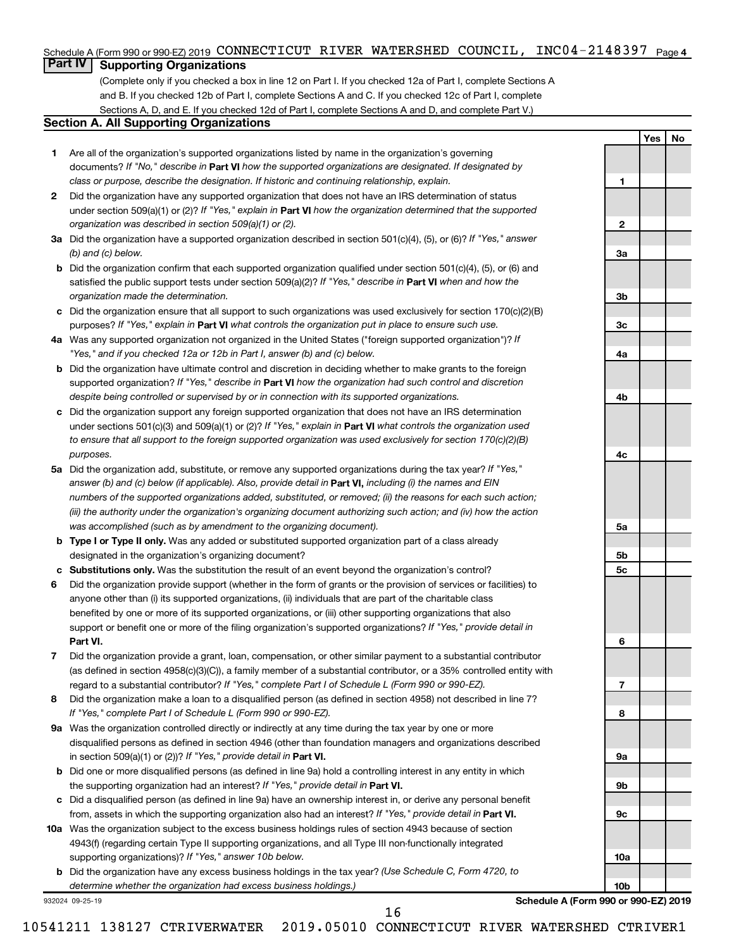#### Schedule A (Form 990 or 990-EZ) 2019 CONNECTICUT RIVER WATERSHED COUNCIL, INC04-2148397 <sub>Page 4</sub>

### **Part IV Supporting Organizations**

(Complete only if you checked a box in line 12 on Part I. If you checked 12a of Part I, complete Sections A and B. If you checked 12b of Part I, complete Sections A and C. If you checked 12c of Part I, complete Sections A, D, and E. If you checked 12d of Part I, complete Sections A and D, and complete Part V.)

#### **Section A. All Supporting Organizations**

- **1** Are all of the organization's supported organizations listed by name in the organization's governing documents? If "No," describe in Part VI how the supported organizations are designated. If designated by *class or purpose, describe the designation. If historic and continuing relationship, explain.*
- **2** Did the organization have any supported organization that does not have an IRS determination of status under section 509(a)(1) or (2)? If "Yes," explain in Part **VI** how the organization determined that the supported *organization was described in section 509(a)(1) or (2).*
- **3a** Did the organization have a supported organization described in section 501(c)(4), (5), or (6)? If "Yes," answer *(b) and (c) below.*
- **b** Did the organization confirm that each supported organization qualified under section 501(c)(4), (5), or (6) and satisfied the public support tests under section 509(a)(2)? If "Yes," describe in Part VI when and how the *organization made the determination.*
- **c** Did the organization ensure that all support to such organizations was used exclusively for section 170(c)(2)(B) purposes? If "Yes," explain in Part VI what controls the organization put in place to ensure such use.
- **4 a** *If* Was any supported organization not organized in the United States ("foreign supported organization")? *"Yes," and if you checked 12a or 12b in Part I, answer (b) and (c) below.*
- **b** Did the organization have ultimate control and discretion in deciding whether to make grants to the foreign supported organization? If "Yes," describe in Part VI how the organization had such control and discretion *despite being controlled or supervised by or in connection with its supported organizations.*
- **c** Did the organization support any foreign supported organization that does not have an IRS determination under sections 501(c)(3) and 509(a)(1) or (2)? If "Yes," explain in Part VI what controls the organization used *to ensure that all support to the foreign supported organization was used exclusively for section 170(c)(2)(B) purposes.*
- **5a** Did the organization add, substitute, or remove any supported organizations during the tax year? If "Yes," answer (b) and (c) below (if applicable). Also, provide detail in **Part VI,** including (i) the names and EIN *numbers of the supported organizations added, substituted, or removed; (ii) the reasons for each such action; (iii) the authority under the organization's organizing document authorizing such action; and (iv) how the action was accomplished (such as by amendment to the organizing document).*
- **b Type I or Type II only.** Was any added or substituted supported organization part of a class already designated in the organization's organizing document?
- **c Substitutions only.**  Was the substitution the result of an event beyond the organization's control?
- **6** Did the organization provide support (whether in the form of grants or the provision of services or facilities) to **Part VI.** support or benefit one or more of the filing organization's supported organizations? If "Yes," provide detail in anyone other than (i) its supported organizations, (ii) individuals that are part of the charitable class benefited by one or more of its supported organizations, or (iii) other supporting organizations that also
- **7** Did the organization provide a grant, loan, compensation, or other similar payment to a substantial contributor regard to a substantial contributor? If "Yes," complete Part I of Schedule L (Form 990 or 990-EZ). (as defined in section 4958(c)(3)(C)), a family member of a substantial contributor, or a 35% controlled entity with
- **8** Did the organization make a loan to a disqualified person (as defined in section 4958) not described in line 7? *If "Yes," complete Part I of Schedule L (Form 990 or 990-EZ).*
- **9 a** Was the organization controlled directly or indirectly at any time during the tax year by one or more in section 509(a)(1) or (2))? If "Yes," provide detail in **Part VI.** disqualified persons as defined in section 4946 (other than foundation managers and organizations described
- **b** Did one or more disqualified persons (as defined in line 9a) hold a controlling interest in any entity in which the supporting organization had an interest? If "Yes," provide detail in Part VI.
- **c** Did a disqualified person (as defined in line 9a) have an ownership interest in, or derive any personal benefit from, assets in which the supporting organization also had an interest? If "Yes," provide detail in Part VI.
- **10 a** Was the organization subject to the excess business holdings rules of section 4943 because of section supporting organizations)? If "Yes," answer 10b below. 4943(f) (regarding certain Type II supporting organizations, and all Type III non-functionally integrated
	- **b** Did the organization have any excess business holdings in the tax year? (Use Schedule C, Form 4720, to *determine whether the organization had excess business holdings.)*

932024 09-25-19

**Schedule A (Form 990 or 990-EZ) 2019**

**Yes No**

**1**

**2**

**3a**

**3b**

**3c**

**4a**

**4b**

**4c**

**5a**

**5b 5c**

**6**

**7**

**8**

**9a**

**9b**

**9c**

**10a**

**10b**

10541211 138127 CTRIVERWATER 2019.05010 CONNECTICUT RIVER WATERSHED CTRIVER1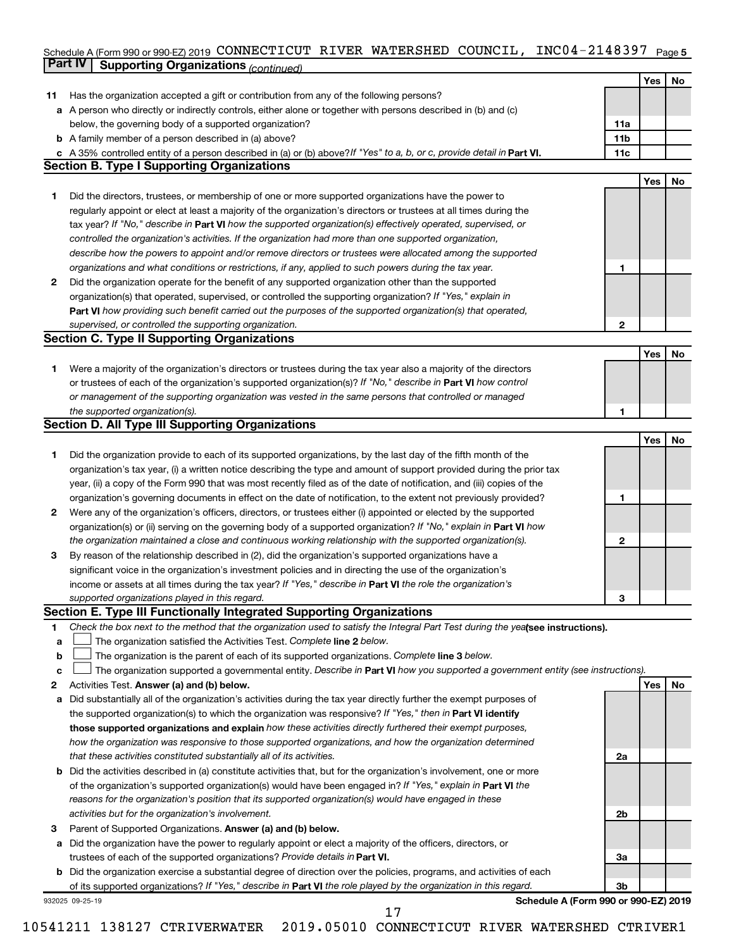#### Schedule A (Form 990 or 990-EZ) 2019 CONNECTICUT RIVER WATERSHED COUNCIL, INC04-214839 / Page 5 **Part IV Supporting Organizations** *(continued)* CONNECTICUT RIVER WATERSHED COUNCIL, INC04-2148397

|              |                                                                                                                                 |                 | Yes        |    |
|--------------|---------------------------------------------------------------------------------------------------------------------------------|-----------------|------------|----|
|              |                                                                                                                                 |                 |            | No |
| 11           | Has the organization accepted a gift or contribution from any of the following persons?                                         |                 |            |    |
| а            | A person who directly or indirectly controls, either alone or together with persons described in (b) and (c)                    |                 |            |    |
|              | below, the governing body of a supported organization?                                                                          | 11a             |            |    |
|              | <b>b</b> A family member of a person described in (a) above?                                                                    | 11 <sub>b</sub> |            |    |
|              | c A 35% controlled entity of a person described in (a) or (b) above? If "Yes" to a, b, or c, provide detail in Part VI.         | 11c             |            |    |
|              | <b>Section B. Type I Supporting Organizations</b>                                                                               |                 |            |    |
|              |                                                                                                                                 |                 | Yes        | No |
| 1            | Did the directors, trustees, or membership of one or more supported organizations have the power to                             |                 |            |    |
|              | regularly appoint or elect at least a majority of the organization's directors or trustees at all times during the              |                 |            |    |
|              | tax year? If "No," describe in Part VI how the supported organization(s) effectively operated, supervised, or                   |                 |            |    |
|              | controlled the organization's activities. If the organization had more than one supported organization,                         |                 |            |    |
|              | describe how the powers to appoint and/or remove directors or trustees were allocated among the supported                       |                 |            |    |
|              | organizations and what conditions or restrictions, if any, applied to such powers during the tax year.                          | 1               |            |    |
| $\mathbf{2}$ | Did the organization operate for the benefit of any supported organization other than the supported                             |                 |            |    |
|              | organization(s) that operated, supervised, or controlled the supporting organization? If "Yes," explain in                      |                 |            |    |
|              | Part VI how providing such benefit carried out the purposes of the supported organization(s) that operated,                     |                 |            |    |
|              | supervised, or controlled the supporting organization.                                                                          | $\mathbf{2}$    |            |    |
|              | <b>Section C. Type II Supporting Organizations</b>                                                                              |                 |            |    |
|              |                                                                                                                                 |                 | <b>Yes</b> | No |
| 1            | Were a majority of the organization's directors or trustees during the tax year also a majority of the directors                |                 |            |    |
|              | or trustees of each of the organization's supported organization(s)? If "No," describe in Part VI how control                   |                 |            |    |
|              | or management of the supporting organization was vested in the same persons that controlled or managed                          |                 |            |    |
|              | the supported organization(s).                                                                                                  | 1               |            |    |
|              | <b>Section D. All Type III Supporting Organizations</b>                                                                         |                 |            |    |
|              |                                                                                                                                 |                 | Yes        | No |
| 1            | Did the organization provide to each of its supported organizations, by the last day of the fifth month of the                  |                 |            |    |
|              | organization's tax year, (i) a written notice describing the type and amount of support provided during the prior tax           |                 |            |    |
|              | year, (ii) a copy of the Form 990 that was most recently filed as of the date of notification, and (iii) copies of the          |                 |            |    |
|              | organization's governing documents in effect on the date of notification, to the extent not previously provided?                | 1               |            |    |
| 2            | Were any of the organization's officers, directors, or trustees either (i) appointed or elected by the supported                |                 |            |    |
|              | organization(s) or (ii) serving on the governing body of a supported organization? If "No," explain in <b>Part VI</b> how       |                 |            |    |
|              | the organization maintained a close and continuous working relationship with the supported organization(s).                     | $\mathbf{2}$    |            |    |
| 3            | By reason of the relationship described in (2), did the organization's supported organizations have a                           |                 |            |    |
|              | significant voice in the organization's investment policies and in directing the use of the organization's                      |                 |            |    |
|              | income or assets at all times during the tax year? If "Yes," describe in Part VI the role the organization's                    |                 |            |    |
|              | supported organizations played in this regard.                                                                                  | 3               |            |    |
|              | Section E. Type III Functionally Integrated Supporting Organizations                                                            |                 |            |    |
| 1            | Check the box next to the method that the organization used to satisfy the Integral Part Test during the yealsee instructions). |                 |            |    |
| a            | The organization satisfied the Activities Test. Complete line 2 below.                                                          |                 |            |    |
| b            | The organization is the parent of each of its supported organizations. Complete line 3 below.                                   |                 |            |    |
| c            | The organization supported a governmental entity. Describe in Part VI how you supported a government entity (see instructions). |                 |            |    |
| 2            | Activities Test. Answer (a) and (b) below.                                                                                      |                 | Yes        | No |
| а            | Did substantially all of the organization's activities during the tax year directly further the exempt purposes of              |                 |            |    |
|              | the supported organization(s) to which the organization was responsive? If "Yes," then in Part VI identify                      |                 |            |    |
|              | those supported organizations and explain how these activities directly furthered their exempt purposes,                        |                 |            |    |
|              | how the organization was responsive to those supported organizations, and how the organization determined                       |                 |            |    |
|              | that these activities constituted substantially all of its activities.                                                          | 2a              |            |    |
|              | <b>b</b> Did the activities described in (a) constitute activities that, but for the organization's involvement, one or more    |                 |            |    |
|              | of the organization's supported organization(s) would have been engaged in? If "Yes," explain in Part VI the                    |                 |            |    |
|              | reasons for the organization's position that its supported organization(s) would have engaged in these                          |                 |            |    |
|              | activities but for the organization's involvement.                                                                              | 2b              |            |    |
| 3            | Parent of Supported Organizations. Answer (a) and (b) below.                                                                    |                 |            |    |
| а            | Did the organization have the power to regularly appoint or elect a majority of the officers, directors, or                     |                 |            |    |
|              | trustees of each of the supported organizations? Provide details in Part VI.                                                    | За              |            |    |
|              | <b>b</b> Did the organization exercise a substantial degree of direction over the policies, programs, and activities of each    |                 |            |    |
|              | of its supported organizations? If "Yes," describe in Part VI the role played by the organization in this regard.               | 3 <sub>b</sub>  |            |    |
|              | Schedule A (Form 990 or 990-EZ) 2019<br>932025 09-25-19                                                                         |                 |            |    |
|              | 17                                                                                                                              |                 |            |    |
|              |                                                                                                                                 |                 |            |    |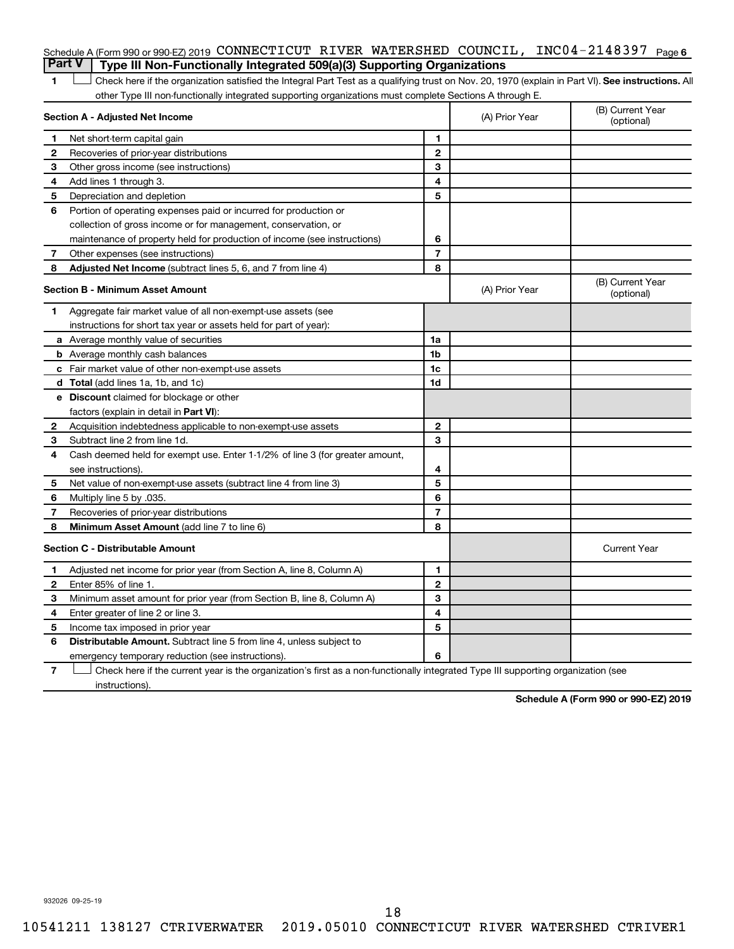|   | Schedule A (Form 990 or 990-EZ) 2019 CONNECTICUT RIVER WATERSHED COUNCIL, INC04-2148397 $P_{\text{aqe}6}$                                          |                |                |                                |
|---|----------------------------------------------------------------------------------------------------------------------------------------------------|----------------|----------------|--------------------------------|
|   | <b>Part V</b><br>Type III Non-Functionally Integrated 509(a)(3) Supporting Organizations                                                           |                |                |                                |
| 1 | Check here if the organization satisfied the Integral Part Test as a qualifying trust on Nov. 20, 1970 (explain in Part VI). See instructions. All |                |                |                                |
|   | other Type III non-functionally integrated supporting organizations must complete Sections A through E.                                            |                |                |                                |
|   | Section A - Adjusted Net Income                                                                                                                    |                | (A) Prior Year | (B) Current Year<br>(optional) |
| 1 | Net short-term capital gain                                                                                                                        | 1              |                |                                |
| 2 | Recoveries of prior-year distributions                                                                                                             | $\overline{2}$ |                |                                |
| З | Other gross income (see instructions)                                                                                                              | 3              |                |                                |
| 4 | Add lines 1 through 3.                                                                                                                             | 4              |                |                                |
| 5 | Depreciation and depletion                                                                                                                         | 5              |                |                                |
| 6 | Portion of operating expenses paid or incurred for production or                                                                                   |                |                |                                |
|   | collection of gross income or for management, conservation, or                                                                                     |                |                |                                |
|   | maintenance of property held for production of income (see instructions)                                                                           | 6              |                |                                |
| 7 | Other expenses (see instructions)                                                                                                                  | $\overline{7}$ |                |                                |
| 8 | <b>Adjusted Net Income</b> (subtract lines 5, 6, and 7 from line 4)                                                                                | 8              |                |                                |
|   | Section B - Minimum Asset Amount                                                                                                                   |                | (A) Prior Year | (B) Current Year<br>(optional) |
| 1 | Aggregate fair market value of all non-exempt-use assets (see                                                                                      |                |                |                                |
|   | instructions for short tax year or assets held for part of year):                                                                                  |                |                |                                |
|   | a Average monthly value of securities                                                                                                              | 1a             |                |                                |
|   | <b>b</b> Average monthly cash balances                                                                                                             | 1b             |                |                                |
|   | c Fair market value of other non-exempt-use assets                                                                                                 | 1c             |                |                                |
|   | <b>d</b> Total (add lines 1a, 1b, and 1c)                                                                                                          | 1 <sub>d</sub> |                |                                |
|   | e Discount claimed for blockage or other                                                                                                           |                |                |                                |
|   | factors (explain in detail in <b>Part VI</b> ):                                                                                                    |                |                |                                |
| 2 | Acquisition indebtedness applicable to non-exempt-use assets                                                                                       | $\mathbf{2}$   |                |                                |
| 3 | Subtract line 2 from line 1d.                                                                                                                      | 3              |                |                                |
| 4 | Cash deemed held for exempt use. Enter 1-1/2% of line 3 (for greater amount,                                                                       |                |                |                                |
|   | see instructions).                                                                                                                                 | 4              |                |                                |
| 5 | Net value of non-exempt-use assets (subtract line 4 from line 3)                                                                                   | 5              |                |                                |
| 6 | Multiply line 5 by .035.                                                                                                                           | 6              |                |                                |
| 7 | Recoveries of prior-year distributions                                                                                                             | 7              |                |                                |
| 8 | Minimum Asset Amount (add line 7 to line 6)                                                                                                        | 8              |                |                                |
|   | <b>Section C - Distributable Amount</b>                                                                                                            |                |                | <b>Current Year</b>            |
| 1 | Adjusted net income for prior year (from Section A, line 8, Column A)                                                                              | 1              |                |                                |
| 2 | Enter 85% of line 1.                                                                                                                               | $\mathbf{2}$   |                |                                |
| 3 | Minimum asset amount for prior year (from Section B, line 8, Column A)                                                                             | 3              |                |                                |
| 4 | Enter greater of line 2 or line 3.                                                                                                                 | 4              |                |                                |
| 5 | Income tax imposed in prior year                                                                                                                   | 5              |                |                                |
| 6 | <b>Distributable Amount.</b> Subtract line 5 from line 4, unless subject to                                                                        |                |                |                                |
|   | emergency temporary reduction (see instructions).                                                                                                  | 6              |                |                                |
|   |                                                                                                                                                    |                |                |                                |

**7** Let Check here if the current year is the organization's first as a non-functionally integrated Type III supporting organization (see instructions).

**Schedule A (Form 990 or 990-EZ) 2019**

932026 09-25-19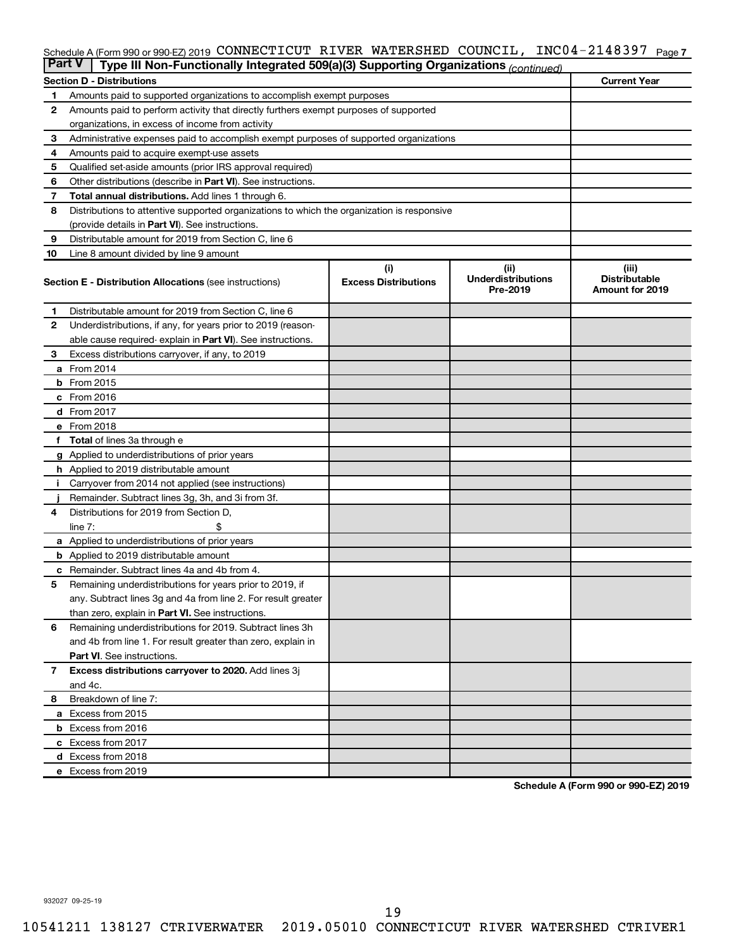#### Schedule A (Form 990 or 990-EZ) 2019 CONNECTICUT RIVER WATERSHED COUNCIL, INC04-2148397 <sub>Page 7</sub>

| <b>Part V</b><br>Type III Non-Functionally Integrated 509(a)(3) Supporting Organizations (continued) |                                                                                            |                             |                                       |                                                |  |  |  |  |
|------------------------------------------------------------------------------------------------------|--------------------------------------------------------------------------------------------|-----------------------------|---------------------------------------|------------------------------------------------|--|--|--|--|
|                                                                                                      | <b>Current Year</b><br><b>Section D - Distributions</b>                                    |                             |                                       |                                                |  |  |  |  |
| 1                                                                                                    | Amounts paid to supported organizations to accomplish exempt purposes                      |                             |                                       |                                                |  |  |  |  |
| $\mathbf{2}$                                                                                         | Amounts paid to perform activity that directly furthers exempt purposes of supported       |                             |                                       |                                                |  |  |  |  |
|                                                                                                      | organizations, in excess of income from activity                                           |                             |                                       |                                                |  |  |  |  |
| 3                                                                                                    | Administrative expenses paid to accomplish exempt purposes of supported organizations      |                             |                                       |                                                |  |  |  |  |
| 4                                                                                                    | Amounts paid to acquire exempt-use assets                                                  |                             |                                       |                                                |  |  |  |  |
| 5                                                                                                    | Qualified set-aside amounts (prior IRS approval required)                                  |                             |                                       |                                                |  |  |  |  |
| 6                                                                                                    | Other distributions (describe in <b>Part VI</b> ). See instructions.                       |                             |                                       |                                                |  |  |  |  |
| 7                                                                                                    | <b>Total annual distributions.</b> Add lines 1 through 6.                                  |                             |                                       |                                                |  |  |  |  |
| 8                                                                                                    | Distributions to attentive supported organizations to which the organization is responsive |                             |                                       |                                                |  |  |  |  |
|                                                                                                      | (provide details in Part VI). See instructions.                                            |                             |                                       |                                                |  |  |  |  |
| 9                                                                                                    | Distributable amount for 2019 from Section C, line 6                                       |                             |                                       |                                                |  |  |  |  |
| 10                                                                                                   | Line 8 amount divided by line 9 amount                                                     |                             |                                       |                                                |  |  |  |  |
|                                                                                                      |                                                                                            | (i)                         | (ii)                                  | (iii)                                          |  |  |  |  |
|                                                                                                      | <b>Section E - Distribution Allocations (see instructions)</b>                             | <b>Excess Distributions</b> | <b>Underdistributions</b><br>Pre-2019 | <b>Distributable</b><br><b>Amount for 2019</b> |  |  |  |  |
| 1                                                                                                    | Distributable amount for 2019 from Section C, line 6                                       |                             |                                       |                                                |  |  |  |  |
| $\mathbf{2}$                                                                                         | Underdistributions, if any, for years prior to 2019 (reason-                               |                             |                                       |                                                |  |  |  |  |
|                                                                                                      | able cause required- explain in Part VI). See instructions.                                |                             |                                       |                                                |  |  |  |  |
| 3                                                                                                    | Excess distributions carryover, if any, to 2019                                            |                             |                                       |                                                |  |  |  |  |
|                                                                                                      | a From 2014                                                                                |                             |                                       |                                                |  |  |  |  |
|                                                                                                      | <b>b</b> From 2015                                                                         |                             |                                       |                                                |  |  |  |  |
|                                                                                                      | c From 2016                                                                                |                             |                                       |                                                |  |  |  |  |
|                                                                                                      | <b>d</b> From 2017                                                                         |                             |                                       |                                                |  |  |  |  |
|                                                                                                      | e From 2018                                                                                |                             |                                       |                                                |  |  |  |  |
|                                                                                                      | f Total of lines 3a through e                                                              |                             |                                       |                                                |  |  |  |  |
|                                                                                                      | g Applied to underdistributions of prior years                                             |                             |                                       |                                                |  |  |  |  |
|                                                                                                      | <b>h</b> Applied to 2019 distributable amount                                              |                             |                                       |                                                |  |  |  |  |
| Ť.                                                                                                   | Carryover from 2014 not applied (see instructions)                                         |                             |                                       |                                                |  |  |  |  |
|                                                                                                      | Remainder. Subtract lines 3g, 3h, and 3i from 3f.                                          |                             |                                       |                                                |  |  |  |  |
| 4                                                                                                    | Distributions for 2019 from Section D,                                                     |                             |                                       |                                                |  |  |  |  |
|                                                                                                      | line $7:$                                                                                  |                             |                                       |                                                |  |  |  |  |
|                                                                                                      | a Applied to underdistributions of prior years                                             |                             |                                       |                                                |  |  |  |  |
|                                                                                                      | <b>b</b> Applied to 2019 distributable amount                                              |                             |                                       |                                                |  |  |  |  |
| c                                                                                                    | Remainder. Subtract lines 4a and 4b from 4.                                                |                             |                                       |                                                |  |  |  |  |
| 5                                                                                                    | Remaining underdistributions for years prior to 2019, if                                   |                             |                                       |                                                |  |  |  |  |
|                                                                                                      | any. Subtract lines 3g and 4a from line 2. For result greater                              |                             |                                       |                                                |  |  |  |  |
|                                                                                                      | than zero, explain in Part VI. See instructions.                                           |                             |                                       |                                                |  |  |  |  |
| 6                                                                                                    | Remaining underdistributions for 2019. Subtract lines 3h                                   |                             |                                       |                                                |  |  |  |  |
|                                                                                                      | and 4b from line 1. For result greater than zero, explain in                               |                             |                                       |                                                |  |  |  |  |
|                                                                                                      | <b>Part VI.</b> See instructions.                                                          |                             |                                       |                                                |  |  |  |  |
| $\mathbf{7}$                                                                                         | Excess distributions carryover to 2020. Add lines 3j                                       |                             |                                       |                                                |  |  |  |  |
|                                                                                                      | and 4c.                                                                                    |                             |                                       |                                                |  |  |  |  |
| 8                                                                                                    | Breakdown of line 7:                                                                       |                             |                                       |                                                |  |  |  |  |
|                                                                                                      | a Excess from 2015                                                                         |                             |                                       |                                                |  |  |  |  |
|                                                                                                      | <b>b</b> Excess from 2016                                                                  |                             |                                       |                                                |  |  |  |  |
|                                                                                                      | c Excess from 2017                                                                         |                             |                                       |                                                |  |  |  |  |
|                                                                                                      | d Excess from 2018                                                                         |                             |                                       |                                                |  |  |  |  |
|                                                                                                      | e Excess from 2019                                                                         |                             |                                       |                                                |  |  |  |  |

**Schedule A (Form 990 or 990-EZ) 2019**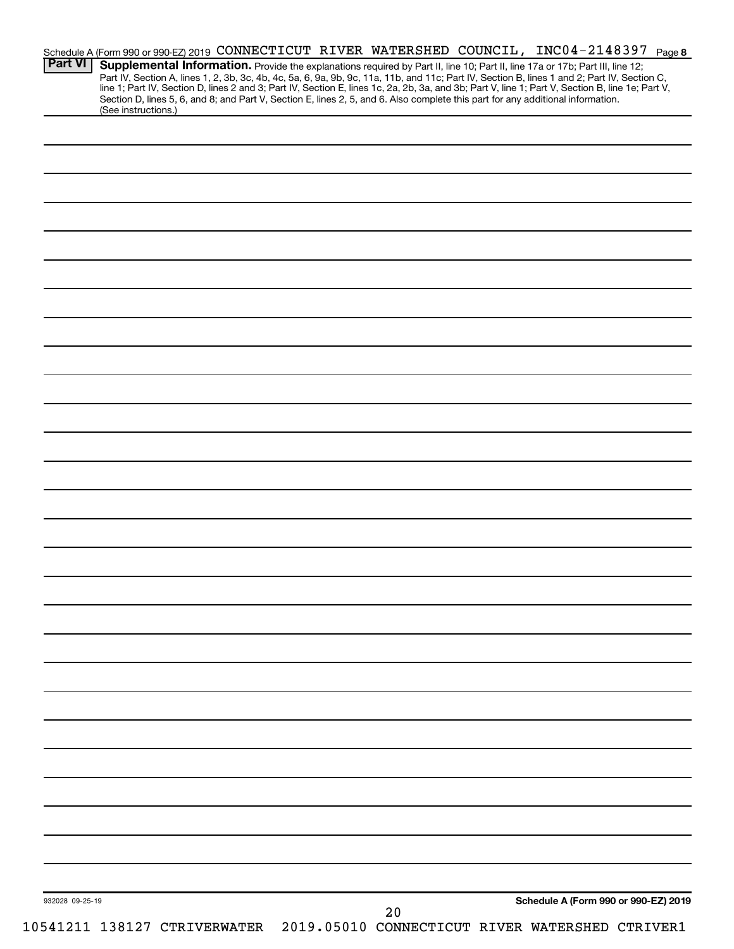| line 1; Part IV, Section D, lines 2 and 3; Part IV, Section E, lines 1c, 2a, 2b, 3a, and 3b; Part V, line 1; Part V, Section B, line 1e; Part V,<br>Section D, lines 5, 6, and 8; and Part V, Section E, lines 2, 5, and 6. Also complete this part for any additional information. |  |  |
|-------------------------------------------------------------------------------------------------------------------------------------------------------------------------------------------------------------------------------------------------------------------------------------|--|--|
| (See instructions.)                                                                                                                                                                                                                                                                 |  |  |
|                                                                                                                                                                                                                                                                                     |  |  |
|                                                                                                                                                                                                                                                                                     |  |  |
|                                                                                                                                                                                                                                                                                     |  |  |
|                                                                                                                                                                                                                                                                                     |  |  |
|                                                                                                                                                                                                                                                                                     |  |  |
|                                                                                                                                                                                                                                                                                     |  |  |
|                                                                                                                                                                                                                                                                                     |  |  |
|                                                                                                                                                                                                                                                                                     |  |  |
|                                                                                                                                                                                                                                                                                     |  |  |
|                                                                                                                                                                                                                                                                                     |  |  |
|                                                                                                                                                                                                                                                                                     |  |  |
|                                                                                                                                                                                                                                                                                     |  |  |
|                                                                                                                                                                                                                                                                                     |  |  |
|                                                                                                                                                                                                                                                                                     |  |  |
|                                                                                                                                                                                                                                                                                     |  |  |
|                                                                                                                                                                                                                                                                                     |  |  |
|                                                                                                                                                                                                                                                                                     |  |  |
|                                                                                                                                                                                                                                                                                     |  |  |
|                                                                                                                                                                                                                                                                                     |  |  |
|                                                                                                                                                                                                                                                                                     |  |  |
|                                                                                                                                                                                                                                                                                     |  |  |
|                                                                                                                                                                                                                                                                                     |  |  |
|                                                                                                                                                                                                                                                                                     |  |  |
|                                                                                                                                                                                                                                                                                     |  |  |
|                                                                                                                                                                                                                                                                                     |  |  |
|                                                                                                                                                                                                                                                                                     |  |  |
|                                                                                                                                                                                                                                                                                     |  |  |
|                                                                                                                                                                                                                                                                                     |  |  |
|                                                                                                                                                                                                                                                                                     |  |  |
|                                                                                                                                                                                                                                                                                     |  |  |
|                                                                                                                                                                                                                                                                                     |  |  |
|                                                                                                                                                                                                                                                                                     |  |  |
|                                                                                                                                                                                                                                                                                     |  |  |
|                                                                                                                                                                                                                                                                                     |  |  |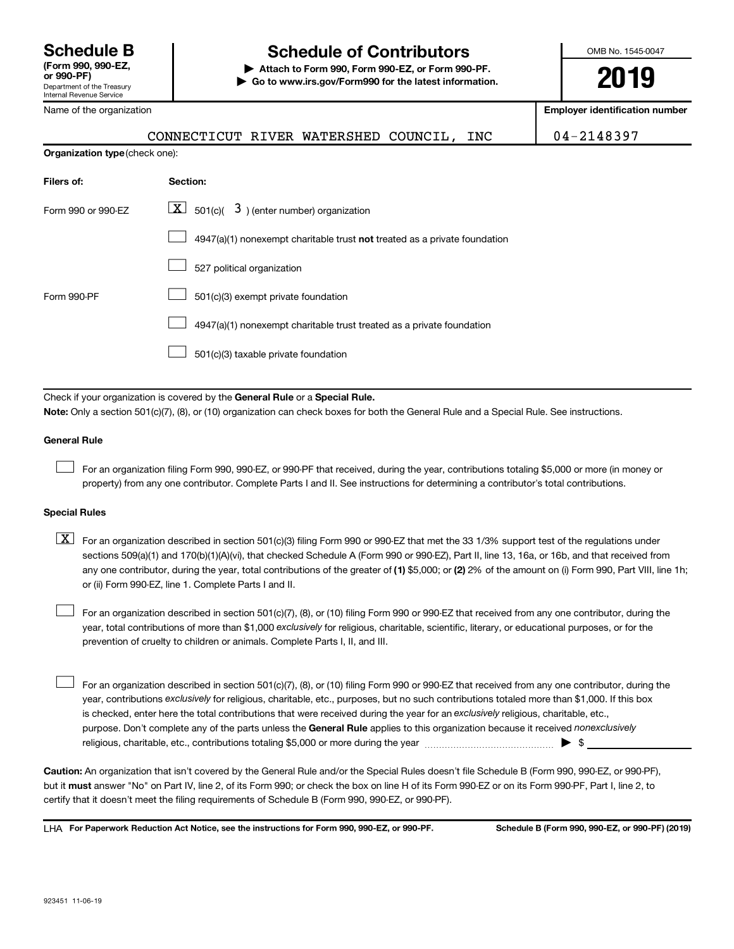Name of the organization

# **Schedule B Schedule of Contributors**

**or 990-PF) | Attach to Form 990, Form 990-EZ, or Form 990-PF. | Go to www.irs.gov/Form990 for the latest information.** OMB No. 1545-0047

**Employer identification number**

|                                | CONNECTICUT RIVER WATERSHED COUNCIL,<br>INC                                                                                                                                                                                                                                                                                                                                                                                                                                                                                                                           | 04-2148397              |
|--------------------------------|-----------------------------------------------------------------------------------------------------------------------------------------------------------------------------------------------------------------------------------------------------------------------------------------------------------------------------------------------------------------------------------------------------------------------------------------------------------------------------------------------------------------------------------------------------------------------|-------------------------|
| Organization type (check one): |                                                                                                                                                                                                                                                                                                                                                                                                                                                                                                                                                                       |                         |
| Filers of:                     | Section:                                                                                                                                                                                                                                                                                                                                                                                                                                                                                                                                                              |                         |
| Form 990 or 990-EZ             | $\boxed{\textbf{X}}$ 501(c)( 3) (enter number) organization                                                                                                                                                                                                                                                                                                                                                                                                                                                                                                           |                         |
|                                | 4947(a)(1) nonexempt charitable trust not treated as a private foundation                                                                                                                                                                                                                                                                                                                                                                                                                                                                                             |                         |
|                                | 527 political organization                                                                                                                                                                                                                                                                                                                                                                                                                                                                                                                                            |                         |
| Form 990-PF                    | 501(c)(3) exempt private foundation                                                                                                                                                                                                                                                                                                                                                                                                                                                                                                                                   |                         |
|                                | 4947(a)(1) nonexempt charitable trust treated as a private foundation                                                                                                                                                                                                                                                                                                                                                                                                                                                                                                 |                         |
|                                | 501(c)(3) taxable private foundation                                                                                                                                                                                                                                                                                                                                                                                                                                                                                                                                  |                         |
|                                |                                                                                                                                                                                                                                                                                                                                                                                                                                                                                                                                                                       |                         |
|                                | Check if your organization is covered by the General Rule or a Special Rule.<br>Note: Only a section 501(c)(7), (8), or (10) organization can check boxes for both the General Rule and a Special Rule. See instructions.                                                                                                                                                                                                                                                                                                                                             |                         |
| <b>General Rule</b>            |                                                                                                                                                                                                                                                                                                                                                                                                                                                                                                                                                                       |                         |
|                                |                                                                                                                                                                                                                                                                                                                                                                                                                                                                                                                                                                       |                         |
|                                | For an organization filing Form 990, 990-EZ, or 990-PF that received, during the year, contributions totaling \$5,000 or more (in money or<br>property) from any one contributor. Complete Parts I and II. See instructions for determining a contributor's total contributions.                                                                                                                                                                                                                                                                                      |                         |
| <b>Special Rules</b>           |                                                                                                                                                                                                                                                                                                                                                                                                                                                                                                                                                                       |                         |
| $\boxed{\text{X}}$             | For an organization described in section 501(c)(3) filing Form 990 or 990-EZ that met the 33 1/3% support test of the regulations under<br>sections 509(a)(1) and 170(b)(1)(A)(vi), that checked Schedule A (Form 990 or 990-EZ), Part II, line 13, 16a, or 16b, and that received from<br>any one contributor, during the year, total contributions of the greater of (1) \$5,000; or (2) 2% of the amount on (i) Form 990, Part VIII, line 1h;<br>or (ii) Form 990-EZ, line 1. Complete Parts I and II.                                                             |                         |
|                                | For an organization described in section 501(c)(7), (8), or (10) filing Form 990 or 990-EZ that received from any one contributor, during the<br>year, total contributions of more than \$1,000 exclusively for religious, charitable, scientific, literary, or educational purposes, or for the<br>prevention of cruelty to children or animals. Complete Parts I, II, and III.                                                                                                                                                                                      |                         |
|                                | For an organization described in section 501(c)(7), (8), or (10) filing Form 990 or 990-EZ that received from any one contributor, during the<br>year, contributions exclusively for religious, charitable, etc., purposes, but no such contributions totaled more than \$1,000. If this box<br>is checked, enter here the total contributions that were received during the year for an exclusively religious, charitable, etc.,<br>purpose. Don't complete any of the parts unless the General Rule applies to this organization because it received nonexclusively | $\blacktriangleright$ s |
|                                | Caution: An organization that isn't covered by the General Rule and/or the Special Rules doesn't file Schedule B (Form 990, 990-EZ, or 990-PF),                                                                                                                                                                                                                                                                                                                                                                                                                       |                         |

 **must** but it answer "No" on Part IV, line 2, of its Form 990; or check the box on line H of its Form 990-EZ or on its Form 990-PF, Part I, line 2, to certify that it doesn't meet the filing requirements of Schedule B (Form 990, 990-EZ, or 990-PF).

**For Paperwork Reduction Act Notice, see the instructions for Form 990, 990-EZ, or 990-PF. Schedule B (Form 990, 990-EZ, or 990-PF) (2019)** LHA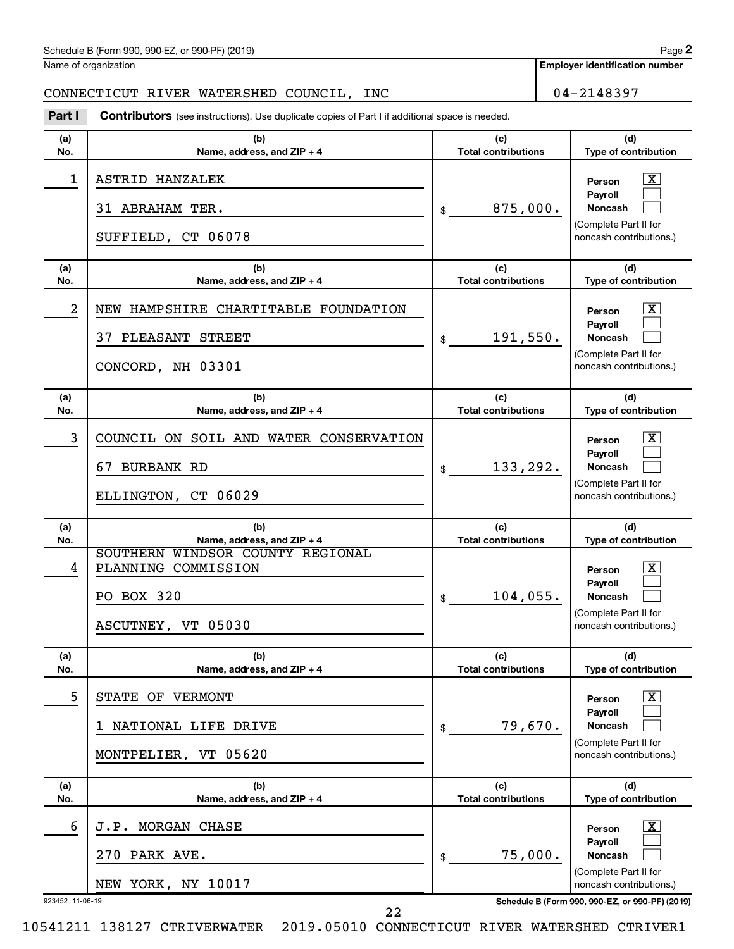| Schedule B (Form 990, 990-EZ, or 990-PF) (2019) | Page |
|-------------------------------------------------|------|
|-------------------------------------------------|------|

Name of organization

**Employer identification number**

CONNECTICUT RIVER WATERSHED COUNCIL, INC | 04-2148397

| Part I     | Contributors (see instructions). Use duplicate copies of Part I if additional space is needed. |                                   |                                                                                                             |
|------------|------------------------------------------------------------------------------------------------|-----------------------------------|-------------------------------------------------------------------------------------------------------------|
| (a)<br>No. | (b)<br>Name, address, and ZIP + 4                                                              | (c)<br><b>Total contributions</b> | (d)<br>Type of contribution                                                                                 |
| 1          | ASTRID HANZALEK<br>31 ABRAHAM TER.<br>SUFFIELD, CT 06078                                       | 875,000.<br>\$                    | $\overline{\textbf{X}}$<br>Person<br>Payroll<br>Noncash<br>(Complete Part II for<br>noncash contributions.) |
| (a)<br>No. | (b)<br>Name, address, and ZIP + 4                                                              | (c)<br><b>Total contributions</b> | (d)<br>Type of contribution                                                                                 |
| 2          | NEW HAMPSHIRE CHARTITABLE FOUNDATION<br>37 PLEASANT STREET<br>CONCORD, NH 03301                | 191,550.<br>\$                    | x<br>Person<br>Payroll<br>Noncash<br>(Complete Part II for<br>noncash contributions.)                       |
| (a)<br>No. | (b)<br>Name, address, and ZIP + 4                                                              | (c)<br><b>Total contributions</b> | (d)<br>Type of contribution                                                                                 |
| 3          | COUNCIL ON SOIL AND WATER CONSERVATION<br>67 BURBANK RD<br>ELLINGTON, CT 06029                 | 133,292.<br>\$                    | X<br>Person<br>Payroll<br>Noncash<br>(Complete Part II for<br>noncash contributions.)                       |
| (a)<br>No. | (b)<br>Name, address, and ZIP + 4                                                              | (c)<br><b>Total contributions</b> | (d)<br>Type of contribution                                                                                 |
| 4          | SOUTHERN WINDSOR COUNTY REGIONAL<br>PLANNING COMMISSION<br>PO BOX 320<br>ASCUTNEY, VT 05030    | 104,055.<br>\$                    | X<br>Person<br>Payroll<br>Noncash<br>(Complete Part II for<br>noncash contributions.)                       |
| (a)<br>No. | (b)<br>Name, address, and ZIP + 4                                                              | (c)<br><b>Total contributions</b> | (d)<br><b>Type of contribution</b>                                                                          |
| 5          | STATE OF VERMONT<br>NATIONAL LIFE DRIVE<br>1<br>MONTPELIER, VT 05620                           | 79,670.<br>\$                     | $\overline{\text{X}}$<br>Person<br>Payroll<br>Noncash<br>(Complete Part II for<br>noncash contributions.)   |
| (a)<br>No. | (b)<br>Name, address, and ZIP + 4                                                              | (c)<br><b>Total contributions</b> | (d)<br>Type of contribution                                                                                 |
| 6          | J.P. MORGAN CHASE<br>270 PARK AVE.<br>NEW YORK, NY 10017                                       | 75,000.<br>\$                     | <u>x</u><br>Person<br>Payroll<br>Noncash<br>(Complete Part II for<br>noncash contributions.)                |

923452 11-06-19 **Schedule B (Form 990, 990-EZ, or 990-PF) (2019)**

10541211 138127 CTRIVERWATER 2019.05010 CONNECTICUT RIVER WATERSHED CTRIVER1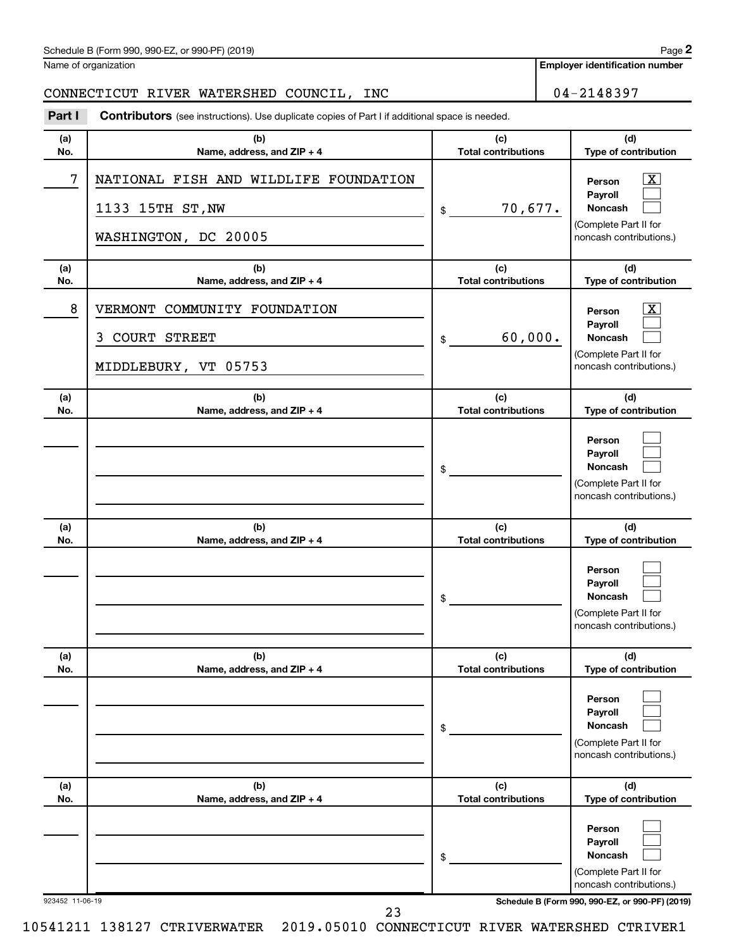| Schedule B (Form 990, 990-EZ, or 990-PF) (2019) | Page |
|-------------------------------------------------|------|
|-------------------------------------------------|------|

|            | $\cdots$ $\cdots$ $\cdots$ $\cdots$ $\cdots$ $\cdots$ $\cdots$ $\cdots$ $\cdots$ $\cdots$ $\cdots$ $\cdots$ $\cdots$ |                                   | . - 9                                                                                   |
|------------|----------------------------------------------------------------------------------------------------------------------|-----------------------------------|-----------------------------------------------------------------------------------------|
|            | Name of organization                                                                                                 |                                   | <b>Employer identification numbe</b>                                                    |
|            | CONNECTICUT RIVER WATERSHED COUNCIL, INC                                                                             |                                   | 04-2148397                                                                              |
| Part I     | <b>Contributors</b> (see instructions). Use duplicate copies of Part I if additional space is needed.                |                                   |                                                                                         |
| (a)<br>No. | (b)<br>Name, address, and ZIP + 4                                                                                    | (c)<br><b>Total contributions</b> | (d)<br>Type of contribution                                                             |
| 7          | NATIONAL FISH AND WILDLIFE FOUNDATION                                                                                |                                   | $\mathbf{X}$<br>Person                                                                  |
|            | 1133 15TH ST, NW                                                                                                     | 70,677.<br>\$                     | Payroll<br>Noncash<br>(Complete Part II for                                             |
|            | WASHINGTON, DC 20005                                                                                                 |                                   | noncash contributions.)                                                                 |
| (a)<br>No. | (b)<br>Name, address, and ZIP + 4                                                                                    | (c)<br><b>Total contributions</b> | (d)<br>Type of contribution                                                             |
| 8          | VERMONT COMMUNITY FOUNDATION                                                                                         |                                   | x<br>Person                                                                             |
|            | 3 COURT STREET                                                                                                       | 60,000.<br>\$                     | Payroll<br>Noncash<br>(Complete Part II for                                             |
|            | MIDDLEBURY, VT 05753                                                                                                 |                                   | noncash contributions.)                                                                 |
| (a)<br>No. | (b)<br>Name, address, and ZIP + 4                                                                                    | (c)<br><b>Total contributions</b> | (d)<br>Type of contribution                                                             |
|            |                                                                                                                      | \$                                | Person<br>Payroll<br>Noncash<br>(Complete Part II for                                   |
| (a)<br>No. | (b)<br>Name, address, and ZIP + 4                                                                                    | (c)<br><b>Total contributions</b> | noncash contributions.)<br>(d)<br>Type of contribution                                  |
|            |                                                                                                                      | \$                                | Person<br>Payroll<br>Noncash<br>(Complete Part II for<br>noncash contributions.)        |
| (a)<br>No. | (b)<br>Name, address, and ZIP + 4                                                                                    | (c)<br><b>Total contributions</b> | (d)<br>Type of contribution                                                             |
|            |                                                                                                                      | \$                                | Person<br>Payroll<br><b>Noncash</b><br>(Complete Part II for<br>noncash contributions.) |
| (a)<br>No. | (b)<br>Name, address, and ZIP + 4                                                                                    | (c)<br><b>Total contributions</b> | (d)<br>Type of contribution                                                             |
|            |                                                                                                                      |                                   | Person                                                                                  |

923452 11-06-19 **Schedule B (Form 990, 990-EZ, or 990-PF) (2019)**

**Payroll Noncash**

(Complete Part II for noncash contributions.)

 $\Box$  $\Box$ 

\$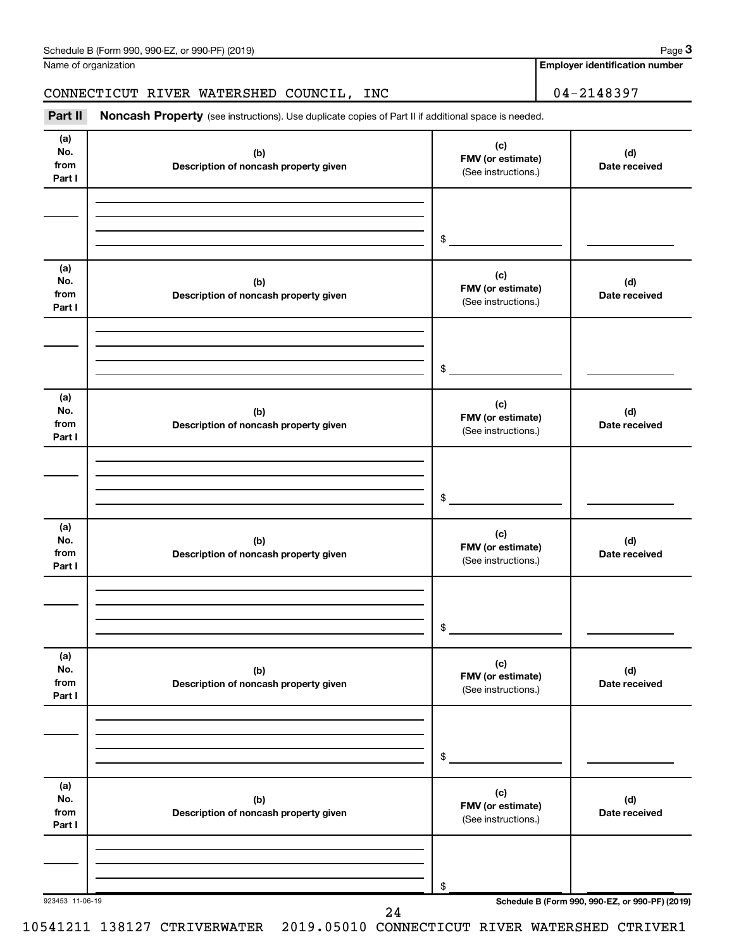Name of organization

### CONNECTICUT RIVER WATERSHED COUNCIL, INC | 04-2148397

Part II Noncash Property (see instructions). Use duplicate copies of Part II if additional space is needed.

| (a)<br>No.<br>from<br>Part I | (b)<br>Description of noncash property given | (c)<br>FMV (or estimate)<br>(See instructions.) | (d)<br>Date received                            |
|------------------------------|----------------------------------------------|-------------------------------------------------|-------------------------------------------------|
|                              |                                              | \$                                              |                                                 |
| (a)<br>No.<br>from<br>Part I | (b)<br>Description of noncash property given | (c)<br>FMV (or estimate)<br>(See instructions.) | (d)<br>Date received                            |
|                              |                                              | \$                                              |                                                 |
| (a)<br>No.<br>from<br>Part I | (b)<br>Description of noncash property given | (c)<br>FMV (or estimate)<br>(See instructions.) | (d)<br>Date received                            |
|                              |                                              | \$                                              |                                                 |
| (a)<br>No.<br>from<br>Part I | (b)<br>Description of noncash property given | (c)<br>FMV (or estimate)<br>(See instructions.) | (d)<br>Date received                            |
|                              |                                              | $\$$                                            |                                                 |
| (a)<br>No.<br>from<br>Part I | (b)<br>Description of noncash property given | (c)<br>FMV (or estimate)<br>(See instructions.) | (d)<br>Date received                            |
|                              |                                              | \$                                              |                                                 |
| (a)<br>No.<br>from<br>Part I | (b)<br>Description of noncash property given | (c)<br>FMV (or estimate)<br>(See instructions.) | (d)<br>Date received                            |
|                              |                                              | \$                                              |                                                 |
| 923453 11-06-19              | 24                                           |                                                 | Schedule B (Form 990, 990-EZ, or 990-PF) (2019) |

10541211 138127 CTRIVERWATER 2019.05010 CONNECTICUT RIVER WATERSHED CTRIVER1

**Employer identification number**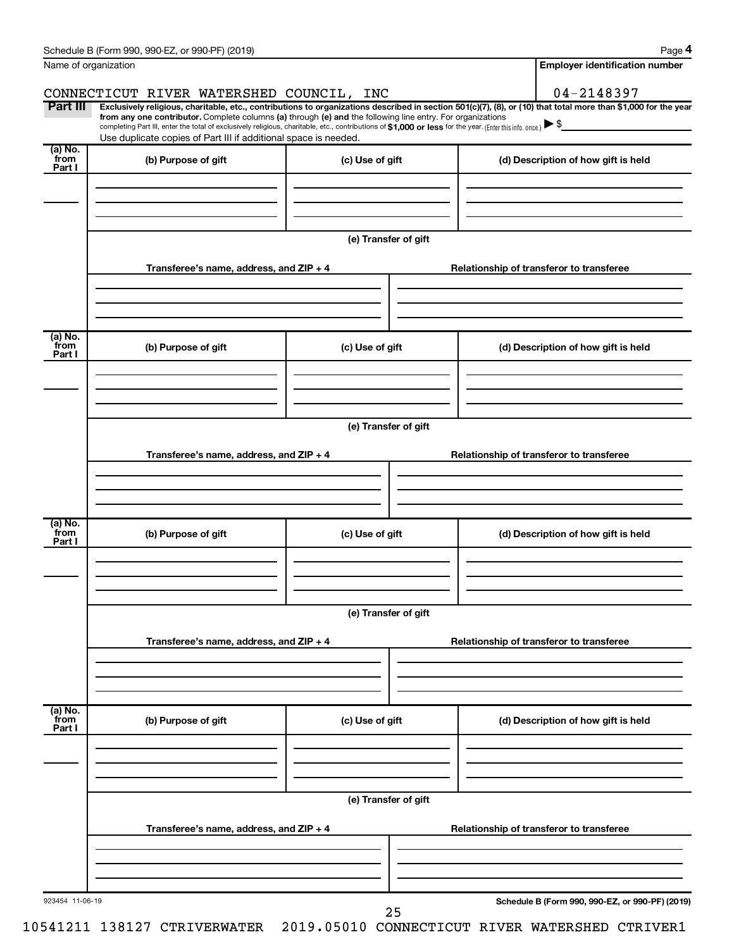|                           | Schedule B (Form 990, 990-EZ, or 990-PF) (2019)                                                                                                                                                                                                                                                 |                      | Page 4                                                                                                                                                         |  |  |  |  |  |  |
|---------------------------|-------------------------------------------------------------------------------------------------------------------------------------------------------------------------------------------------------------------------------------------------------------------------------------------------|----------------------|----------------------------------------------------------------------------------------------------------------------------------------------------------------|--|--|--|--|--|--|
| Name of organization      |                                                                                                                                                                                                                                                                                                 |                      | <b>Employer identification number</b>                                                                                                                          |  |  |  |  |  |  |
|                           | CONNECTICUT RIVER WATERSHED COUNCIL, INC                                                                                                                                                                                                                                                        |                      | 04-2148397                                                                                                                                                     |  |  |  |  |  |  |
| Part III                  | from any one contributor. Complete columns (a) through (e) and the following line entry. For organizations<br>completing Part III, enter the total of exclusively religious, charitable, etc., contributions of \$1,000 or less for the year. (Enter this info. once.) $\blacktriangleright$ \$ |                      | Exclusively religious, charitable, etc., contributions to organizations described in section 501(c)(7), (8), or (10) that total more than \$1,000 for the year |  |  |  |  |  |  |
| $\overline{a}$ ) No.      | Use duplicate copies of Part III if additional space is needed.                                                                                                                                                                                                                                 |                      |                                                                                                                                                                |  |  |  |  |  |  |
| from<br>Part I            | (b) Purpose of gift                                                                                                                                                                                                                                                                             | (c) Use of gift      | (d) Description of how gift is held                                                                                                                            |  |  |  |  |  |  |
|                           |                                                                                                                                                                                                                                                                                                 | (e) Transfer of gift |                                                                                                                                                                |  |  |  |  |  |  |
|                           | Transferee's name, address, and $ZIP + 4$                                                                                                                                                                                                                                                       |                      | Relationship of transferor to transferee                                                                                                                       |  |  |  |  |  |  |
| (a) No.<br>from<br>Part I | (b) Purpose of gift                                                                                                                                                                                                                                                                             | (c) Use of gift      | (d) Description of how gift is held                                                                                                                            |  |  |  |  |  |  |
|                           | Transferee's name, address, and $ZIP + 4$                                                                                                                                                                                                                                                       | (e) Transfer of gift | Relationship of transferor to transferee                                                                                                                       |  |  |  |  |  |  |
| (a) No.<br>from           | (b) Purpose of gift                                                                                                                                                                                                                                                                             | (c) Use of gift      | (d) Description of how gift is held                                                                                                                            |  |  |  |  |  |  |
| Part I                    |                                                                                                                                                                                                                                                                                                 |                      |                                                                                                                                                                |  |  |  |  |  |  |
|                           | (e) Transfer of gift                                                                                                                                                                                                                                                                            |                      |                                                                                                                                                                |  |  |  |  |  |  |
|                           | Transferee's name, address, and $ZIP + 4$                                                                                                                                                                                                                                                       |                      | Relationship of transferor to transferee                                                                                                                       |  |  |  |  |  |  |
| (a) No.<br>from<br>Part I | (b) Purpose of gift                                                                                                                                                                                                                                                                             | (c) Use of gift      | (d) Description of how gift is held                                                                                                                            |  |  |  |  |  |  |
|                           |                                                                                                                                                                                                                                                                                                 | (e) Transfer of gift |                                                                                                                                                                |  |  |  |  |  |  |
|                           | Transferee's name, address, and ZIP + 4                                                                                                                                                                                                                                                         |                      | Relationship of transferor to transferee                                                                                                                       |  |  |  |  |  |  |
| 923454 11-06-19           |                                                                                                                                                                                                                                                                                                 | 25                   | Schedule B (Form 990, 990-EZ, or 990-PF) (2019)                                                                                                                |  |  |  |  |  |  |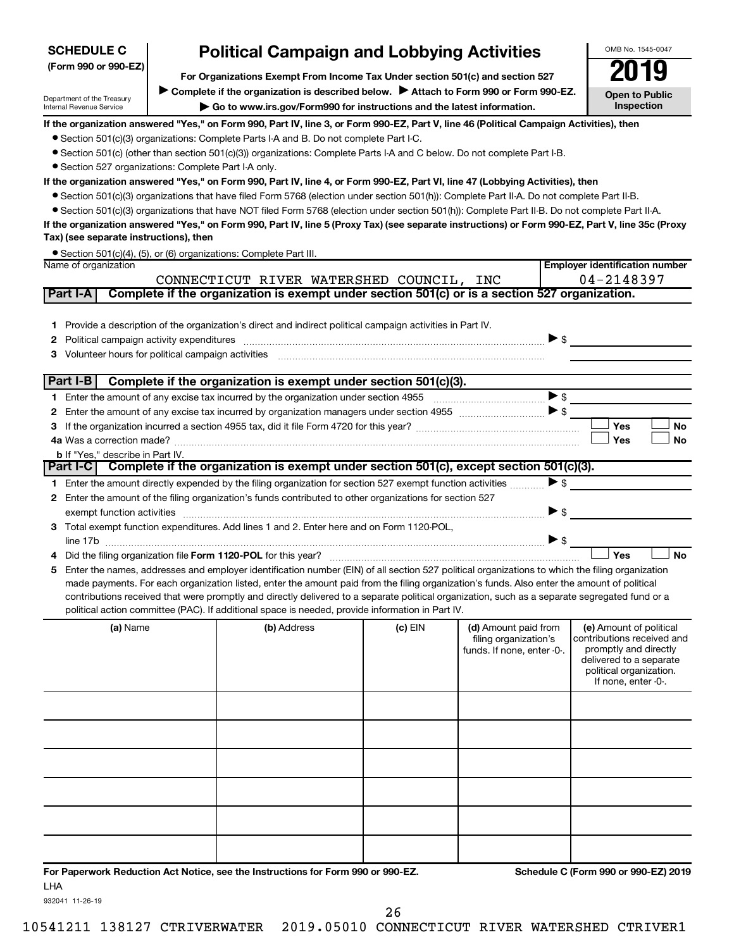| (Form 990 or 990-EZ)                                                                                                   | For Organizations Exempt From Income Tax Under section 501(c) and section 527                                                                                                                                                                                                                                                                                                                                                                                                                                                                                                                                                                                                                                                                                                                                                                                                                                                                                                                                               |           |                                                                             |                                                 |                                                                                                                                                             |
|------------------------------------------------------------------------------------------------------------------------|-----------------------------------------------------------------------------------------------------------------------------------------------------------------------------------------------------------------------------------------------------------------------------------------------------------------------------------------------------------------------------------------------------------------------------------------------------------------------------------------------------------------------------------------------------------------------------------------------------------------------------------------------------------------------------------------------------------------------------------------------------------------------------------------------------------------------------------------------------------------------------------------------------------------------------------------------------------------------------------------------------------------------------|-----------|-----------------------------------------------------------------------------|-------------------------------------------------|-------------------------------------------------------------------------------------------------------------------------------------------------------------|
| Department of the Treasury<br>Internal Revenue Service                                                                 | <b>Open to Public</b><br><b>Inspection</b>                                                                                                                                                                                                                                                                                                                                                                                                                                                                                                                                                                                                                                                                                                                                                                                                                                                                                                                                                                                  |           |                                                                             |                                                 |                                                                                                                                                             |
| • Section 527 organizations: Complete Part I-A only.<br>Tax) (see separate instructions), then<br>Name of organization | If the organization answered "Yes," on Form 990, Part IV, line 3, or Form 990-EZ, Part V, line 46 (Political Campaign Activities), then<br>• Section 501(c)(3) organizations: Complete Parts I-A and B. Do not complete Part I-C.<br>• Section 501(c) (other than section 501(c)(3)) organizations: Complete Parts I-A and C below. Do not complete Part I-B.<br>If the organization answered "Yes," on Form 990, Part IV, line 4, or Form 990-EZ, Part VI, line 47 (Lobbying Activities), then<br>• Section 501(c)(3) organizations that have filed Form 5768 (election under section 501(h)): Complete Part II-A. Do not complete Part II-B.<br>• Section 501(c)(3) organizations that have NOT filed Form 5768 (election under section 501(h)): Complete Part II-B. Do not complete Part II-A.<br>If the organization answered "Yes," on Form 990, Part IV, line 5 (Proxy Tax) (see separate instructions) or Form 990-EZ, Part V, line 35c (Proxy<br>• Section 501(c)(4), (5), or (6) organizations: Complete Part III. |           |                                                                             |                                                 | <b>Employer identification number</b>                                                                                                                       |
|                                                                                                                        | CONNECTICUT RIVER WATERSHED COUNCIL, INC                                                                                                                                                                                                                                                                                                                                                                                                                                                                                                                                                                                                                                                                                                                                                                                                                                                                                                                                                                                    |           |                                                                             |                                                 | 04-2148397                                                                                                                                                  |
| Part I-A                                                                                                               | Complete if the organization is exempt under section 501(c) or is a section 527 organization.                                                                                                                                                                                                                                                                                                                                                                                                                                                                                                                                                                                                                                                                                                                                                                                                                                                                                                                               |           |                                                                             |                                                 |                                                                                                                                                             |
| Part I-B                                                                                                               | 1 Provide a description of the organization's direct and indirect political campaign activities in Part IV.<br>Complete if the organization is exempt under section 501(c)(3).                                                                                                                                                                                                                                                                                                                                                                                                                                                                                                                                                                                                                                                                                                                                                                                                                                              |           |                                                                             | $\triangleright$ \$<br>$\blacktriangleright$ \$ |                                                                                                                                                             |
|                                                                                                                        |                                                                                                                                                                                                                                                                                                                                                                                                                                                                                                                                                                                                                                                                                                                                                                                                                                                                                                                                                                                                                             |           |                                                                             |                                                 |                                                                                                                                                             |
|                                                                                                                        |                                                                                                                                                                                                                                                                                                                                                                                                                                                                                                                                                                                                                                                                                                                                                                                                                                                                                                                                                                                                                             |           |                                                                             |                                                 | Yes<br>No                                                                                                                                                   |
|                                                                                                                        |                                                                                                                                                                                                                                                                                                                                                                                                                                                                                                                                                                                                                                                                                                                                                                                                                                                                                                                                                                                                                             |           |                                                                             |                                                 | Yes<br>No                                                                                                                                                   |
| <b>b</b> If "Yes," describe in Part IV.<br>Part I-C                                                                    | Complete if the organization is exempt under section 501(c), except section 501(c)(3).                                                                                                                                                                                                                                                                                                                                                                                                                                                                                                                                                                                                                                                                                                                                                                                                                                                                                                                                      |           |                                                                             |                                                 |                                                                                                                                                             |
|                                                                                                                        | 1 Enter the amount directly expended by the filing organization for section 527 exempt function activities                                                                                                                                                                                                                                                                                                                                                                                                                                                                                                                                                                                                                                                                                                                                                                                                                                                                                                                  |           |                                                                             | $\blacktriangleright$ \$                        |                                                                                                                                                             |
| exempt function activities                                                                                             | 2 Enter the amount of the filing organization's funds contributed to other organizations for section 527                                                                                                                                                                                                                                                                                                                                                                                                                                                                                                                                                                                                                                                                                                                                                                                                                                                                                                                    |           |                                                                             | $\triangleright$ \$                             |                                                                                                                                                             |
| line 17b                                                                                                               | 3 Total exempt function expenditures. Add lines 1 and 2. Enter here and on Form 1120-POL,                                                                                                                                                                                                                                                                                                                                                                                                                                                                                                                                                                                                                                                                                                                                                                                                                                                                                                                                   |           |                                                                             | $\triangleright$ \$                             |                                                                                                                                                             |
|                                                                                                                        |                                                                                                                                                                                                                                                                                                                                                                                                                                                                                                                                                                                                                                                                                                                                                                                                                                                                                                                                                                                                                             |           |                                                                             |                                                 | Yes<br>No                                                                                                                                                   |
|                                                                                                                        | Enter the names, addresses and employer identification number (EIN) of all section 527 political organizations to which the filing organization<br>made payments. For each organization listed, enter the amount paid from the filing organization's funds. Also enter the amount of political<br>contributions received that were promptly and directly delivered to a separate political organization, such as a separate segregated fund or a<br>political action committee (PAC). If additional space is needed, provide information in Part IV.                                                                                                                                                                                                                                                                                                                                                                                                                                                                        |           |                                                                             |                                                 |                                                                                                                                                             |
| (a) Name                                                                                                               | (b) Address                                                                                                                                                                                                                                                                                                                                                                                                                                                                                                                                                                                                                                                                                                                                                                                                                                                                                                                                                                                                                 | $(c)$ EIN | (d) Amount paid from<br>filing organization's<br>funds. If none, enter -0-. |                                                 | (e) Amount of political<br>contributions received and<br>promptly and directly<br>delivered to a separate<br>political organization.<br>If none, enter -0-. |
|                                                                                                                        |                                                                                                                                                                                                                                                                                                                                                                                                                                                                                                                                                                                                                                                                                                                                                                                                                                                                                                                                                                                                                             |           |                                                                             |                                                 |                                                                                                                                                             |
|                                                                                                                        |                                                                                                                                                                                                                                                                                                                                                                                                                                                                                                                                                                                                                                                                                                                                                                                                                                                                                                                                                                                                                             |           |                                                                             |                                                 |                                                                                                                                                             |
|                                                                                                                        |                                                                                                                                                                                                                                                                                                                                                                                                                                                                                                                                                                                                                                                                                                                                                                                                                                                                                                                                                                                                                             |           |                                                                             |                                                 |                                                                                                                                                             |
|                                                                                                                        |                                                                                                                                                                                                                                                                                                                                                                                                                                                                                                                                                                                                                                                                                                                                                                                                                                                                                                                                                                                                                             |           |                                                                             |                                                 |                                                                                                                                                             |
|                                                                                                                        |                                                                                                                                                                                                                                                                                                                                                                                                                                                                                                                                                                                                                                                                                                                                                                                                                                                                                                                                                                                                                             |           |                                                                             |                                                 |                                                                                                                                                             |

## **Political Campaign and Lobbying Activities 2019**

OMB No. 1545-0047

**For Paperwork Reduction Act Notice, see the Instructions for Form 990 or 990-EZ. Schedule C (Form 990 or 990-EZ) 2019** LHA

932041 11-26-19

**SCHEDULE C**

T

26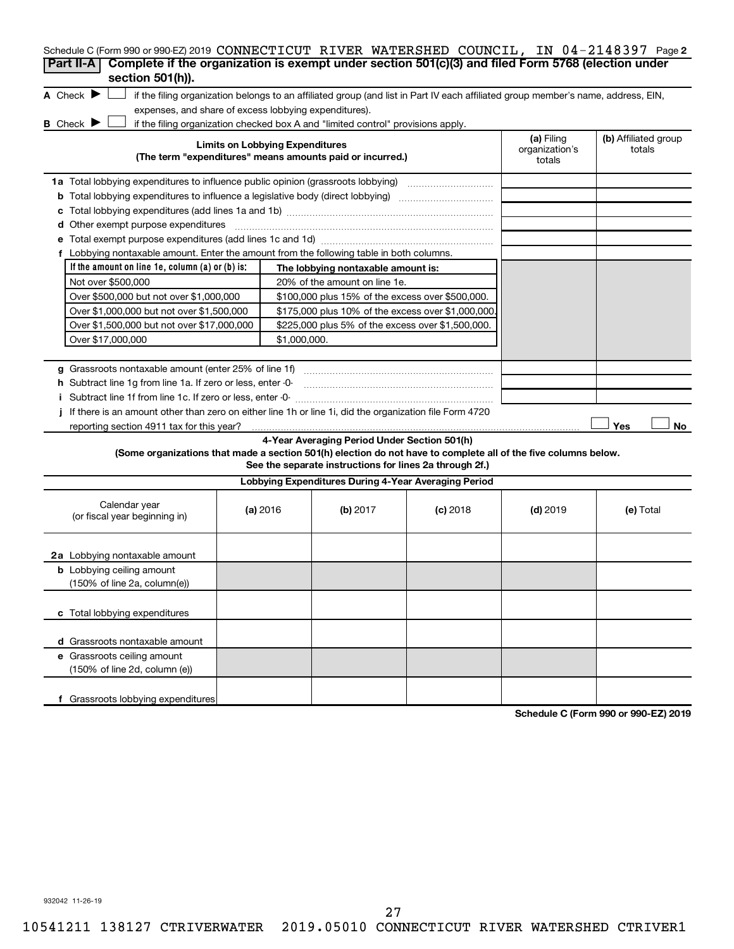| Schedule C (Form 990 or 990-EZ) 2019 CONNECTICUT RIVER WATERSHED COUNCIL, IN 04-2148397 Page 2                  |                                        |                                                                                  |                                                                                                                                   |                              |                      |
|-----------------------------------------------------------------------------------------------------------------|----------------------------------------|----------------------------------------------------------------------------------|-----------------------------------------------------------------------------------------------------------------------------------|------------------------------|----------------------|
| Complete if the organization is exempt under section 501(c)(3) and filed Form 5768 (election under<br>Part II-A |                                        |                                                                                  |                                                                                                                                   |                              |                      |
| section 501(h)).                                                                                                |                                        |                                                                                  |                                                                                                                                   |                              |                      |
| A Check $\blacktriangleright$                                                                                   |                                        |                                                                                  | if the filing organization belongs to an affiliated group (and list in Part IV each affiliated group member's name, address, EIN, |                              |                      |
| expenses, and share of excess lobbying expenditures).                                                           |                                        |                                                                                  |                                                                                                                                   |                              |                      |
| <b>B</b> Check <b>J</b>                                                                                         | <b>Limits on Lobbying Expenditures</b> | if the filing organization checked box A and "limited control" provisions apply. |                                                                                                                                   | (a) Filing<br>organization's | (b) Affiliated group |
|                                                                                                                 |                                        | (The term "expenditures" means amounts paid or incurred.)                        |                                                                                                                                   | totals                       | totals               |
|                                                                                                                 |                                        |                                                                                  |                                                                                                                                   |                              |                      |
|                                                                                                                 |                                        |                                                                                  |                                                                                                                                   |                              |                      |
| с                                                                                                               |                                        |                                                                                  |                                                                                                                                   |                              |                      |
| d Other exempt purpose expenditures                                                                             |                                        |                                                                                  |                                                                                                                                   |                              |                      |
|                                                                                                                 |                                        |                                                                                  |                                                                                                                                   |                              |                      |
| f Lobbying nontaxable amount. Enter the amount from the following table in both columns.                        |                                        |                                                                                  |                                                                                                                                   |                              |                      |
| If the amount on line 1e, column $(a)$ or $(b)$ is:                                                             |                                        | The lobbying nontaxable amount is:                                               |                                                                                                                                   |                              |                      |
| Not over \$500,000                                                                                              |                                        | 20% of the amount on line 1e.                                                    |                                                                                                                                   |                              |                      |
| Over \$500,000 but not over \$1,000,000                                                                         |                                        | \$100,000 plus 15% of the excess over \$500,000.                                 |                                                                                                                                   |                              |                      |
| Over \$1,000,000 but not over \$1,500,000                                                                       |                                        | \$175,000 plus 10% of the excess over \$1,000,000                                |                                                                                                                                   |                              |                      |
| Over \$1,500,000 but not over \$17,000,000                                                                      |                                        | \$225,000 plus 5% of the excess over \$1,500,000.                                |                                                                                                                                   |                              |                      |
| Over \$17,000,000                                                                                               | \$1,000,000.                           |                                                                                  |                                                                                                                                   |                              |                      |
|                                                                                                                 |                                        |                                                                                  |                                                                                                                                   |                              |                      |
|                                                                                                                 |                                        |                                                                                  |                                                                                                                                   |                              |                      |
| h Subtract line 1q from line 1a. If zero or less, enter -0-                                                     |                                        |                                                                                  |                                                                                                                                   |                              |                      |
|                                                                                                                 |                                        |                                                                                  |                                                                                                                                   |                              |                      |
| If there is an amount other than zero on either line 1h or line 1i, did the organization file Form 4720         |                                        |                                                                                  |                                                                                                                                   |                              |                      |
|                                                                                                                 |                                        |                                                                                  |                                                                                                                                   |                              | Yes<br>No.           |
|                                                                                                                 |                                        | 4-Year Averaging Period Under Section 501(h)                                     |                                                                                                                                   |                              |                      |
| (Some organizations that made a section 501(h) election do not have to complete all of the five columns below.  |                                        | See the separate instructions for lines 2a through 2f.)                          |                                                                                                                                   |                              |                      |
|                                                                                                                 |                                        | Lobbying Expenditures During 4-Year Averaging Period                             |                                                                                                                                   |                              |                      |
| Calendar year<br>(or fiscal year beginning in)                                                                  | (a) 2016                               | (b) 2017                                                                         | $(c)$ 2018                                                                                                                        | $(d)$ 2019                   | (e) Total            |
| 2a Lobbying nontaxable amount                                                                                   |                                        |                                                                                  |                                                                                                                                   |                              |                      |
| <b>b</b> Lobbying ceiling amount                                                                                |                                        |                                                                                  |                                                                                                                                   |                              |                      |
| (150% of line 2a, column(e))                                                                                    |                                        |                                                                                  |                                                                                                                                   |                              |                      |
| c Total lobbying expenditures                                                                                   |                                        |                                                                                  |                                                                                                                                   |                              |                      |
| d Grassroots nontaxable amount                                                                                  |                                        |                                                                                  |                                                                                                                                   |                              |                      |
| e Grassroots ceiling amount                                                                                     |                                        |                                                                                  |                                                                                                                                   |                              |                      |
| (150% of line 2d, column (e))                                                                                   |                                        |                                                                                  |                                                                                                                                   |                              |                      |
| f Grassroots lobbying expenditures                                                                              |                                        |                                                                                  |                                                                                                                                   |                              |                      |

**Schedule C (Form 990 or 990-EZ) 2019**

932042 11-26-19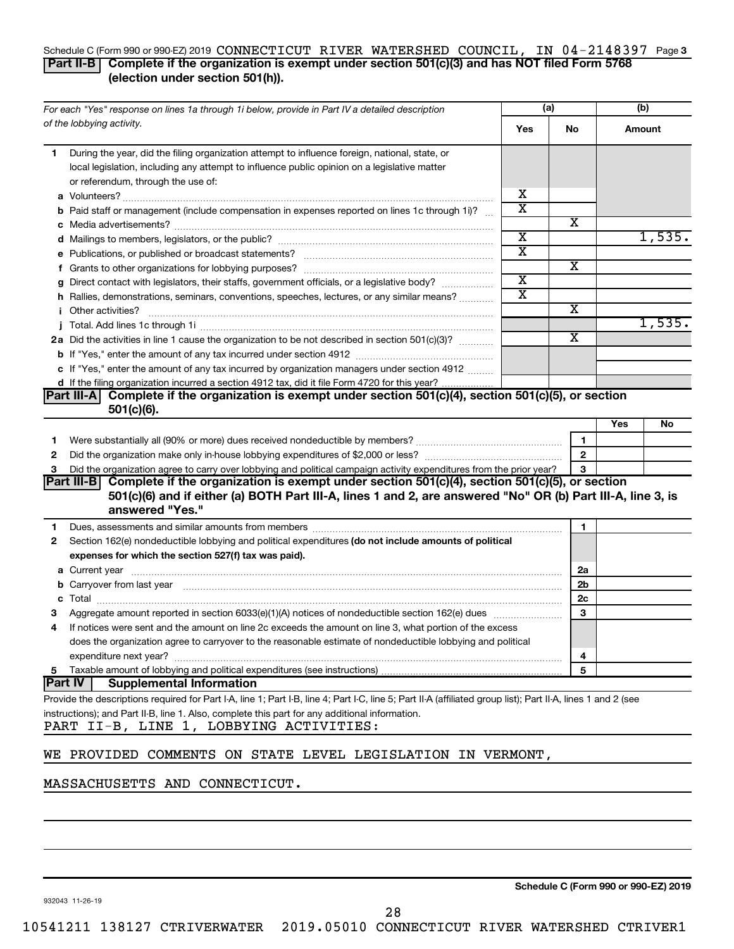#### Schedule C (Form 990 or 990-EZ) 2019  $\bf CONNECTICUT$  RIVER WATERSHED  $\bf COUNCIL$ , IN  $04$   $-2148397$  Page 3 **Part II-B Complete if the organization is exempt under section 501(c)(3) and has NOT filed Form 5768 (election under section 501(h)).**

| For each "Yes" response on lines 1a through 1i below, provide in Part IV a detailed description |                                                                                                                                                                                                                                | (a)                     |              | (b)    |        |
|-------------------------------------------------------------------------------------------------|--------------------------------------------------------------------------------------------------------------------------------------------------------------------------------------------------------------------------------|-------------------------|--------------|--------|--------|
|                                                                                                 | of the lobbying activity.                                                                                                                                                                                                      | Yes                     | No           | Amount |        |
| 1                                                                                               | During the year, did the filing organization attempt to influence foreign, national, state, or                                                                                                                                 |                         |              |        |        |
|                                                                                                 | local legislation, including any attempt to influence public opinion on a legislative matter                                                                                                                                   |                         |              |        |        |
|                                                                                                 | or referendum, through the use of:                                                                                                                                                                                             |                         |              |        |        |
|                                                                                                 |                                                                                                                                                                                                                                | х                       |              |        |        |
|                                                                                                 | <b>b</b> Paid staff or management (include compensation in expenses reported on lines 1c through 1i)?                                                                                                                          | $\overline{\textbf{x}}$ |              |        |        |
|                                                                                                 |                                                                                                                                                                                                                                |                         | х            |        |        |
|                                                                                                 |                                                                                                                                                                                                                                | $\overline{\textbf{x}}$ |              |        | 1,535. |
|                                                                                                 |                                                                                                                                                                                                                                | $\overline{\text{x}}$   |              |        |        |
|                                                                                                 |                                                                                                                                                                                                                                |                         | х            |        |        |
|                                                                                                 | g Direct contact with legislators, their staffs, government officials, or a legislative body?                                                                                                                                  | $\overline{\text{x}}$   |              |        |        |
|                                                                                                 | h Rallies, demonstrations, seminars, conventions, speeches, lectures, or any similar means?                                                                                                                                    | $\overline{\text{x}}$   |              |        |        |
|                                                                                                 | <i>i</i> Other activities?                                                                                                                                                                                                     |                         | х            |        |        |
|                                                                                                 |                                                                                                                                                                                                                                |                         |              |        | 1,535. |
|                                                                                                 | 2a Did the activities in line 1 cause the organization to be not described in section 501(c)(3)?                                                                                                                               |                         | X            |        |        |
|                                                                                                 |                                                                                                                                                                                                                                |                         |              |        |        |
|                                                                                                 | c If "Yes," enter the amount of any tax incurred by organization managers under section 4912                                                                                                                                   |                         |              |        |        |
|                                                                                                 | d If the filing organization incurred a section 4912 tax, did it file Form 4720 for this year?                                                                                                                                 |                         |              |        |        |
|                                                                                                 | Complete if the organization is exempt under section 501(c)(4), section 501(c)(5), or section<br><b>Part III-A</b>                                                                                                             |                         |              |        |        |
|                                                                                                 | $501(c)(6)$ .                                                                                                                                                                                                                  |                         |              |        |        |
|                                                                                                 |                                                                                                                                                                                                                                |                         |              | Yes    | No     |
| 1.                                                                                              |                                                                                                                                                                                                                                |                         | 1            |        |        |
| 2                                                                                               |                                                                                                                                                                                                                                |                         | $\mathbf{2}$ |        |        |
| 3                                                                                               | Did the organization agree to carry over lobbying and political campaign activity expenditures from the prior year?                                                                                                            |                         | 3            |        |        |
|                                                                                                 | Complete if the organization is exempt under section 501(c)(4), section 501(c)(5), or section<br> Part III-B                                                                                                                   |                         |              |        |        |
|                                                                                                 | 501(c)(6) and if either (a) BOTH Part III-A, lines 1 and 2, are answered "No" OR (b) Part III-A, line 3, is<br>answered "Yes."                                                                                                 |                         |              |        |        |
| 1                                                                                               | Dues, assessments and similar amounts from members [111] Dues, assessments and similar members [11] Dues, assessments and similar amounts from members [11] Dues, assessments and similar amounts from members [11] Dues and S |                         | 1            |        |        |
| 2                                                                                               | Section 162(e) nondeductible lobbying and political expenditures (do not include amounts of political                                                                                                                          |                         |              |        |        |
|                                                                                                 | expenses for which the section 527(f) tax was paid).                                                                                                                                                                           |                         |              |        |        |
|                                                                                                 |                                                                                                                                                                                                                                |                         | 2a           |        |        |
|                                                                                                 | b Carryover from last year manufactured and contract the state of the state of the carryover from last year manufactured and contract the contract of the contract of the contract of the contract of the contract of the cont |                         | 2b           |        |        |
|                                                                                                 |                                                                                                                                                                                                                                |                         | 2c           |        |        |
|                                                                                                 |                                                                                                                                                                                                                                |                         | 3            |        |        |
| 4                                                                                               | If notices were sent and the amount on line 2c exceeds the amount on line 3, what portion of the excess                                                                                                                        |                         |              |        |        |
|                                                                                                 | does the organization agree to carryover to the reasonable estimate of nondeductible lobbying and political                                                                                                                    |                         |              |        |        |
|                                                                                                 |                                                                                                                                                                                                                                |                         | 4            |        |        |
| 5                                                                                               |                                                                                                                                                                                                                                | 5                       |              |        |        |
| <b>Part IV</b>                                                                                  | <b>Supplemental Information</b>                                                                                                                                                                                                |                         |              |        |        |
|                                                                                                 | Provide the descriptions required for Part I-A, line 1; Part I-B, line 4; Part I-C, line 5; Part II-A (affiliated group list); Part II-A, lines 1 and 2 (see                                                                   |                         |              |        |        |
|                                                                                                 | instructions); and Part II-B, line 1. Also, complete this part for any additional information.<br>PART II-B, LINE 1, LOBBYING ACTIVITIES:                                                                                      |                         |              |        |        |
|                                                                                                 |                                                                                                                                                                                                                                |                         |              |        |        |
|                                                                                                 | WE PROVIDED COMMENTS ON STATE LEVEL LEGISLATION IN VERMONT,                                                                                                                                                                    |                         |              |        |        |

### MASSACHUSETTS AND CONNECTICUT.

**Schedule C (Form 990 or 990-EZ) 2019**

932043 11-26-19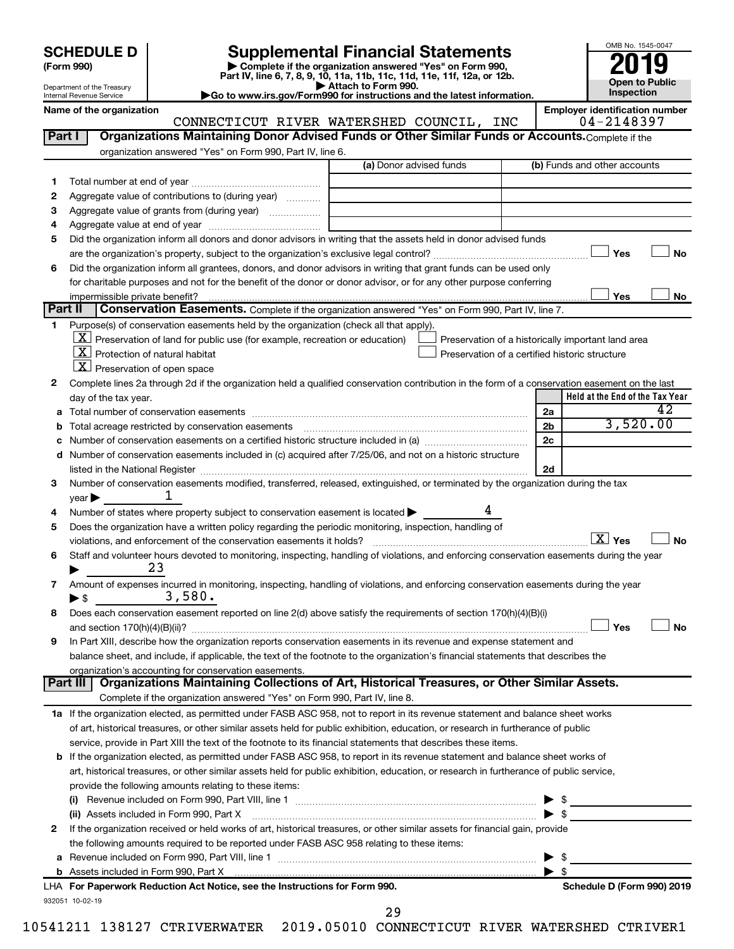| <b>SCHEDULE D</b> |
|-------------------|
|-------------------|

Department of the Treasury Internal Revenue Service

# **SCHEDULE D Supplemental Financial Statements**<br> **Form 990 2019**<br> **Part IV** line 6.7.8.9.10, 11a, 11b, 11d, 11d, 11d, 11d, 11d, 12a, 0r, 12b

**(Form 990) | Complete if the organization answered "Yes" on Form 990, Part IV, line 6, 7, 8, 9, 10, 11a, 11b, 11c, 11d, 11e, 11f, 12a, or 12b.**

**| Attach to Form 990. |Go to www.irs.gov/Form990 for instructions and the latest information.**



Name of the organization<br>**CONNECTICUT RIVER WATERSHED COUNCIL, INC** | Employer identification number CONNECTICUT RIVER WATERSHED COUNCIL, INC

| Part I  | Organizations Maintaining Donor Advised Funds or Other Similar Funds or Accounts. Complete if the                                                                                                                             |                         |                                                    |
|---------|-------------------------------------------------------------------------------------------------------------------------------------------------------------------------------------------------------------------------------|-------------------------|----------------------------------------------------|
|         | organization answered "Yes" on Form 990, Part IV, line 6.                                                                                                                                                                     | (a) Donor advised funds | (b) Funds and other accounts                       |
|         |                                                                                                                                                                                                                               |                         |                                                    |
| 1.<br>2 | Aggregate value of contributions to (during year)                                                                                                                                                                             |                         |                                                    |
| З       | Aggregate value of grants from (during year)                                                                                                                                                                                  |                         |                                                    |
| 4       |                                                                                                                                                                                                                               |                         |                                                    |
| 5       | Did the organization inform all donors and donor advisors in writing that the assets held in donor advised funds                                                                                                              |                         |                                                    |
|         |                                                                                                                                                                                                                               |                         | Yes<br>No                                          |
| 6       | Did the organization inform all grantees, donors, and donor advisors in writing that grant funds can be used only                                                                                                             |                         |                                                    |
|         | for charitable purposes and not for the benefit of the donor or donor advisor, or for any other purpose conferring                                                                                                            |                         |                                                    |
|         |                                                                                                                                                                                                                               |                         | Yes<br>No                                          |
| Part II | Conservation Easements. Complete if the organization answered "Yes" on Form 990, Part IV, line 7.                                                                                                                             |                         |                                                    |
|         | Purpose(s) of conservation easements held by the organization (check all that apply).                                                                                                                                         |                         |                                                    |
|         | $\underline{X}$ Preservation of land for public use (for example, recreation or education)                                                                                                                                    |                         | Preservation of a historically important land area |
|         | $X$ Protection of natural habitat                                                                                                                                                                                             |                         | Preservation of a certified historic structure     |
|         | $ \mathbf{X} $ Preservation of open space                                                                                                                                                                                     |                         |                                                    |
| 2       | Complete lines 2a through 2d if the organization held a qualified conservation contribution in the form of a conservation easement on the last                                                                                |                         |                                                    |
|         | day of the tax year.                                                                                                                                                                                                          |                         | Held at the End of the Tax Year                    |
| а       |                                                                                                                                                                                                                               |                         | 42<br>2a                                           |
|         |                                                                                                                                                                                                                               |                         | 3,520.00<br>2 <sub>b</sub>                         |
|         |                                                                                                                                                                                                                               |                         | 2c                                                 |
| d       | Number of conservation easements included in (c) acquired after 7/25/06, and not on a historic structure                                                                                                                      |                         |                                                    |
|         | listed in the National Register [111] Marshall Register [11] Marshall Register [11] Marshall Register [11] Marshall Register [11] Marshall Register [11] Marshall Register [11] Marshall Register [11] Marshall Register [11] |                         | 2d                                                 |
| 3       | Number of conservation easements modified, transferred, released, extinguished, or terminated by the organization during the tax                                                                                              |                         |                                                    |
|         | ı<br>year                                                                                                                                                                                                                     |                         |                                                    |
| 4       | Number of states where property subject to conservation easement is located >                                                                                                                                                 |                         |                                                    |
| 5       | Does the organization have a written policy regarding the periodic monitoring, inspection, handling of                                                                                                                        |                         |                                                    |
|         | violations, and enforcement of the conservation easements it holds?                                                                                                                                                           |                         | $\boxed{\text{X}}$ Yes<br><b>No</b>                |
| 6       | Staff and volunteer hours devoted to monitoring, inspecting, handling of violations, and enforcing conservation easements during the year<br>23                                                                               |                         |                                                    |
|         |                                                                                                                                                                                                                               |                         |                                                    |
| 7       | Amount of expenses incurred in monitoring, inspecting, handling of violations, and enforcing conservation easements during the year<br>3,580.<br>$\blacktriangleright$ \$                                                     |                         |                                                    |
| 8       | Does each conservation easement reported on line 2(d) above satisfy the requirements of section 170(h)(4)(B)(i)                                                                                                               |                         |                                                    |
|         |                                                                                                                                                                                                                               |                         | Yes<br><b>No</b>                                   |
| 9       | In Part XIII, describe how the organization reports conservation easements in its revenue and expense statement and                                                                                                           |                         |                                                    |
|         | balance sheet, and include, if applicable, the text of the footnote to the organization's financial statements that describes the                                                                                             |                         |                                                    |
|         | organization's accounting for conservation easements.                                                                                                                                                                         |                         |                                                    |
|         | Organizations Maintaining Collections of Art, Historical Treasures, or Other Similar Assets.<br>Part III                                                                                                                      |                         |                                                    |
|         | Complete if the organization answered "Yes" on Form 990, Part IV, line 8.                                                                                                                                                     |                         |                                                    |
|         | 1a If the organization elected, as permitted under FASB ASC 958, not to report in its revenue statement and balance sheet works                                                                                               |                         |                                                    |
|         | of art, historical treasures, or other similar assets held for public exhibition, education, or research in furtherance of public                                                                                             |                         |                                                    |
|         | service, provide in Part XIII the text of the footnote to its financial statements that describes these items.                                                                                                                |                         |                                                    |
|         | <b>b</b> If the organization elected, as permitted under FASB ASC 958, to report in its revenue statement and balance sheet works of                                                                                          |                         |                                                    |
|         | art, historical treasures, or other similar assets held for public exhibition, education, or research in furtherance of public service,                                                                                       |                         |                                                    |
|         | provide the following amounts relating to these items:                                                                                                                                                                        |                         |                                                    |
|         |                                                                                                                                                                                                                               |                         | \$                                                 |
|         | (ii) Assets included in Form 990, Part X                                                                                                                                                                                      |                         | $\blacktriangleright$ \$                           |
| 2       | If the organization received or held works of art, historical treasures, or other similar assets for financial gain, provide                                                                                                  |                         |                                                    |
|         | the following amounts required to be reported under FASB ASC 958 relating to these items:                                                                                                                                     |                         |                                                    |
| а       |                                                                                                                                                                                                                               |                         | \$                                                 |
|         |                                                                                                                                                                                                                               |                         | $\blacktriangleright$ s                            |
|         | LHA For Paperwork Reduction Act Notice, see the Instructions for Form 990.                                                                                                                                                    |                         | Schedule D (Form 990) 2019                         |
|         | 932051 10-02-19                                                                                                                                                                                                               | 29                      |                                                    |
|         |                                                                                                                                                                                                                               |                         |                                                    |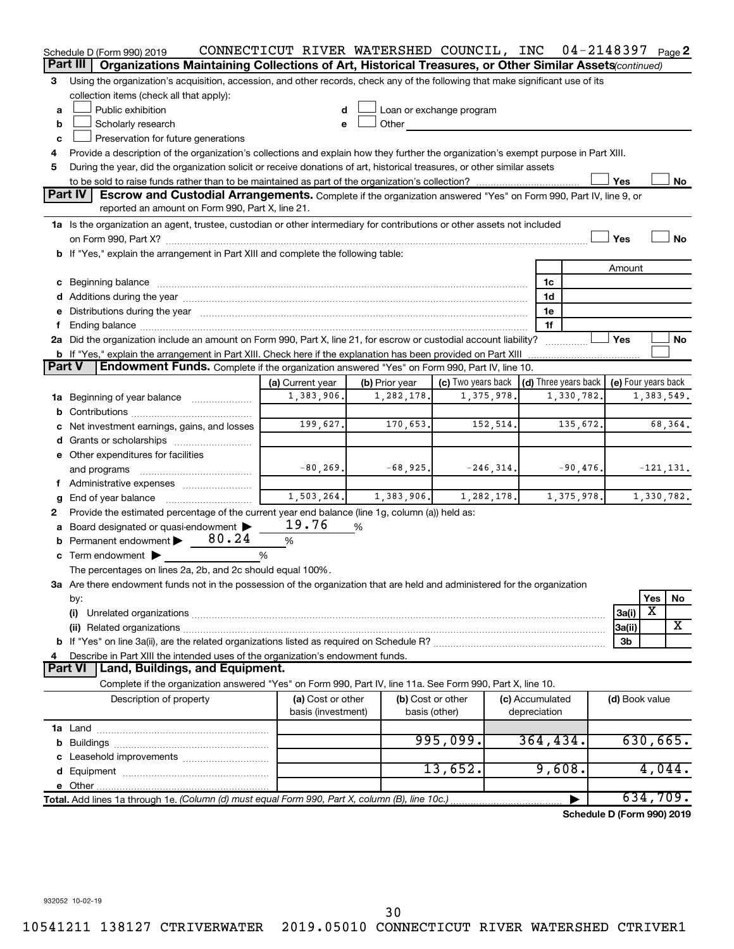|   | Schedule D (Form 990) 2019                                                                                                                                                                                                     | CONNECTICUT RIVER WATERSHED COUNCIL, INC |                |            |                          |              |                     | $04 - 2148397$ Page 2                            |                |                         |              |
|---|--------------------------------------------------------------------------------------------------------------------------------------------------------------------------------------------------------------------------------|------------------------------------------|----------------|------------|--------------------------|--------------|---------------------|--------------------------------------------------|----------------|-------------------------|--------------|
|   | Part III<br>Organizations Maintaining Collections of Art, Historical Treasures, or Other Similar Assets(continued)                                                                                                             |                                          |                |            |                          |              |                     |                                                  |                |                         |              |
| З | Using the organization's acquisition, accession, and other records, check any of the following that make significant use of its                                                                                                |                                          |                |            |                          |              |                     |                                                  |                |                         |              |
|   | collection items (check all that apply):                                                                                                                                                                                       |                                          |                |            |                          |              |                     |                                                  |                |                         |              |
| a | Public exhibition                                                                                                                                                                                                              | d                                        |                |            | Loan or exchange program |              |                     |                                                  |                |                         |              |
| b | Scholarly research                                                                                                                                                                                                             | е                                        | Other          |            |                          |              |                     |                                                  |                |                         |              |
| c | Preservation for future generations                                                                                                                                                                                            |                                          |                |            |                          |              |                     |                                                  |                |                         |              |
| 4 | Provide a description of the organization's collections and explain how they further the organization's exempt purpose in Part XIII.                                                                                           |                                          |                |            |                          |              |                     |                                                  |                |                         |              |
| 5 | During the year, did the organization solicit or receive donations of art, historical treasures, or other similar assets                                                                                                       |                                          |                |            |                          |              |                     |                                                  |                |                         |              |
|   |                                                                                                                                                                                                                                |                                          |                |            |                          |              |                     |                                                  | Yes            |                         | No           |
|   | Part IV<br>Escrow and Custodial Arrangements. Complete if the organization answered "Yes" on Form 990, Part IV, line 9, or                                                                                                     |                                          |                |            |                          |              |                     |                                                  |                |                         |              |
|   | reported an amount on Form 990, Part X, line 21.                                                                                                                                                                               |                                          |                |            |                          |              |                     |                                                  |                |                         |              |
|   | 1a Is the organization an agent, trustee, custodian or other intermediary for contributions or other assets not included                                                                                                       |                                          |                |            |                          |              |                     |                                                  |                |                         |              |
|   |                                                                                                                                                                                                                                |                                          |                |            |                          |              |                     |                                                  | Yes            |                         | <b>No</b>    |
|   | b If "Yes," explain the arrangement in Part XIII and complete the following table:                                                                                                                                             |                                          |                |            |                          |              |                     |                                                  |                |                         |              |
|   |                                                                                                                                                                                                                                |                                          |                |            |                          |              |                     |                                                  | Amount         |                         |              |
|   | c Beginning balance measurements and the contract of the contract of the contract of the contract of the contract of the contract of the contract of the contract of the contract of the contract of the contract of the contr |                                          |                |            |                          |              | 1c                  |                                                  |                |                         |              |
|   | d Additions during the year manufactured and an account of the year manufactured and account of the year manufactured and account of the year manufactured and account of the year manufactured and account of the year manufa |                                          |                |            |                          |              | 1d                  |                                                  |                |                         |              |
| е | Distributions during the year manufactured and an intervention of the year manufactured and the year                                                                                                                           |                                          |                |            |                          |              | 1e                  |                                                  |                |                         |              |
| f |                                                                                                                                                                                                                                |                                          |                |            |                          |              | 1f                  |                                                  |                |                         |              |
|   | 2a Did the organization include an amount on Form 990, Part X, line 21, for escrow or custodial account liability?                                                                                                             |                                          |                |            |                          |              |                     |                                                  | Yes            |                         | No           |
|   | b If "Yes," explain the arrangement in Part XIII. Check here if the explanation has been provided on Part XIII                                                                                                                 |                                          |                |            |                          |              |                     |                                                  |                |                         |              |
|   | Part V<br><b>Endowment Funds.</b> Complete if the organization answered "Yes" on Form 990, Part IV, line 10.                                                                                                                   |                                          |                |            |                          |              |                     |                                                  |                |                         |              |
|   |                                                                                                                                                                                                                                | (a) Current year                         | (b) Prior year |            | (c) Two years back       |              |                     | (d) Three years back $\vert$ (e) Four years back |                |                         |              |
|   | 1a Beginning of year balance                                                                                                                                                                                                   | 1,383,906.                               |                | 1,282,178  |                          | 1,375,978    |                     | 1,330,782.                                       |                |                         | 1,383,549.   |
| b |                                                                                                                                                                                                                                |                                          |                |            |                          |              |                     |                                                  |                |                         |              |
|   | Net investment earnings, gains, and losses                                                                                                                                                                                     | 199,627.                                 |                | 170,653.   |                          | 152,514.     | 68,364.<br>135,672. |                                                  |                |                         |              |
|   |                                                                                                                                                                                                                                |                                          |                |            |                          |              |                     |                                                  |                |                         |              |
|   | e Other expenditures for facilities                                                                                                                                                                                            |                                          |                |            |                          |              |                     |                                                  |                |                         |              |
|   | and programs                                                                                                                                                                                                                   | $-80, 269.$                              |                | $-68,925.$ |                          | $-246, 314.$ |                     | $-90,476$ .                                      |                |                         | $-121, 131.$ |
|   | f Administrative expenses                                                                                                                                                                                                      |                                          |                |            |                          |              |                     |                                                  |                |                         |              |
| g | End of year balance                                                                                                                                                                                                            | 1,503,264.                               |                | 1,383,906. |                          | 1,282,178.   |                     | 1,375,978.                                       |                |                         | 1,330,782.   |
| 2 | Provide the estimated percentage of the current year end balance (line 1g, column (a)) held as:                                                                                                                                |                                          |                |            |                          |              |                     |                                                  |                |                         |              |
| а | Board designated or quasi-endowment                                                                                                                                                                                            | 19.76                                    | %              |            |                          |              |                     |                                                  |                |                         |              |
| b | Permanent endowment $\triangleright$ 80.24                                                                                                                                                                                     | $\%$                                     |                |            |                          |              |                     |                                                  |                |                         |              |
|   | c Term endowment $\blacktriangleright$<br>%                                                                                                                                                                                    |                                          |                |            |                          |              |                     |                                                  |                |                         |              |
|   | The percentages on lines 2a, 2b, and 2c should equal 100%.                                                                                                                                                                     |                                          |                |            |                          |              |                     |                                                  |                |                         |              |
|   | 3a Are there endowment funds not in the possession of the organization that are held and administered for the organization                                                                                                     |                                          |                |            |                          |              |                     |                                                  |                |                         |              |
|   | by:                                                                                                                                                                                                                            |                                          |                |            |                          |              |                     |                                                  |                | Yes                     | No           |
|   | (i)                                                                                                                                                                                                                            |                                          |                |            |                          |              |                     |                                                  | 3a(i)          | $\overline{\textbf{x}}$ |              |
|   |                                                                                                                                                                                                                                |                                          |                |            |                          |              |                     |                                                  | 3a(ii)         |                         | X            |
|   |                                                                                                                                                                                                                                |                                          |                |            |                          |              |                     |                                                  | 3b             |                         |              |
|   | Describe in Part XIII the intended uses of the organization's endowment funds.                                                                                                                                                 |                                          |                |            |                          |              |                     |                                                  |                |                         |              |
|   | <b>Part VI</b><br>Land, Buildings, and Equipment.                                                                                                                                                                              |                                          |                |            |                          |              |                     |                                                  |                |                         |              |
|   | Complete if the organization answered "Yes" on Form 990, Part IV, line 11a. See Form 990, Part X, line 10.                                                                                                                     |                                          |                |            |                          |              |                     |                                                  |                |                         |              |
|   | Description of property                                                                                                                                                                                                        | (a) Cost or other                        |                |            | (b) Cost or other        |              | (c) Accumulated     |                                                  | (d) Book value |                         |              |
|   |                                                                                                                                                                                                                                | basis (investment)                       |                |            | basis (other)            |              | depreciation        |                                                  |                |                         |              |
|   |                                                                                                                                                                                                                                |                                          |                |            |                          |              |                     |                                                  |                |                         |              |
|   |                                                                                                                                                                                                                                |                                          |                |            | 995,099.                 |              | 364, 434.           |                                                  |                |                         | 630,665.     |
|   |                                                                                                                                                                                                                                |                                          |                |            |                          |              |                     |                                                  |                |                         |              |
|   |                                                                                                                                                                                                                                |                                          |                |            | 13,652.                  |              | 9,608.              |                                                  |                |                         | 4,044.       |
|   |                                                                                                                                                                                                                                |                                          |                |            |                          |              |                     |                                                  |                |                         |              |
|   | Total. Add lines 1a through 1e. (Column (d) must equal Form 990, Part X, column (B), line 10c.)                                                                                                                                |                                          |                |            |                          |              |                     |                                                  |                |                         | 634,709.     |
|   |                                                                                                                                                                                                                                |                                          |                |            |                          |              |                     | Schedule D (Form 990) 2019                       |                |                         |              |

932052 10-02-19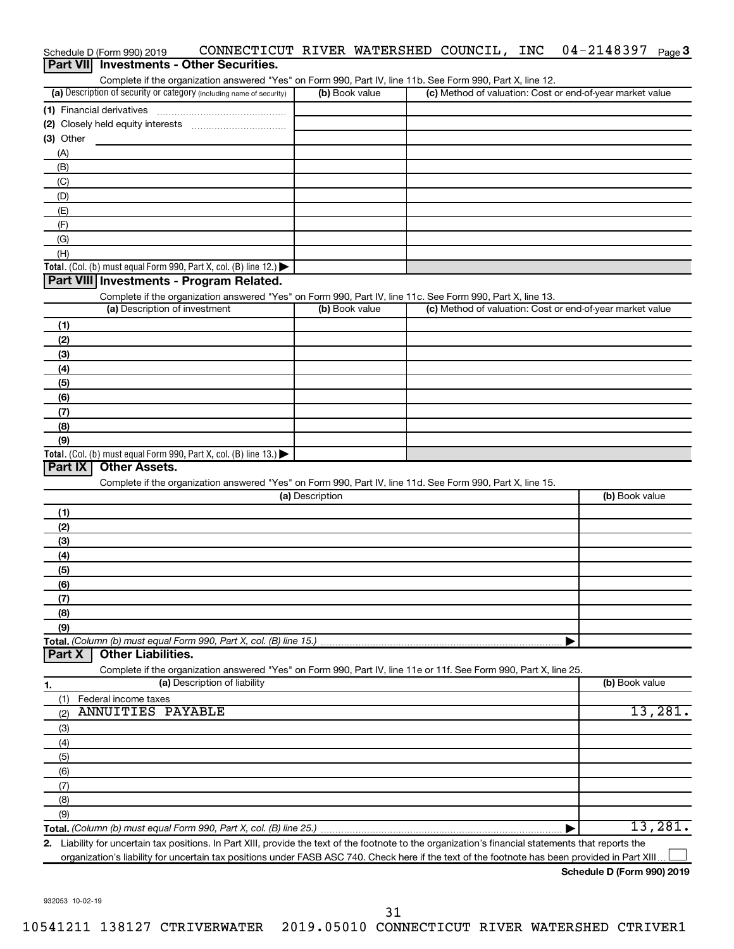|           | Schedule D (Form 990) 2019    | CONNECTICUT RIVER WATERSHED COUNCIL, INC                                                                                                             |                 |                |  | 04-2148397                                                | Page 3  |
|-----------|-------------------------------|------------------------------------------------------------------------------------------------------------------------------------------------------|-----------------|----------------|--|-----------------------------------------------------------|---------|
|           |                               | Part VII Investments - Other Securities.                                                                                                             |                 |                |  |                                                           |         |
|           |                               | Complete if the organization answered "Yes" on Form 990, Part IV, line 11b. See Form 990, Part X, line 12.                                           |                 |                |  |                                                           |         |
|           |                               | (a) Description of security or category (including name of security)                                                                                 |                 | (b) Book value |  | (c) Method of valuation: Cost or end-of-year market value |         |
|           |                               |                                                                                                                                                      |                 |                |  |                                                           |         |
|           |                               |                                                                                                                                                      |                 |                |  |                                                           |         |
| (3) Other |                               |                                                                                                                                                      |                 |                |  |                                                           |         |
| (A)       |                               |                                                                                                                                                      |                 |                |  |                                                           |         |
| (B)       |                               |                                                                                                                                                      |                 |                |  |                                                           |         |
| (C)       |                               |                                                                                                                                                      |                 |                |  |                                                           |         |
|           |                               |                                                                                                                                                      |                 |                |  |                                                           |         |
| (D)       |                               |                                                                                                                                                      |                 |                |  |                                                           |         |
| (E)       |                               |                                                                                                                                                      |                 |                |  |                                                           |         |
| (F)       |                               |                                                                                                                                                      |                 |                |  |                                                           |         |
| (G)       |                               |                                                                                                                                                      |                 |                |  |                                                           |         |
| (H)       |                               |                                                                                                                                                      |                 |                |  |                                                           |         |
|           |                               | Total. (Col. (b) must equal Form 990, Part X, col. (B) line 12.) $\blacktriangleright$                                                               |                 |                |  |                                                           |         |
|           |                               | Part VIII Investments - Program Related.                                                                                                             |                 |                |  |                                                           |         |
|           |                               | Complete if the organization answered "Yes" on Form 990, Part IV, line 11c. See Form 990, Part X, line 13.                                           |                 |                |  |                                                           |         |
|           | (a) Description of investment |                                                                                                                                                      |                 | (b) Book value |  | (c) Method of valuation: Cost or end-of-year market value |         |
| (1)       |                               |                                                                                                                                                      |                 |                |  |                                                           |         |
| (2)       |                               |                                                                                                                                                      |                 |                |  |                                                           |         |
| (3)       |                               |                                                                                                                                                      |                 |                |  |                                                           |         |
| (4)       |                               |                                                                                                                                                      |                 |                |  |                                                           |         |
| (5)       |                               |                                                                                                                                                      |                 |                |  |                                                           |         |
| (6)       |                               |                                                                                                                                                      |                 |                |  |                                                           |         |
| (7)       |                               |                                                                                                                                                      |                 |                |  |                                                           |         |
| (8)       |                               |                                                                                                                                                      |                 |                |  |                                                           |         |
| (9)       |                               |                                                                                                                                                      |                 |                |  |                                                           |         |
|           |                               | Total. (Col. (b) must equal Form 990, Part X, col. (B) line 13.)                                                                                     |                 |                |  |                                                           |         |
| Part IX   | <b>Other Assets.</b>          |                                                                                                                                                      |                 |                |  |                                                           |         |
|           |                               | Complete if the organization answered "Yes" on Form 990, Part IV, line 11d. See Form 990, Part X, line 15.                                           |                 |                |  |                                                           |         |
|           |                               |                                                                                                                                                      | (a) Description |                |  | (b) Book value                                            |         |
|           |                               |                                                                                                                                                      |                 |                |  |                                                           |         |
| (1)       |                               |                                                                                                                                                      |                 |                |  |                                                           |         |
| (2)       |                               |                                                                                                                                                      |                 |                |  |                                                           |         |
| (3)       |                               |                                                                                                                                                      |                 |                |  |                                                           |         |
| (4)       |                               |                                                                                                                                                      |                 |                |  |                                                           |         |
| (5)       |                               |                                                                                                                                                      |                 |                |  |                                                           |         |
| (6)       |                               |                                                                                                                                                      |                 |                |  |                                                           |         |
| (7)       |                               |                                                                                                                                                      |                 |                |  |                                                           |         |
| (8)       |                               |                                                                                                                                                      |                 |                |  |                                                           |         |
| (9)       |                               |                                                                                                                                                      |                 |                |  |                                                           |         |
|           |                               | Total. (Column (b) must equal Form 990, Part X, col. (B) line 15.)                                                                                   |                 |                |  |                                                           |         |
| Part X    | <b>Other Liabilities.</b>     |                                                                                                                                                      |                 |                |  |                                                           |         |
|           |                               | Complete if the organization answered "Yes" on Form 990, Part IV, line 11e or 11f. See Form 990, Part X, line 25.                                    |                 |                |  |                                                           |         |
| 1.        |                               | (a) Description of liability                                                                                                                         |                 |                |  | (b) Book value                                            |         |
| (1)       | Federal income taxes          |                                                                                                                                                      |                 |                |  |                                                           |         |
| (2)       | <b>ANNUITIES PAYABLE</b>      |                                                                                                                                                      |                 |                |  |                                                           | 13,281. |
| (3)       |                               |                                                                                                                                                      |                 |                |  |                                                           |         |
| (4)       |                               |                                                                                                                                                      |                 |                |  |                                                           |         |
| (5)       |                               |                                                                                                                                                      |                 |                |  |                                                           |         |
|           |                               |                                                                                                                                                      |                 |                |  |                                                           |         |
| (6)       |                               |                                                                                                                                                      |                 |                |  |                                                           |         |
| (7)       |                               |                                                                                                                                                      |                 |                |  |                                                           |         |
| (8)       |                               |                                                                                                                                                      |                 |                |  |                                                           |         |
| (9)       |                               |                                                                                                                                                      |                 |                |  |                                                           |         |
|           |                               |                                                                                                                                                      |                 |                |  |                                                           | 13,281. |
|           |                               | 2. Liability for uncertain tax positions. In Part XIII, provide the text of the footnote to the organization's financial statements that reports the |                 |                |  |                                                           |         |

organization's liability for uncertain tax positions under FASB ASC 740. Check here if the text of the footnote has been provided in Part XIII...

**Schedule D (Form 990) 2019**

932053 10-02-19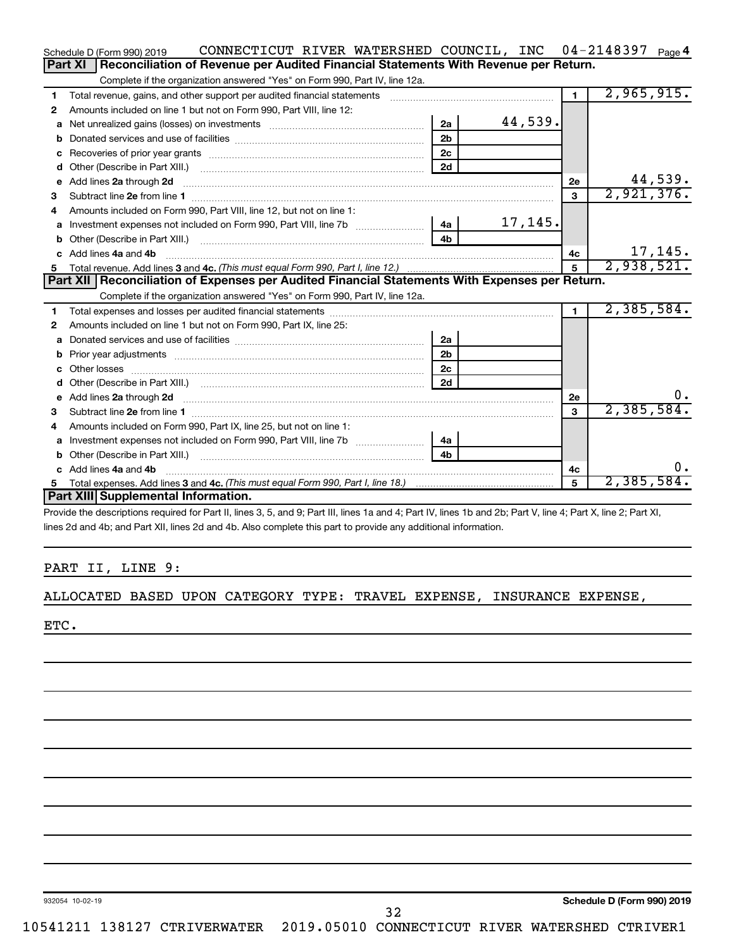|    | CONNECTICUT RIVER WATERSHED COUNCIL, INC 04-2148397<br>Schedule D (Form 990) 2019                                                                                                                                              |                |         |                | Page 4                     |
|----|--------------------------------------------------------------------------------------------------------------------------------------------------------------------------------------------------------------------------------|----------------|---------|----------------|----------------------------|
|    | Reconciliation of Revenue per Audited Financial Statements With Revenue per Return.<br>Part XI                                                                                                                                 |                |         |                |                            |
|    | Complete if the organization answered "Yes" on Form 990, Part IV, line 12a.                                                                                                                                                    |                |         |                |                            |
| 1  | Total revenue, gains, and other support per audited financial statements                                                                                                                                                       |                |         | $\blacksquare$ | 2,965,915.                 |
| 2  | Amounts included on line 1 but not on Form 990, Part VIII, line 12:                                                                                                                                                            |                |         |                |                            |
| a  | Net unrealized gains (losses) on investments [111] [12] matter and the unrealized gains (losses) on investments                                                                                                                | 2a             | 44,539. |                |                            |
|    |                                                                                                                                                                                                                                | 2 <sub>b</sub> |         |                |                            |
| c  |                                                                                                                                                                                                                                | 2 <sub>c</sub> |         |                |                            |
| d  |                                                                                                                                                                                                                                | 2d             |         |                |                            |
| е  | Add lines 2a through 2d                                                                                                                                                                                                        |                |         | <b>2e</b>      | $\frac{44,539}{2,921,376}$ |
| з  |                                                                                                                                                                                                                                |                |         | 3              |                            |
| 4  | Amounts included on Form 990. Part VIII. line 12, but not on line 1:                                                                                                                                                           |                |         |                |                            |
|    | Investment expenses not included on Form 990, Part VIII, line 7b [100] [200] 4a                                                                                                                                                |                | 17,145. |                |                            |
|    |                                                                                                                                                                                                                                | 4 <sub>b</sub> |         |                |                            |
| c. | Add lines 4a and 4b                                                                                                                                                                                                            |                |         | 4c             | 17,145.                    |
| 5  |                                                                                                                                                                                                                                |                |         |                | 2,938,521.                 |
|    | Part XII   Reconciliation of Expenses per Audited Financial Statements With Expenses per Return.                                                                                                                               |                |         |                |                            |
|    | Complete if the organization answered "Yes" on Form 990, Part IV, line 12a.                                                                                                                                                    |                |         |                |                            |
| 1  |                                                                                                                                                                                                                                |                |         | $\blacksquare$ | 2,385,584.                 |
| 2  | Amounts included on line 1 but not on Form 990, Part IX, line 25:                                                                                                                                                              |                |         |                |                            |
| a  |                                                                                                                                                                                                                                | 2a             |         |                |                            |
| b  |                                                                                                                                                                                                                                | 2 <sub>b</sub> |         |                |                            |
|    |                                                                                                                                                                                                                                | 2 <sub>c</sub> |         |                |                            |
| d  |                                                                                                                                                                                                                                | 2d             |         |                |                            |
|    | e Add lines 2a through 2d [11] manual contract and a set of the contract of the contract of the contract of the contract of the contract of the contract of the contract of the contract of the contract of the contract of th |                |         | 2е             | υ.                         |
| з  |                                                                                                                                                                                                                                |                |         | $\mathbf{a}$   | 2,385,584.                 |
| 4  | Amounts included on Form 990, Part IX, line 25, but not on line 1:                                                                                                                                                             |                |         |                |                            |
| a  |                                                                                                                                                                                                                                | -4a l          |         |                |                            |
| b  |                                                                                                                                                                                                                                | 4 <sub>h</sub> |         |                |                            |
|    | c Add lines 4a and 4b                                                                                                                                                                                                          |                |         | 4c             | υ.                         |
| 5  |                                                                                                                                                                                                                                |                |         | 5              | 2,385,584.                 |
|    | Part XIII Supplemental Information.                                                                                                                                                                                            |                |         |                |                            |

Provide the descriptions required for Part II, lines 3, 5, and 9; Part III, lines 1a and 4; Part IV, lines 1b and 2b; Part V, line 4; Part X, line 2; Part XI, lines 2d and 4b; and Part XII, lines 2d and 4b. Also complete this part to provide any additional information.

#### PART II, LINE 9:

ALLOCATED BASED UPON CATEGORY TYPE: TRAVEL EXPENSE, INSURANCE EXPENSE,

ETC.

932054 10-02-19

**Schedule D (Form 990) 2019**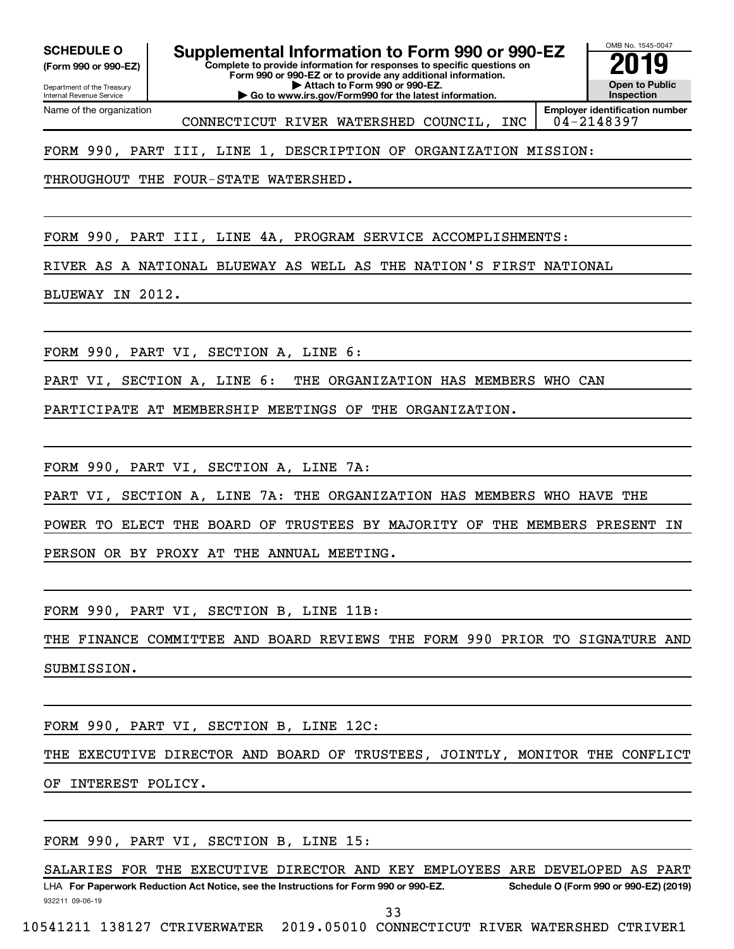**(Form 990 or 990-EZ)**

**Complete to provide information for responses to specific questions on Form 990 or 990-EZ or to provide any additional information. SCHEDULE O Supplemental Information to Form 990 or 990-EZ 2019** 

Department of the Treasury Internal Revenue Service Name of the organization

**| Attach to Form 990 or 990-EZ. | Go to www.irs.gov/Form990 for the latest information.**

OMB No. 1545-0047 **Open to Public Inspection Employer identification number**

CONNECTICUT RIVER WATERSHED COUNCIL, INC | 04-2148397

FORM 990, PART III, LINE 1, DESCRIPTION OF ORGANIZATION MISSION:

THROUGHOUT THE FOUR-STATE WATERSHED.

FORM 990, PART III, LINE 4A, PROGRAM SERVICE ACCOMPLISHMENTS:

RIVER AS A NATIONAL BLUEWAY AS WELL AS THE NATION'S FIRST NATIONAL

BLUEWAY IN 2012.

FORM 990, PART VI, SECTION A, LINE 6:

PART VI, SECTION A, LINE 6: THE ORGANIZATION HAS MEMBERS WHO CAN

PARTICIPATE AT MEMBERSHIP MEETINGS OF THE ORGANIZATION.

FORM 990, PART VI, SECTION A, LINE 7A:

PART VI, SECTION A, LINE 7A: THE ORGANIZATION HAS MEMBERS WHO HAVE THE

POWER TO ELECT THE BOARD OF TRUSTEES BY MAJORITY OF THE MEMBERS PRESENT IN

PERSON OR BY PROXY AT THE ANNUAL MEETING.

FORM 990, PART VI, SECTION B, LINE 11B:

THE FINANCE COMMITTEE AND BOARD REVIEWS THE FORM 990 PRIOR TO SIGNATURE AND SUBMISSION.

FORM 990, PART VI, SECTION B, LINE 12C:

THE EXECUTIVE DIRECTOR AND BOARD OF TRUSTEES, JOINTLY, MONITOR THE CONFLICT OF INTEREST POLICY.

FORM 990, PART VI, SECTION B, LINE 15:

932211 09-06-19 LHA For Paperwork Reduction Act Notice, see the Instructions for Form 990 or 990-EZ. Schedule O (Form 990 or 990-EZ) (2019) SALARIES FOR THE EXECUTIVE DIRECTOR AND KEY EMPLOYEES ARE DEVELOPED AS PART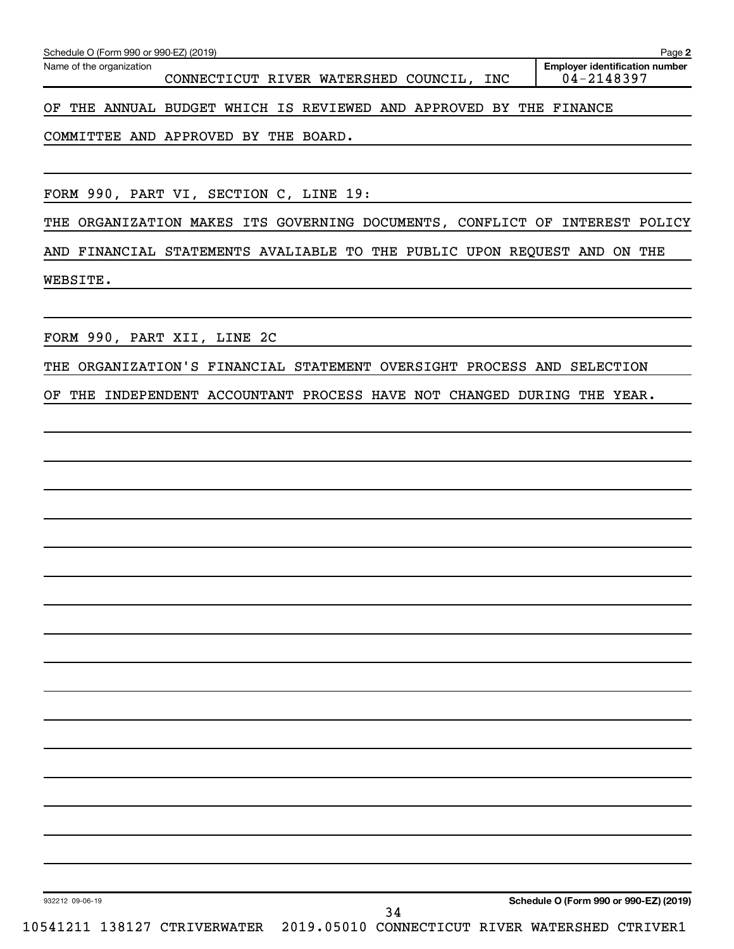| Schedule O (Form 990 or 990-EZ) (2019)                                        | Page 2                                              |
|-------------------------------------------------------------------------------|-----------------------------------------------------|
| Name of the organization<br>CONNECTICUT RIVER WATERSHED COUNCIL, INC          | <b>Employer identification number</b><br>04-2148397 |
| THE ANNUAL BUDGET WHICH IS REVIEWED AND APPROVED BY<br>ОF                     | THE FINANCE                                         |
| COMMITTEE AND APPROVED BY THE BOARD.                                          |                                                     |
|                                                                               |                                                     |
| FORM 990, PART VI, SECTION C, LINE 19:                                        |                                                     |
| THE ORGANIZATION MAKES ITS GOVERNING DOCUMENTS, CONFLICT OF INTEREST POLICY   |                                                     |
| AND FINANCIAL STATEMENTS AVALIABLE TO THE PUBLIC UPON REQUEST AND ON THE      |                                                     |
| WEBSITE.                                                                      |                                                     |
|                                                                               |                                                     |
| FORM 990, PART XII, LINE 2C                                                   |                                                     |
| ORGANIZATION'S FINANCIAL STATEMENT OVERSIGHT PROCESS AND SELECTION<br>THE     |                                                     |
| INDEPENDENT ACCOUNTANT PROCESS HAVE NOT CHANGED DURING THE YEAR.<br>OF<br>THE |                                                     |
|                                                                               |                                                     |
|                                                                               |                                                     |
|                                                                               |                                                     |
|                                                                               |                                                     |
|                                                                               |                                                     |
|                                                                               |                                                     |
|                                                                               |                                                     |
|                                                                               |                                                     |
|                                                                               |                                                     |
|                                                                               |                                                     |
|                                                                               |                                                     |
|                                                                               |                                                     |
|                                                                               |                                                     |
|                                                                               |                                                     |

932212 09-06-19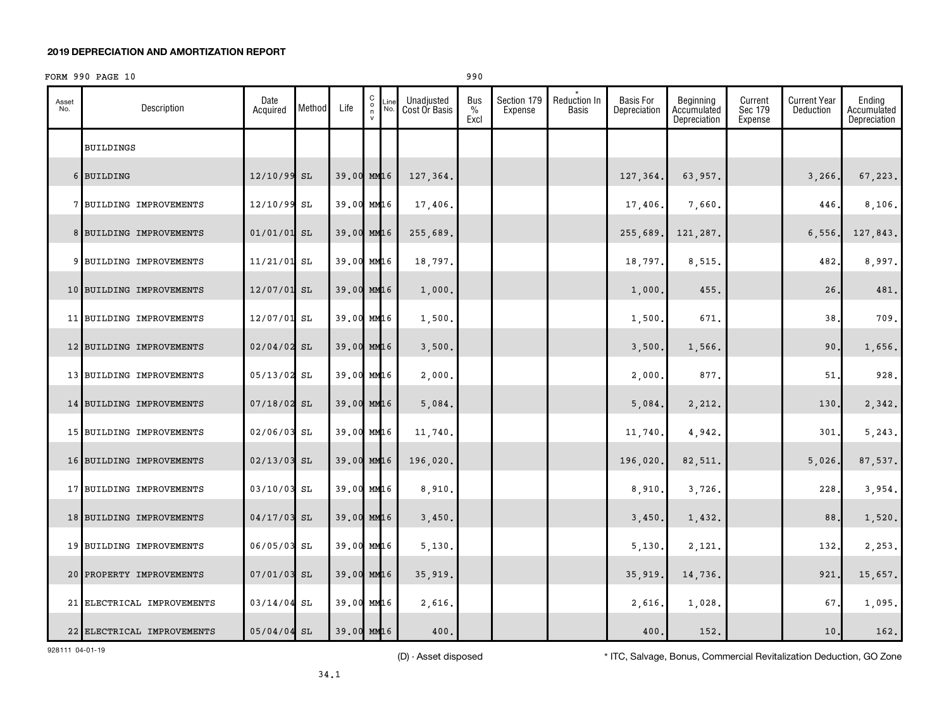#### FORM 990 PAGE 10 990

| Asset<br>No. | Description                | Date<br>Acquired | Method | Life       | $\begin{matrix} 0 \\ 0 \\ n \end{matrix}$ | Line<br>No. | Unadjusted<br>Cost Or Basis | Bus<br>%<br>Excl | Section 179<br>Expense | Reduction In<br><b>Basis</b> | <b>Basis For</b><br>Depreciation | Beginning<br>Accumulated<br>Depreciation | Current<br>Sec 179<br>Expense | <b>Current Year</b><br>Deduction | Ending<br>Accumulated<br>Depreciation |
|--------------|----------------------------|------------------|--------|------------|-------------------------------------------|-------------|-----------------------------|------------------|------------------------|------------------------------|----------------------------------|------------------------------------------|-------------------------------|----------------------------------|---------------------------------------|
|              | BUILDINGS                  |                  |        |            |                                           |             |                             |                  |                        |                              |                                  |                                          |                               |                                  |                                       |
|              | 6 BUILDING                 | 12/10/99 SL      |        | 39.00 MM16 |                                           |             | 127,364.                    |                  |                        |                              | 127,364.                         | 63,957.                                  |                               | 3,266.                           | 67,223.                               |
|              | 7 BUILDING IMPROVEMENTS    | 12/10/99 SL      |        | 39.00 MM16 |                                           |             | 17,406.                     |                  |                        |                              | 17,406.                          | 7,660.                                   |                               | 446                              | 8,106.                                |
|              | 8 BUILDING IMPROVEMENTS    | $01/01/01$ SL    |        | 39.00 MM16 |                                           |             | 255,689.                    |                  |                        |                              | 255,689                          | 121,287.                                 |                               | 6,556                            | 127,843.                              |
|              | 9 BUILDING IMPROVEMENTS    | 11/21/01 SL      |        | 39.00 MM16 |                                           |             | 18,797.                     |                  |                        |                              | 18,797.                          | 8,515.                                   |                               | 482.                             | 8,997.                                |
|              | 10 BUILDING IMPROVEMENTS   | 12/07/01 SL      |        | 39.00 MM16 |                                           |             | 1,000.                      |                  |                        |                              | 1,000.                           | 455.                                     |                               | 26                               | 481.                                  |
|              | 11 BUILDING IMPROVEMENTS   | 12/07/01 SL      |        | 39.00 MM16 |                                           |             | 1,500.                      |                  |                        |                              | 1,500.                           | 671.                                     |                               | 38,                              | 709.                                  |
|              | 12 BUILDING IMPROVEMENTS   | $02/04/02$ SL    |        | 39.00 MM16 |                                           |             | 3,500.                      |                  |                        |                              | 3,500.                           | 1,566.                                   |                               | 90.                              | 1,656.                                |
|              | 13 BUILDING IMPROVEMENTS   | 05/13/02 SL      |        | 39.00 MM16 |                                           |             | 2,000.                      |                  |                        |                              | 2,000.                           | 877.                                     |                               | 51                               | 928.                                  |
|              | 14 BUILDING IMPROVEMENTS   | $07/18/02$ SL    |        | 39.00 MM16 |                                           |             | 5,084.                      |                  |                        |                              | 5,084.                           | 2,212.                                   |                               | 130.                             | 2,342.                                |
|              | 15 BUILDING IMPROVEMENTS   | 02/06/03 SL      |        | 39.00 MM16 |                                           |             | 11,740.                     |                  |                        |                              | 11,740                           | 4,942.                                   |                               | 301.                             | 5, 243.                               |
|              | 16 BUILDING IMPROVEMENTS   | $02/13/03$ SL    |        | 39.00 MM16 |                                           |             | 196,020.                    |                  |                        |                              | 196,020.                         | 82,511.                                  |                               | 5,026.                           | 87,537.                               |
|              | 17 BUILDING IMPROVEMENTS   | 03/10/03 SL      |        | 39.00 MM16 |                                           |             | 8,910.                      |                  |                        |                              | 8,910.                           | 3,726.                                   |                               | 228.                             | 3,954.                                |
|              | 18 BUILDING IMPROVEMENTS   | 04/17/03 SL      |        | 39.00 MM16 |                                           |             | 3,450.                      |                  |                        |                              | 3,450.                           | 1,432.                                   |                               | 88                               | 1,520.                                |
|              | 19 BUILDING IMPROVEMENTS   | 06/05/03 SL      |        | 39.00 MM16 |                                           |             | 5,130.                      |                  |                        |                              | 5,130.                           | 2,121.                                   |                               | 132.                             | 2,253.                                |
|              | 20 PROPERTY IMPROVEMENTS   | $07/01/03$ SL    |        | 39.00 MM16 |                                           |             | 35,919.                     |                  |                        |                              | 35,919                           | 14,736.                                  |                               | 921.                             | 15,657.                               |
|              | 21 ELECTRICAL IMPROVEMENTS | $03/14/04$ SL    |        | 39.00 MM16 |                                           |             | 2,616.                      |                  |                        |                              | 2,616                            | 1,028.                                   |                               | 67.                              | 1,095.                                |
|              | 22 ELECTRICAL IMPROVEMENTS | $05/04/04$ SL    |        | 39.00 MM16 |                                           |             | 400.                        |                  |                        |                              | 400.                             | 152.                                     |                               | 10.                              | 162.                                  |

928111 04-01-19

(D) - Asset disposed \* ITC, Salvage, Bonus, Commercial Revitalization Deduction, GO Zone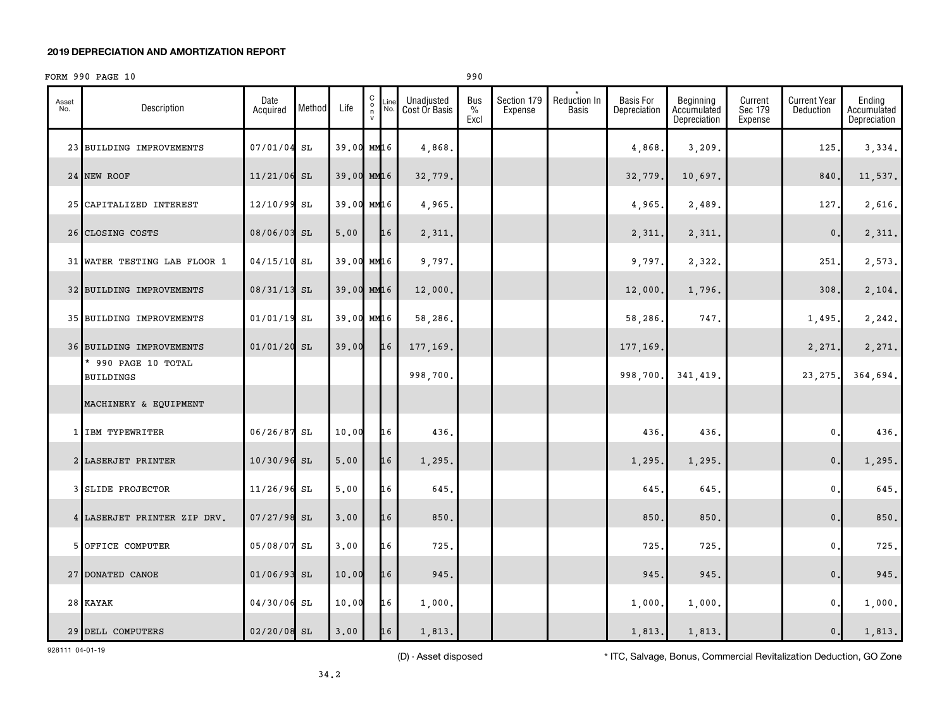#### FORM 990 PAGE 10 990

| Asset<br>No. | Description                             | Date<br>Acquired | Method | Life       | 0000<br>Line<br>No. | Unadjusted<br>Cost Or Basis | Bus<br>$\%$<br>Excl | Section 179<br>Expense | Reduction In<br>Basis | <b>Basis For</b><br>Depreciation | Beginning<br>Accumulated<br>Depreciation | Current<br>Sec 179<br>Expense | <b>Current Year</b><br>Deduction | Ending<br>Accumulated<br>Depreciation |
|--------------|-----------------------------------------|------------------|--------|------------|---------------------|-----------------------------|---------------------|------------------------|-----------------------|----------------------------------|------------------------------------------|-------------------------------|----------------------------------|---------------------------------------|
|              | 23 BUILDING IMPROVEMENTS                | 07/01/04 SL      |        | 39.00 MM16 |                     | 4,868.                      |                     |                        |                       | 4,868                            | 3,209.                                   |                               | 125                              | 3,334.                                |
|              | 24 NEW ROOF                             | $11/21/06$ SL    |        |            | 39.00 MM16          | 32,779.                     |                     |                        |                       | 32,779                           | 10,697.                                  |                               | 840.                             | 11,537.                               |
|              | 25 CAPITALIZED INTEREST                 | 12/10/99 SL      |        |            | 39.00 MM16          | 4,965.                      |                     |                        |                       | 4,965                            | 2,489.                                   |                               | 127                              | 2,616.                                |
|              | 26 CLOSING COSTS                        | 08/06/03 SL      |        | 5.00       | 16                  | 2,311.                      |                     |                        |                       | 2,311                            | 2,311.                                   |                               | $\mathbf{0}$                     | 2,311.                                |
|              | 31 WATER TESTING LAB FLOOR 1            | $04/15/10$ SL    |        |            | 39.00 MM16          | 9,797.                      |                     |                        |                       | 9,797                            | 2,322.                                   |                               | 251                              | 2,573.                                |
|              | 32 BUILDING IMPROVEMENTS                | 08/31/13 SL      |        |            | 39.00 MM16          | 12,000.                     |                     |                        |                       | 12,000                           | 1,796.                                   |                               | 308                              | 2,104.                                |
|              | 35 BUILDING IMPROVEMENTS                | $01/01/19$ SL    |        | 39.00 MM16 |                     | 58,286.                     |                     |                        |                       | 58,286,                          | 747.                                     |                               | 1,495.                           | 2,242.                                |
|              | 36 BUILDING IMPROVEMENTS                | $01/01/20$ SL    |        | 39.00      | 16                  | 177,169.                    |                     |                        |                       | 177,169.                         |                                          |                               | 2,271.                           | 2,271.                                |
|              | * 990 PAGE 10 TOTAL<br><b>BUILDINGS</b> |                  |        |            |                     | 998,700.                    |                     |                        |                       | 998,700.                         | 341,419.                                 |                               | 23, 275                          | 364,694.                              |
|              | MACHINERY & EQUIPMENT                   |                  |        |            |                     |                             |                     |                        |                       |                                  |                                          |                               |                                  |                                       |
|              | 1 IBM TYPEWRITER                        | 06/26/87 SL      |        | 10.00      | 16                  | 436.                        |                     |                        |                       | 436.                             | 436.                                     |                               | $\mathbf{0}$                     | 436.                                  |
|              | 2 LASERJET PRINTER                      | 10/30/96 SL      |        | 5.00       | 16                  | 1,295.                      |                     |                        |                       | 1,295.                           | 1,295.                                   |                               | $\mathbf{0}$ .                   | 1,295.                                |
|              | 3 SLIDE PROJECTOR                       | 11/26/96 SL      |        | 5.00       | 16                  | 645.                        |                     |                        |                       | 645                              | 645.                                     |                               | $\mathbf{0}$                     | 645.                                  |
|              | 4 LASERJET PRINTER ZIP DRV.             | $07/27/98$ SL    |        | 3.00       | 16                  | 850.                        |                     |                        |                       | 850                              | 850.                                     |                               | $\mathbf{0}$                     | 850.                                  |
|              | 5 OFFICE COMPUTER                       | 05/08/07 SL      |        | 3.00       | 16                  | 725.                        |                     |                        |                       | 725                              | 725.                                     |                               | $\mathbf{0}$                     | 725.                                  |
|              | 27 DONATED CANOE                        | $01/06/93$ SL    |        | 10.00      | 16                  | 945.                        |                     |                        |                       | 945                              | 945.                                     |                               | $\mathbf{0}$                     | 945.                                  |
|              | 28 KAYAK                                | 04/30/06 SL      |        | 10.00      | 16                  | 1,000.                      |                     |                        |                       | 1,000                            | 1,000.                                   |                               | $\mathbf 0$ .                    | 1,000.                                |
|              | 29 DELL COMPUTERS                       | 02/20/08 SL      |        | 3.00       | 16                  | 1,813.                      |                     |                        |                       | 1,813.                           | 1,813.                                   |                               | 0.                               | 1,813.                                |

928111 04-01-19

(D) - Asset disposed \* ITC, Salvage, Bonus, Commercial Revitalization Deduction, GO Zone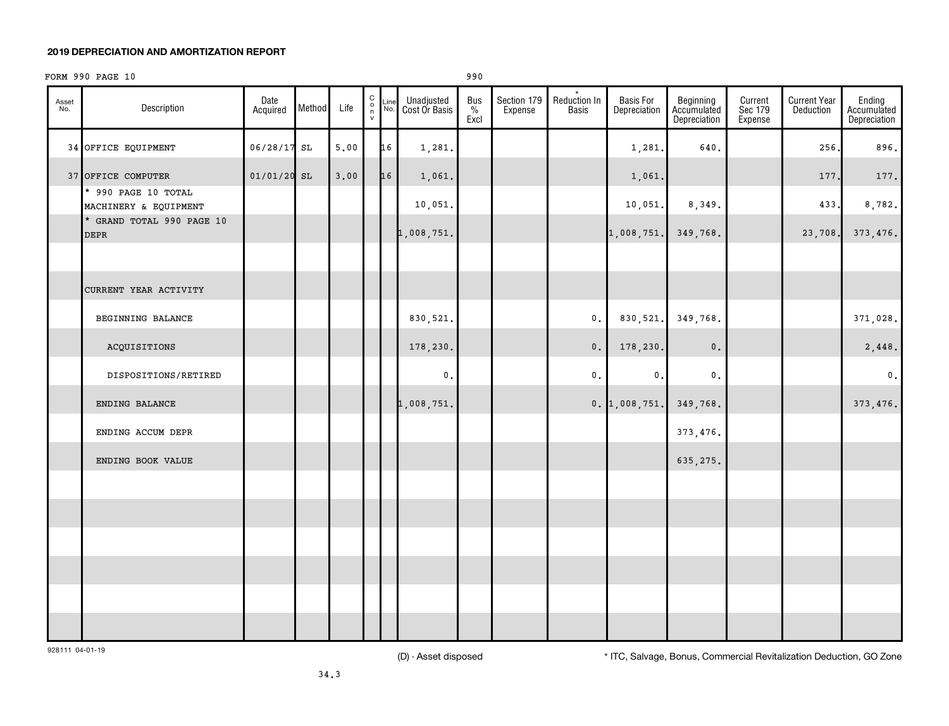#### FORM 990 PAGE 10 990

| Asset<br>No. | Description                                  | Date<br>Acquired | Method | Life | $\begin{smallmatrix} 0 \\ 0 \\ 7 \end{smallmatrix}$ | Line<br>No. | Unadjusted<br>Cost Or Basis | Bus<br>$\frac{1}{\sqrt{2}}$<br>Excl | Section 179<br>Expense | Reduction In<br><b>Basis</b> | <b>Basis For</b><br>Depreciation | Beginning<br>Accumulated<br>Depreciation | Current<br>Sec 179<br>Expense | <b>Current Year</b><br>Deduction | Ending<br>Accumulated<br>Depreciation |
|--------------|----------------------------------------------|------------------|--------|------|-----------------------------------------------------|-------------|-----------------------------|-------------------------------------|------------------------|------------------------------|----------------------------------|------------------------------------------|-------------------------------|----------------------------------|---------------------------------------|
|              | 34 OFFICE EQUIPMENT                          | $06/28/17$ SL    |        | 5.00 |                                                     | 16          | 1,281.                      |                                     |                        |                              | 1,281.                           | 640.                                     |                               | 256.                             | 896.                                  |
|              | 37 OFFICE COMPUTER                           | $01/01/20$ SL    |        | 3.00 |                                                     | 16          | 1,061.                      |                                     |                        |                              | 1,061.                           |                                          |                               | 177.                             | 177.                                  |
|              | * 990 PAGE 10 TOTAL<br>MACHINERY & EQUIPMENT |                  |        |      |                                                     |             | 10,051.                     |                                     |                        |                              | 10,051.                          | 8,349.                                   |                               | 433.                             | 8,782.                                |
|              | * GRAND TOTAL 990 PAGE 10<br><b>DEPR</b>     |                  |        |      |                                                     |             | 1,008,751.                  |                                     |                        |                              | 1,008,751.                       | 349,768.                                 |                               | 23,708.                          | 373,476.                              |
|              |                                              |                  |        |      |                                                     |             |                             |                                     |                        |                              |                                  |                                          |                               |                                  |                                       |
|              | CURRENT YEAR ACTIVITY                        |                  |        |      |                                                     |             |                             |                                     |                        |                              |                                  |                                          |                               |                                  |                                       |
|              | BEGINNING BALANCE                            |                  |        |      |                                                     |             | 830,521.                    |                                     |                        | $\mathfrak o$ .              | 830,521.                         | 349,768.                                 |                               |                                  | 371,028.                              |
|              | ACQUISITIONS                                 |                  |        |      |                                                     |             | 178,230.                    |                                     |                        | $\mathbf 0$ .                | 178,230.                         | $\mathbf 0$ .                            |                               |                                  | 2,448.                                |
|              | DISPOSITIONS/RETIRED                         |                  |        |      |                                                     |             | $\mathbf 0$ .               |                                     |                        | $\mathbf 0$ .                | 0.                               | $\mathsf{0}$ .                           |                               |                                  | $\mathfrak o$ .                       |
|              | ENDING BALANCE                               |                  |        |      |                                                     |             | 1,008,751.                  |                                     |                        |                              | $0.$ 1,008,751.                  | 349,768.                                 |                               |                                  | 373,476.                              |
|              | ENDING ACCUM DEPR                            |                  |        |      |                                                     |             |                             |                                     |                        |                              |                                  | 373, 476.                                |                               |                                  |                                       |
|              | ENDING BOOK VALUE                            |                  |        |      |                                                     |             |                             |                                     |                        |                              |                                  | 635,275.                                 |                               |                                  |                                       |
|              |                                              |                  |        |      |                                                     |             |                             |                                     |                        |                              |                                  |                                          |                               |                                  |                                       |
|              |                                              |                  |        |      |                                                     |             |                             |                                     |                        |                              |                                  |                                          |                               |                                  |                                       |
|              |                                              |                  |        |      |                                                     |             |                             |                                     |                        |                              |                                  |                                          |                               |                                  |                                       |
|              |                                              |                  |        |      |                                                     |             |                             |                                     |                        |                              |                                  |                                          |                               |                                  |                                       |
|              |                                              |                  |        |      |                                                     |             |                             |                                     |                        |                              |                                  |                                          |                               |                                  |                                       |
|              |                                              |                  |        |      |                                                     |             |                             |                                     |                        |                              |                                  |                                          |                               |                                  |                                       |

928111 04-01-19

(D) - Asset disposed \* ITC, Salvage, Bonus, Commercial Revitalization Deduction, GO Zone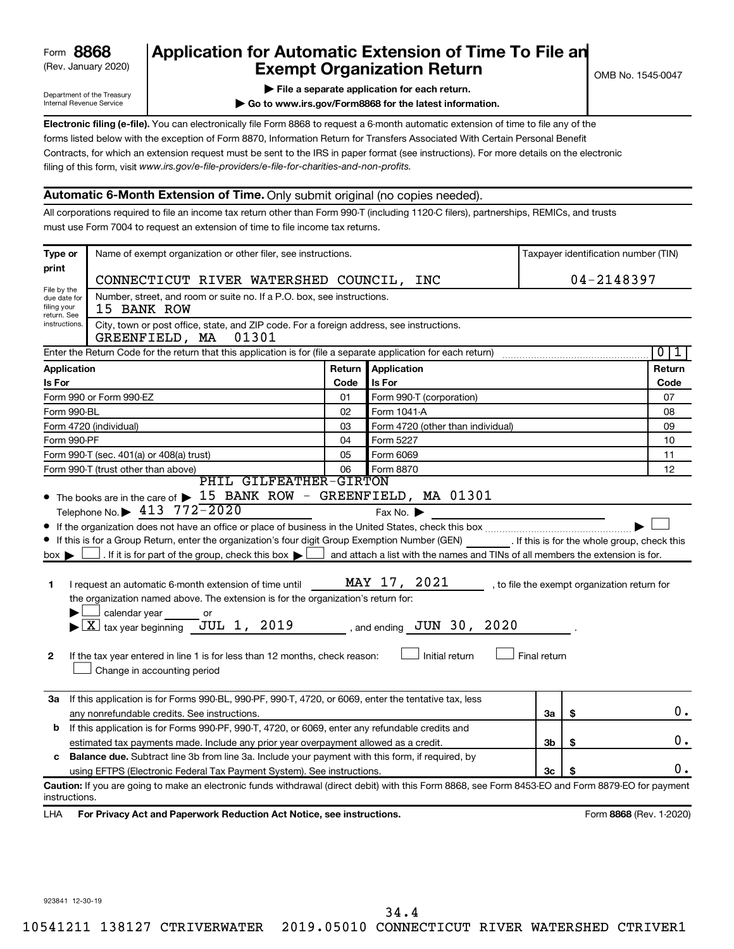## (Rev. January 2020) **Cxempt Organization Return** Manuary 2020) and the settern **Canadian Exempt Organization Return Form 8868 Application for Automatic Extension of Time To File an**<br>**Exempt Organization Return**

Department of the Treasury Internal Revenue Service

**| Go to www.irs.gov/Form8868 for the latest information.**

**Electronic filing (e-file).** You can electronically file Form 8868 to request a 6-month automatic extension of time to file any of the filing of this form, visit www.irs.gov/e-file-providers/e-file-for-charities-and-non-profits. forms listed below with the exception of Form 8870, Information Return for Transfers Associated With Certain Personal Benefit Contracts, for which an extension request must be sent to the IRS in paper format (see instructions). For more details on the electronic

#### **Automatic 6-Month Extension of Time.** Only submit original (no copies needed).

All corporations required to file an income tax return other than Form 990-T (including 1120-C filers), partnerships, REMICs, and trusts must use Form 7004 to request an extension of time to file income tax returns.

| Type or                                                                                              | Name of exempt organization or other filer, see instructions.                                                                                                                                                                                                                                                                                                                                                                                                                                                                                                                                                                                                  |        |                                                                                                                                                                                  |              |            | Taxpayer identification number (TIN)         |  |
|------------------------------------------------------------------------------------------------------|----------------------------------------------------------------------------------------------------------------------------------------------------------------------------------------------------------------------------------------------------------------------------------------------------------------------------------------------------------------------------------------------------------------------------------------------------------------------------------------------------------------------------------------------------------------------------------------------------------------------------------------------------------------|--------|----------------------------------------------------------------------------------------------------------------------------------------------------------------------------------|--------------|------------|----------------------------------------------|--|
| print                                                                                                | CONNECTICUT RIVER WATERSHED COUNCIL, INC                                                                                                                                                                                                                                                                                                                                                                                                                                                                                                                                                                                                                       |        |                                                                                                                                                                                  |              | 04-2148397 |                                              |  |
| File by the<br>due date for<br>filing your                                                           | Number, street, and room or suite no. If a P.O. box, see instructions.<br>15 BANK ROW                                                                                                                                                                                                                                                                                                                                                                                                                                                                                                                                                                          |        |                                                                                                                                                                                  |              |            |                                              |  |
| return. See<br>instructions.                                                                         | City, town or post office, state, and ZIP code. For a foreign address, see instructions.<br>01301<br>GREENFIELD, MA                                                                                                                                                                                                                                                                                                                                                                                                                                                                                                                                            |        |                                                                                                                                                                                  |              |            |                                              |  |
|                                                                                                      | Enter the Return Code for the return that this application is for (file a separate application for each return)                                                                                                                                                                                                                                                                                                                                                                                                                                                                                                                                                |        |                                                                                                                                                                                  |              |            | $\overline{0}$<br>1                          |  |
| Application                                                                                          |                                                                                                                                                                                                                                                                                                                                                                                                                                                                                                                                                                                                                                                                | Return | Application                                                                                                                                                                      |              |            | Return                                       |  |
| Is For                                                                                               |                                                                                                                                                                                                                                                                                                                                                                                                                                                                                                                                                                                                                                                                | Code   | Is For                                                                                                                                                                           |              |            | Code                                         |  |
|                                                                                                      | Form 990 or Form 990-EZ                                                                                                                                                                                                                                                                                                                                                                                                                                                                                                                                                                                                                                        | 01     | Form 990-T (corporation)                                                                                                                                                         |              |            | 07                                           |  |
| Form 990-BL                                                                                          |                                                                                                                                                                                                                                                                                                                                                                                                                                                                                                                                                                                                                                                                | 02     | Form 1041-A                                                                                                                                                                      | 08           |            |                                              |  |
|                                                                                                      | Form 4720 (individual)                                                                                                                                                                                                                                                                                                                                                                                                                                                                                                                                                                                                                                         | 03     | Form 4720 (other than individual)                                                                                                                                                |              |            | 09                                           |  |
| Form 990-PF                                                                                          |                                                                                                                                                                                                                                                                                                                                                                                                                                                                                                                                                                                                                                                                | 04     | Form 5227                                                                                                                                                                        | 10           |            |                                              |  |
|                                                                                                      | Form 990-T (sec. 401(a) or 408(a) trust)                                                                                                                                                                                                                                                                                                                                                                                                                                                                                                                                                                                                                       | 05     | Form 6069                                                                                                                                                                        |              |            | 11                                           |  |
|                                                                                                      | Form 990-T (trust other than above)<br>PHIL GILFEATHER-GIRTON                                                                                                                                                                                                                                                                                                                                                                                                                                                                                                                                                                                                  | 06     | Form 8870                                                                                                                                                                        |              |            | 12                                           |  |
| $box \blacktriangleright$<br>1<br>2                                                                  | Telephone No. $\blacktriangleright$ 413 772 - 2020<br>• If this is for a Group Return, enter the organization's four digit Group Exemption Number (GEN) [16] . If this is for the whole group, check this<br>$\Box$ . If it is for part of the group, check this box $\blacktriangleright$ !<br>I request an automatic 6-month extension of time until<br>the organization named above. The extension is for the organization's return for:<br>calendar year<br>or<br>$\blacktriangleright$ $\lfloor$ X $\rfloor$ tax year beginning JUL 1, 2019<br>If the tax year entered in line 1 is for less than 12 months, check reason:<br>Change in accounting period |        | Fax No. $\blacktriangleright$<br>and attach a list with the names and TINs of all members the extension is for.<br>MAY 17, 2021<br>, and ending $JUN$ 30, 2020<br>Initial return | Final return |            | , to file the exempt organization return for |  |
| За                                                                                                   | If this application is for Forms 990-BL, 990-PF, 990-T, 4720, or 6069, enter the tentative tax, less<br>any nonrefundable credits. See instructions.                                                                                                                                                                                                                                                                                                                                                                                                                                                                                                           |        |                                                                                                                                                                                  | За           | \$         | 0.                                           |  |
| If this application is for Forms 990-PF, 990-T, 4720, or 6069, enter any refundable credits and<br>b |                                                                                                                                                                                                                                                                                                                                                                                                                                                                                                                                                                                                                                                                |        |                                                                                                                                                                                  |              |            |                                              |  |
|                                                                                                      | estimated tax payments made. Include any prior year overpayment allowed as a credit.                                                                                                                                                                                                                                                                                                                                                                                                                                                                                                                                                                           |        |                                                                                                                                                                                  | 3b           | \$         | 0.                                           |  |
| c                                                                                                    | <b>Balance due.</b> Subtract line 3b from line 3a. Include your payment with this form, if required, by                                                                                                                                                                                                                                                                                                                                                                                                                                                                                                                                                        |        |                                                                                                                                                                                  |              |            |                                              |  |
|                                                                                                      | using EFTPS (Electronic Federal Tax Payment System). See instructions.                                                                                                                                                                                                                                                                                                                                                                                                                                                                                                                                                                                         |        |                                                                                                                                                                                  | Зc           | S          | О.                                           |  |
| instructions.<br>LHA                                                                                 | Caution: If you are going to make an electronic funds withdrawal (direct debit) with this Form 8868, see Form 8453-EO and Form 8879-EO for payment<br>For Privacy Act and Paperwork Reduction Act Notice, see instructions.                                                                                                                                                                                                                                                                                                                                                                                                                                    |        |                                                                                                                                                                                  |              |            | Form 8868 (Rev. 1-2020)                      |  |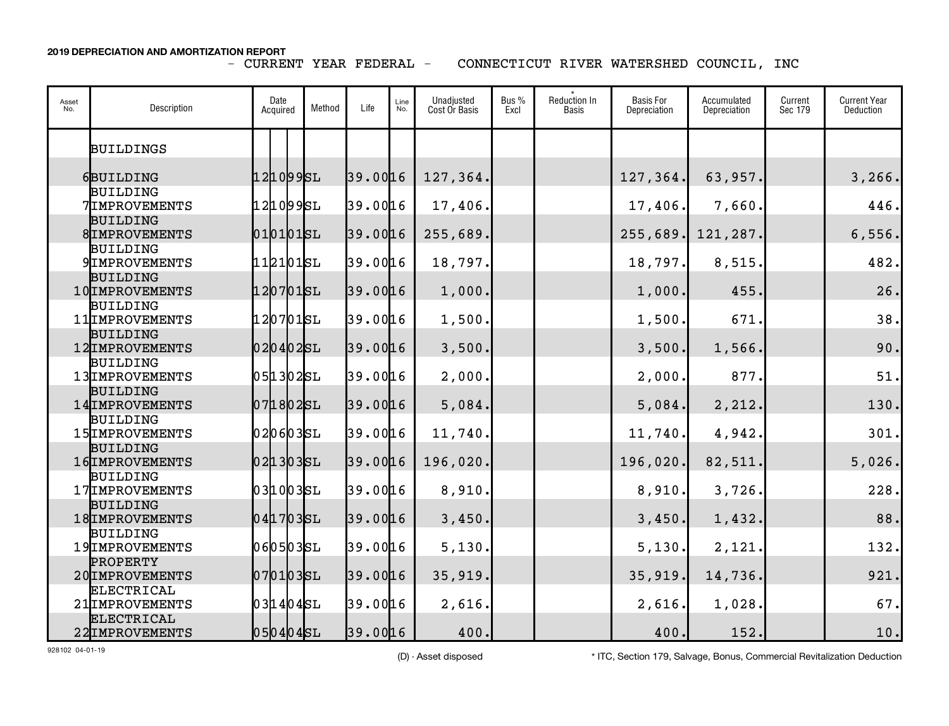CONNECTICUT RIVER WATERSHED COUNCIL, INC

| Asset<br>No. | Description                              | Date<br>Acquired | Method | Life     | Line<br>No. | Unadjusted<br>Cost Or Basis | Bus %<br>Excl | Reduction In<br>Basis | <b>Basis For</b><br>Depreciation | Accumulated<br>Depreciation | Current<br>Sec 179 | <b>Current Year</b><br>Deduction |
|--------------|------------------------------------------|------------------|--------|----------|-------------|-----------------------------|---------------|-----------------------|----------------------------------|-----------------------------|--------------------|----------------------------------|
|              | <b>BUILDINGS</b>                         |                  |        |          |             |                             |               |                       |                                  |                             |                    |                                  |
|              | 6BUILDING                                | 1210995L         |        | 39.0016  |             | 127,364.                    |               |                       | 127,364.                         | 63,957.                     |                    | 3, 266.                          |
|              | <b>BUILDING</b><br><b>7IMPROVEMENTS</b>  | 121099SL         |        | 39.0016  |             | 17,406.                     |               |                       | 17,406.                          | 7,660.                      |                    | 446.                             |
|              | <b>BUILDING</b><br>8IMPROVEMENTS         | $010101$ SL      |        | 39.0016  |             | 255,689.                    |               |                       | 255,689.                         | 121,287.                    |                    | 6,556.                           |
|              | <b>BUILDING</b><br><b>9 IMPROVEMENTS</b> | 112101SL         |        | 39.0016  |             | 18,797.                     |               |                       | 18,797.                          | 8,515.                      |                    | 482.                             |
|              | <b>BUILDING</b><br>10 IMPROVEMENTS       | 1207015L         |        | 39.0016  |             | 1,000.                      |               |                       | 1,000.                           | 455.                        |                    | 26.                              |
|              | <b>BUILDING</b><br>11 IMPROVEMENTS       | 1207015L         |        | 39.0016  |             | 1,500.                      |               |                       | 1,500.                           | 671.                        |                    | 38.                              |
|              | <b>BUILDING</b><br>12 IMPROVEMENTS       | $020402$ SL      |        | 39.0016  |             | 3,500.                      |               |                       | 3,500.                           | 1,566.                      |                    | 90.                              |
|              | <b>BUILDING</b><br>13 IMPROVEMENTS       | 051302SL         |        | 39.0016  |             | 2,000.                      |               |                       | 2,000.                           | 877.                        |                    | 51.                              |
|              | <b>BUILDING</b><br>14 IMPROVEMENTS       | $071802$ SL      |        | 39.0016  |             | 5,084.                      |               |                       | 5,084.                           | 2,212.                      |                    | 130.                             |
|              | <b>BUILDING</b><br>15 IMPROVEMENTS       | 020603SL         |        | 39.0016  |             | 11,740.                     |               |                       | 11,740.                          | 4,942.                      |                    | 301.                             |
|              | <b>BUILDING</b><br>16 IMPROVEMENTS       | 0213035L         |        | 39.0016  |             | 196,020.                    |               |                       | 196,020.                         | 82,511.                     |                    | 5,026.                           |
|              | <b>BUILDING</b><br>17 IMPROVEMENTS       | 0310035L         |        | 39.0016  |             | 8,910.                      |               |                       | 8,910.                           | 3,726.                      |                    | 228.                             |
|              | <b>BUILDING</b><br>18 IMPROVEMENTS       | 0417035L         |        | 39.0016  |             | 3,450.                      |               |                       | 3,450.                           | 1,432.                      |                    | 88.                              |
|              | <b>BUILDING</b><br>19 IMPROVEMENTS       | 060503SL         |        | 39.0016  |             | 5,130.                      |               |                       | 5,130.                           | 2,121.                      |                    | 132.                             |
|              | <b>PROPERTY</b><br>20 IMPROVEMENTS       | 0701035L         |        | 39.0016  |             | 35,919.                     |               |                       | 35,919.                          | 14,736.                     |                    | 921.                             |
|              | <b>ELECTRICAL</b><br>21 IMPROVEMENTS     | $031404$ SL      |        | 39.00 16 |             | 2,616.                      |               |                       | 2,616.                           | 1,028.                      |                    | 67.                              |
|              | <b>ELECTRICAL</b><br>22 IMPROVEMENTS     | $050404$ SL      |        | 39.0016  |             | 400.                        |               |                       | 400.                             | 152.                        |                    | 10.                              |

928102 04-01-19

(D) - Asset disposed \* ITC, Section 179, Salvage, Bonus, Commercial Revitalization Deduction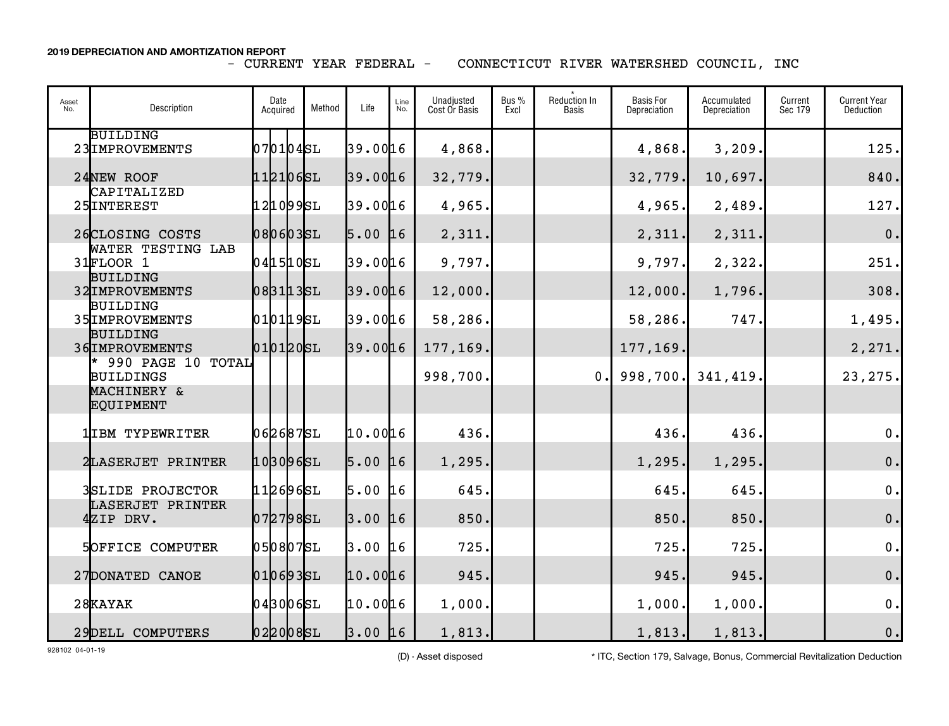CONNECTICUT RIVER WATERSHED COUNCIL, INC

| Asset<br>No. | Description                                                         | Date<br>Acquired | Method | Life      | Line<br>No. | Unadjusted<br>Cost Or Basis | Bus %<br>Excl | <b>Reduction In</b><br><b>Basis</b> | <b>Basis For</b><br>Depreciation | Accumulated<br>Depreciation | Current<br>Sec 179 | <b>Current Year</b><br>Deduction |
|--------------|---------------------------------------------------------------------|------------------|--------|-----------|-------------|-----------------------------|---------------|-------------------------------------|----------------------------------|-----------------------------|--------------------|----------------------------------|
|              | <b>BUILDING</b><br>23 IMPROVEMENTS                                  | 0701045L         |        | 39.00 16  |             | 4,868.                      |               |                                     | 4,868.                           | 3,209.                      |                    | 125.                             |
|              | 24NEW ROOF                                                          | 1121065L         |        | 39.0016   |             | 32,779.                     |               |                                     | 32,779.                          | 10,697.                     |                    | 840.                             |
|              | CAPITALIZED<br>25 INTEREST                                          | 121099SL         |        | 39.0016   |             | 4,965.                      |               |                                     | 4,965.                           | 2,489.                      |                    | 127.                             |
|              | 26CLOSING COSTS                                                     | 080603SL         |        | $5.00$ 16 |             | 2,311.                      |               |                                     | 2,311.                           | 2,311.                      |                    | $\mathbf 0$ .                    |
|              | WATER TESTING LAB<br>31FLOOR 1                                      | 041510SL         |        | 39.00 16  |             | 9,797.                      |               |                                     | 9,797.                           | 2,322.                      |                    | 251.                             |
|              | <b>BUILDING</b><br>32 IMPROVEMENTS                                  | 0831135L         |        | 39.0016   |             | 12,000.                     |               |                                     | 12,000.                          | 1,796.                      |                    | 308.                             |
|              | <b>BUILDING</b><br>35 IMPROVEMENTS                                  | 0101195L         |        | 39.00 16  |             | 58,286.                     |               |                                     | 58,286.                          | 747.                        |                    | 1,495.                           |
|              | <b>BUILDING</b><br>36 IMPROVEMENTS                                  | 0101205L         |        | 39.0016   |             | 177,169.                    |               |                                     | 177,169.                         |                             |                    | 2, 271.                          |
|              | * 990 PAGE 10 TOTAL<br><b>BUILDINGS</b><br>MACHINERY &<br>EQUIPMENT |                  |        |           |             | 998,700.                    |               | 0.                                  | 998,700.                         | 341,419                     |                    | 23, 275.                         |
|              | 1IBM TYPEWRITER                                                     | 062687SL         |        | 10.0016   |             | 436.                        |               |                                     | 436.                             | 436.                        |                    | 0.                               |
|              | 2LASERJET PRINTER                                                   | 1030965L         |        | $5.00$ 16 |             | 1,295.                      |               |                                     | 1, 295.                          | 1, 295.                     |                    | $0$ .                            |
|              | <b>3SLIDE PROJECTOR</b>                                             | 112696SL         |        | 5.00      | 16          | 645.                        |               |                                     | 645.                             | 645                         |                    | $\mathbf 0$ .                    |
|              | LASERJET PRINTER<br>4ZIP DRV.                                       | 0727985L         |        | $3.00$ 16 |             | 850.                        |               |                                     | 850.                             | 850.                        |                    | $\mathbf 0$ .                    |
|              | <b>5OFFICE COMPUTER</b>                                             | 0508075L         |        | $3.00$ 16 |             | 725.                        |               |                                     | 725.                             | 725.                        |                    | $\mathbf 0$ .                    |
|              | 27DONATED CANOE                                                     | 0106935L         |        | 10.0016   |             | 945.                        |               |                                     | 945.                             | 945.                        |                    | $\mathbf 0$ .                    |
|              | 28KAYAK                                                             | $043006$ SL      |        | 10.0016   |             | 1,000.                      |               |                                     | 1,000.                           | 1,000.                      |                    | $\mathbf 0$ .                    |
|              | 29DELL COMPUTERS                                                    | 0220085L         |        | $3.00$ 16 |             | 1,813.                      |               |                                     | 1,813.                           | 1,813.                      |                    | 0.                               |

928102 04-01-19

(D) - Asset disposed \* ITC, Section 179, Salvage, Bonus, Commercial Revitalization Deduction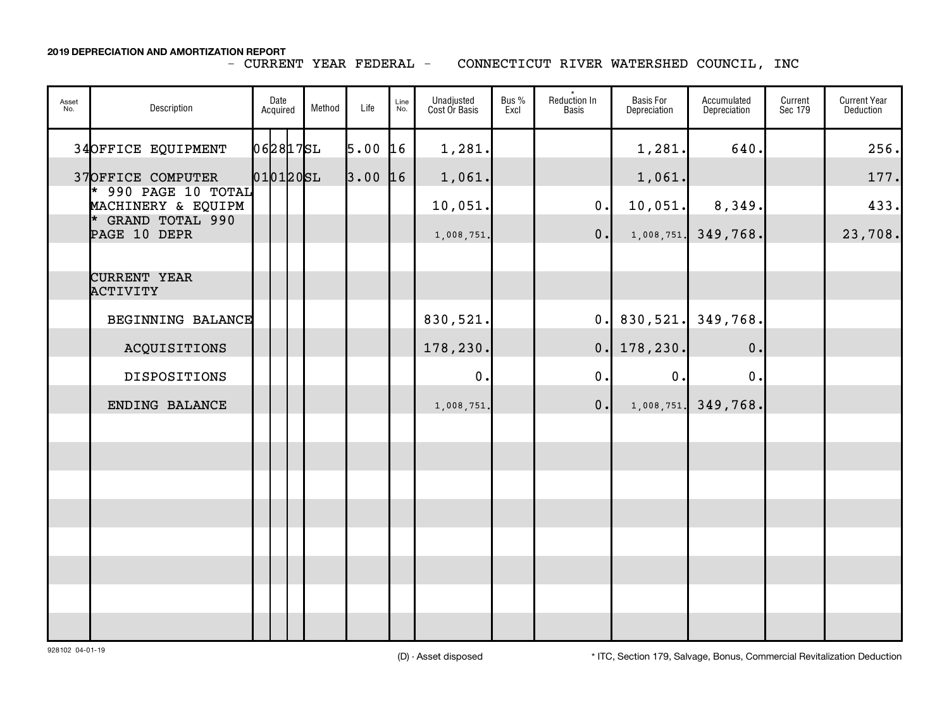#### CONNECTICUT RIVER WATERSHED COUNCIL, INC

| Asset<br>No. | Description                                        | Date<br>Acquired | Method   | Life | Line<br>No. | Unadjusted<br>Cost Or Basis | Bus %<br>Excl | $\star$<br>Reduction In<br><b>Basis</b> | <b>Basis For</b><br>Depreciation | Accumulated<br>Depreciation | Current<br>Sec 179 | <b>Current Year</b><br>Deduction |
|--------------|----------------------------------------------------|------------------|----------|------|-------------|-----------------------------|---------------|-----------------------------------------|----------------------------------|-----------------------------|--------------------|----------------------------------|
|              | 34OFFICE EQUIPMENT                                 |                  | 0628175L | 5.00 | 16          | 1,281.                      |               |                                         | 1,281.                           | 640.                        |                    | 256.                             |
|              | 37OFFICE COMPUTER<br>$*$ 990 PAGE 10 TOTAL         |                  | 0101205L | 3.00 | 16          | 1,061.                      |               |                                         | 1,061.                           |                             |                    | 177.                             |
|              | MACHINERY & EQUIPM<br><b>GRAND TOTAL 990</b><br>l* |                  |          |      |             | 10,051.                     |               | 0.                                      | 10,051.                          | 8,349.                      |                    | 433.                             |
|              | PAGE 10 DEPR                                       |                  |          |      |             | 1,008,751.                  |               | 0.                                      |                                  | $1,008,751$ , 349,768.      |                    | 23,708.                          |
|              | <b>CURRENT YEAR</b>                                |                  |          |      |             |                             |               |                                         |                                  |                             |                    |                                  |
|              | ACTIVITY                                           |                  |          |      |             |                             |               |                                         |                                  |                             |                    |                                  |
|              | BEGINNING BALANCE                                  |                  |          |      |             | 830,521.                    |               | $\mathbf{0}$ .                          |                                  | $830,521.$ 349,768.         |                    |                                  |
|              | ACQUISITIONS                                       |                  |          |      |             | 178,230.                    |               | 0.                                      | 178,230.                         | 0.                          |                    |                                  |
|              | <b>DISPOSITIONS</b>                                |                  |          |      |             | $\mathbf 0$ .               |               | $0$ .                                   | 0.                               | 0.                          |                    |                                  |
|              | ENDING BALANCE                                     |                  |          |      |             | 1,008,751.                  |               | 0.                                      | 1,008,751.                       | 349,768.                    |                    |                                  |
|              |                                                    |                  |          |      |             |                             |               |                                         |                                  |                             |                    |                                  |
|              |                                                    |                  |          |      |             |                             |               |                                         |                                  |                             |                    |                                  |
|              |                                                    |                  |          |      |             |                             |               |                                         |                                  |                             |                    |                                  |
|              |                                                    |                  |          |      |             |                             |               |                                         |                                  |                             |                    |                                  |
|              |                                                    |                  |          |      |             |                             |               |                                         |                                  |                             |                    |                                  |
|              |                                                    |                  |          |      |             |                             |               |                                         |                                  |                             |                    |                                  |
|              |                                                    |                  |          |      |             |                             |               |                                         |                                  |                             |                    |                                  |
|              |                                                    |                  |          |      |             |                             |               |                                         |                                  |                             |                    |                                  |

928102 04-01-19

(D) - Asset disposed \* ITC, Section 179, Salvage, Bonus, Commercial Revitalization Deduction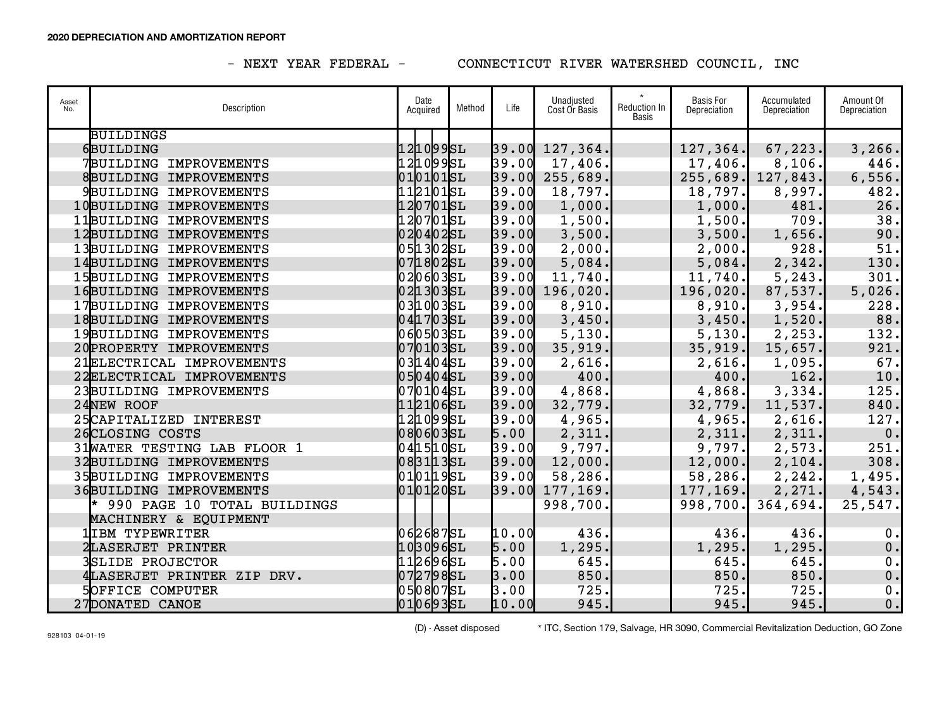### - NEXT YEAR FEDERAL - CONNECTICUT RIVER WATERSHED COUNCIL, INC

| Asset<br>No. | Description                   | Date<br>Acquired | Method | Life  | Unadjusted<br>Cost Or Basis | <b>Reduction In</b><br><b>Basis</b> | <b>Basis For</b><br>Depreciation | Accumulated<br>Depreciation | Amount Of<br>Depreciation |
|--------------|-------------------------------|------------------|--------|-------|-----------------------------|-------------------------------------|----------------------------------|-----------------------------|---------------------------|
|              | <b>BUILDINGS</b>              |                  |        |       |                             |                                     |                                  |                             |                           |
|              | 6BUILDING                     | 121099SL         |        |       | $39.00$ 127,364.            |                                     | 127, 364.                        | 67, 223.                    | 3, 266.                   |
|              | 7BUILDING IMPROVEMENTS        | 121099SL         |        | 39.00 | 17,406.                     |                                     | 17,406.                          | 8,106.                      | 446.                      |
|              | 8BUILDING IMPROVEMENTS        | $010101$ SL      |        | 39.00 | 255,689.                    |                                     |                                  | $255,689.$ 127,843.         | 6,556.                    |
|              | 9BUILDING IMPROVEMENTS        | 112101SL         |        | 39.00 | 18,797.                     |                                     | 18,797.                          | 8,997.                      | 482.                      |
|              | 10BUILDING IMPROVEMENTS       | 1207015L         |        | 39.00 | 1,000.                      |                                     | 1,000.                           | 481.                        | 26.                       |
|              | 11BUILDING IMPROVEMENTS       | 1207015L         |        | 39.00 | 1,500.                      |                                     | 1,500.                           | 709.                        | 38.                       |
|              | 12BUILDING IMPROVEMENTS       | 020402SL         |        | 39.00 | 3,500.                      |                                     | 3,500.                           | 1,656.                      | 90.                       |
|              | 13BUILDING IMPROVEMENTS       | 051302SL         |        | 39.00 | 2,000.                      |                                     | 2,000.                           | 928.                        | 51.                       |
|              | 14BUILDING IMPROVEMENTS       | 071802SL         |        | 39.00 | 5,084.                      |                                     | 5,084.                           | 2,342.                      | 130.                      |
|              | 15BUILDING IMPROVEMENTS       | 020603SL         |        | 39.00 | 11,740.                     |                                     | 11,740.                          | 5, 243.                     | 301.                      |
|              | 16BUILDING IMPROVEMENTS       | 0213035L         |        | 39.00 | 196,020.                    |                                     | 196,020.                         | 87,537.                     | 5,026.                    |
|              | 17BUILDING IMPROVEMENTS       | 031003SL         |        | 39.00 | 8,910.                      |                                     | 8,910.                           | 3,954.                      | 228.                      |
|              | 18BUILDING IMPROVEMENTS       | 0417035L         |        | 39.00 | 3,450.                      |                                     | 3,450.                           | 1,520.                      | 88.                       |
|              | 19BUILDING IMPROVEMENTS       | 060503SL         |        | 39.00 | 5,130.                      |                                     | 5,130.                           | 2, 253.                     | 132.                      |
|              | 20PROPERTY IMPROVEMENTS       | 0701035L         |        | 39.00 | 35,919.                     |                                     | 35,919.                          | 15,657.                     | 921.                      |
|              | 21ELECTRICAL IMPROVEMENTS     | 031404SL         |        | 39.00 | 2,616.                      |                                     | 2,616.                           | 1,095.                      | 67.                       |
|              | 22ELECTRICAL IMPROVEMENTS     | $050404$ SL      |        | 39.00 | 400.                        |                                     | 400.                             | 162.                        | 10.                       |
|              | 23BUILDING IMPROVEMENTS       | $070104$ SL      |        | 39.00 | 4,868.                      |                                     | 4,868.                           | 3,334.                      | 125.                      |
|              | 24NEW ROOF                    | 1121065L         |        | 39.00 | 32,779.                     |                                     | 32, 779.                         | 11,537.                     | 840.                      |
|              | 25CAPITALIZED INTEREST        | 121099SL         |        | 39.00 | 4,965.                      |                                     | 4,965.                           | 2,616.                      | 127.                      |
|              | 26CLOSING COSTS               | 080603SL         |        | 5.00  | 2,311.                      |                                     | 2,311.                           | 2,311.                      | 0.                        |
|              | 31WATER TESTING LAB FLOOR 1   | 0415105L         |        | 39.00 | 9,797.                      |                                     | 9,797.                           | 2,573.                      | 251.                      |
|              | 32BUILDING IMPROVEMENTS       | 0831135L         |        | 39.00 | 12,000.                     |                                     | 12,000.                          | 2,104.                      | 308.                      |
|              | 35BUILDING IMPROVEMENTS       | 0101195L         |        | 39.00 | 58,286.                     |                                     | 58, 286.                         | 2, 242.                     | 1,495.                    |
|              | 36BUILDING IMPROVEMENTS       | 0101205L         |        |       | 39.00 177,169.              |                                     | 177, 169.                        | 2, 271.                     | 4,543.                    |
|              | * 990 PAGE 10 TOTAL BUILDINGS |                  |        |       | 998,700.                    |                                     | 998,700.                         | 364,694.                    | 25, 547.                  |
|              | MACHINERY & EQUIPMENT         |                  |        |       |                             |                                     |                                  |                             |                           |
|              | 1IBM TYPEWRITER               | 062687SL         |        | 10.00 | 436.                        |                                     | 436.                             | 436.                        | 0.                        |
|              | 2LASERJET PRINTER             | 1030965L         |        | 5.00  | 1,295.                      |                                     | 1, 295.                          | 1, 295.                     | 0.                        |
|              | <b>3SLIDE PROJECTOR</b>       | 1126965L         |        | 5.00  | 645.                        |                                     | 645.                             | 645.                        | 0.                        |
|              | 4LASERJET PRINTER ZIP DRV.    | 0727985L         |        | 3.00  | 850.                        |                                     | 850.                             | 850.                        | 0.                        |
|              | <b>5OFFICE COMPUTER</b>       | 0508075L         |        | 3.00  | 725.                        |                                     | 725.                             | 725.                        | 0.                        |
|              | 27DONATED CANOE               | 0106935L         |        | 10.00 | 945.                        |                                     | 945.                             | 945.                        | 0.                        |

(D) - Asset disposed \* ITC, Section 179, Salvage, HR 3090, Commercial Revitalization Deduction, GO Zone